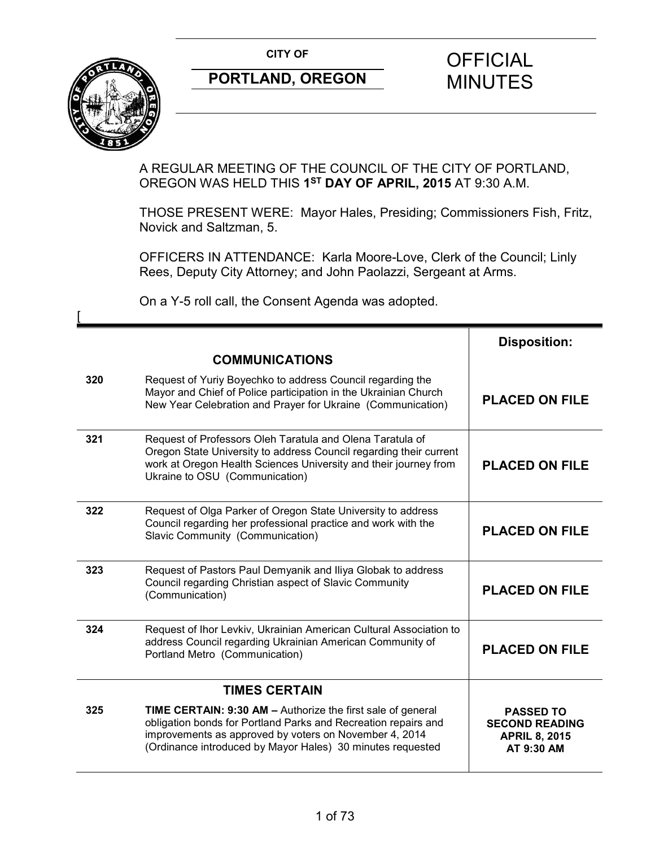**CITY OF CITY OF STRIPS OF FICIAL** 



 $\overline{ }$ 

# **PORTLAND, OREGON MINUTES**

## A REGULAR MEETING OF THE COUNCIL OF THE CITY OF PORTLAND, OREGON WAS HELD THIS **1ST DAY OF APRIL, 2015** AT 9:30 A.M.

THOSE PRESENT WERE: Mayor Hales, Presiding; Commissioners Fish, Fritz, Novick and Saltzman, 5.

OFFICERS IN ATTENDANCE: Karla Moore-Love, Clerk of the Council; Linly Rees, Deputy City Attorney; and John Paolazzi, Sergeant at Arms.

On a Y-5 roll call, the Consent Agenda was adopted.

|     |                                                                                                                                                                                                                                                       | <b>Disposition:</b>                                                             |
|-----|-------------------------------------------------------------------------------------------------------------------------------------------------------------------------------------------------------------------------------------------------------|---------------------------------------------------------------------------------|
|     | <b>COMMUNICATIONS</b>                                                                                                                                                                                                                                 |                                                                                 |
| 320 | Request of Yuriy Boyechko to address Council regarding the<br>Mayor and Chief of Police participation in the Ukrainian Church<br>New Year Celebration and Prayer for Ukraine (Communication)                                                          | <b>PLACED ON FILE</b>                                                           |
| 321 | Request of Professors Oleh Taratula and Olena Taratula of<br>Oregon State University to address Council regarding their current<br>work at Oregon Health Sciences University and their journey from<br>Ukraine to OSU (Communication)                 | <b>PLACED ON FILE</b>                                                           |
| 322 | Request of Olga Parker of Oregon State University to address<br>Council regarding her professional practice and work with the<br>Slavic Community (Communication)                                                                                     | <b>PLACED ON FILE</b>                                                           |
| 323 | Request of Pastors Paul Demyanik and Iliya Globak to address<br>Council regarding Christian aspect of Slavic Community<br>(Communication)                                                                                                             | <b>PLACED ON FILE</b>                                                           |
| 324 | Request of Ihor Levkiv, Ukrainian American Cultural Association to<br>address Council regarding Ukrainian American Community of<br>Portland Metro (Communication)                                                                                     | <b>PLACED ON FILE</b>                                                           |
|     | <b>TIMES CERTAIN</b>                                                                                                                                                                                                                                  |                                                                                 |
| 325 | TIME CERTAIN: 9:30 AM - Authorize the first sale of general<br>obligation bonds for Portland Parks and Recreation repairs and<br>improvements as approved by voters on November 4, 2014<br>(Ordinance introduced by Mayor Hales) 30 minutes requested | <b>PASSED TO</b><br><b>SECOND READING</b><br><b>APRIL 8, 2015</b><br>AT 9:30 AM |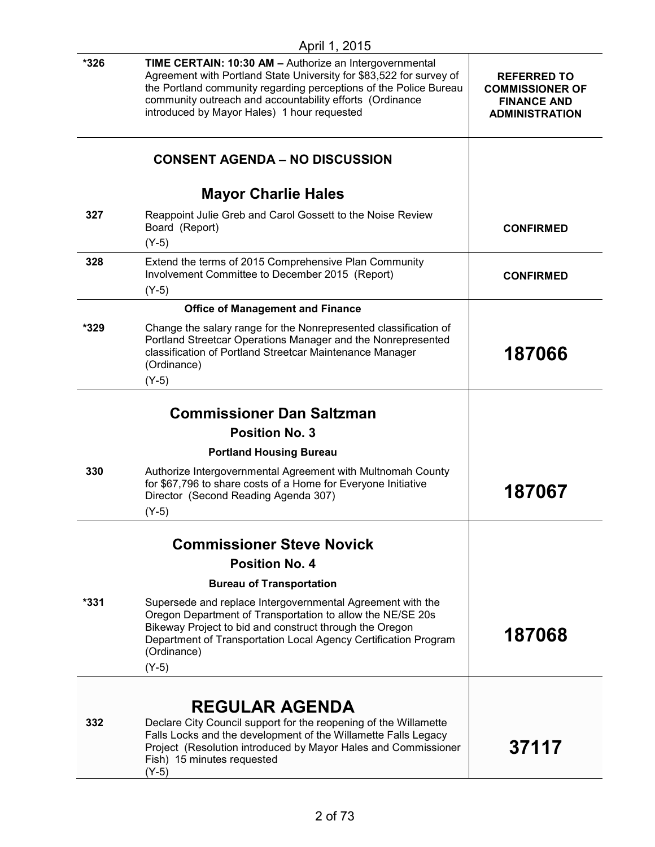|        | April 1, 2015                                                                                                                                                                                                                                                                                                  |                                                                                             |
|--------|----------------------------------------------------------------------------------------------------------------------------------------------------------------------------------------------------------------------------------------------------------------------------------------------------------------|---------------------------------------------------------------------------------------------|
| *326   | TIME CERTAIN: 10:30 AM - Authorize an Intergovernmental<br>Agreement with Portland State University for \$83,522 for survey of<br>the Portland community regarding perceptions of the Police Bureau<br>community outreach and accountability efforts (Ordinance<br>introduced by Mayor Hales) 1 hour requested | <b>REFERRED TO</b><br><b>COMMISSIONER OF</b><br><b>FINANCE AND</b><br><b>ADMINISTRATION</b> |
|        | <b>CONSENT AGENDA - NO DISCUSSION</b>                                                                                                                                                                                                                                                                          |                                                                                             |
|        | <b>Mayor Charlie Hales</b>                                                                                                                                                                                                                                                                                     |                                                                                             |
| 327    | Reappoint Julie Greb and Carol Gossett to the Noise Review<br>Board (Report)<br>$(Y-5)$                                                                                                                                                                                                                        | <b>CONFIRMED</b>                                                                            |
| 328    | Extend the terms of 2015 Comprehensive Plan Community<br>Involvement Committee to December 2015 (Report)<br>$(Y-5)$                                                                                                                                                                                            | <b>CONFIRMED</b>                                                                            |
|        | <b>Office of Management and Finance</b>                                                                                                                                                                                                                                                                        |                                                                                             |
| *329   | Change the salary range for the Nonrepresented classification of<br>Portland Streetcar Operations Manager and the Nonrepresented<br>classification of Portland Streetcar Maintenance Manager<br>(Ordinance)<br>$(Y-5)$                                                                                         | 187066                                                                                      |
|        | <b>Commissioner Dan Saltzman</b>                                                                                                                                                                                                                                                                               |                                                                                             |
|        | <b>Position No. 3</b>                                                                                                                                                                                                                                                                                          |                                                                                             |
|        | <b>Portland Housing Bureau</b>                                                                                                                                                                                                                                                                                 |                                                                                             |
| 330    | Authorize Intergovernmental Agreement with Multnomah County<br>for \$67,796 to share costs of a Home for Everyone Initiative<br>Director (Second Reading Agenda 307)<br>(Y-5)                                                                                                                                  | 187067                                                                                      |
|        | <b>Commissioner Steve Novick</b>                                                                                                                                                                                                                                                                               |                                                                                             |
|        | <b>Position No. 4</b>                                                                                                                                                                                                                                                                                          |                                                                                             |
|        | <b>Bureau of Transportation</b>                                                                                                                                                                                                                                                                                |                                                                                             |
| $*331$ | Supersede and replace Intergovernmental Agreement with the<br>Oregon Department of Transportation to allow the NE/SE 20s<br>Bikeway Project to bid and construct through the Oregon                                                                                                                            | , 07060                                                                                     |

(Ordinance) (Y-5)

## **REGULAR AGENDA**

Department of Transportation Local Agency Certification Program

**332** Declare City Council support for the reopening of the Willamette Falls Locks and the development of the Willamette Falls Legacy Project (Resolution introduced by Mayor Hales and Commissioner Fish) 15 minutes requested (Y-5) **37117**

**187068**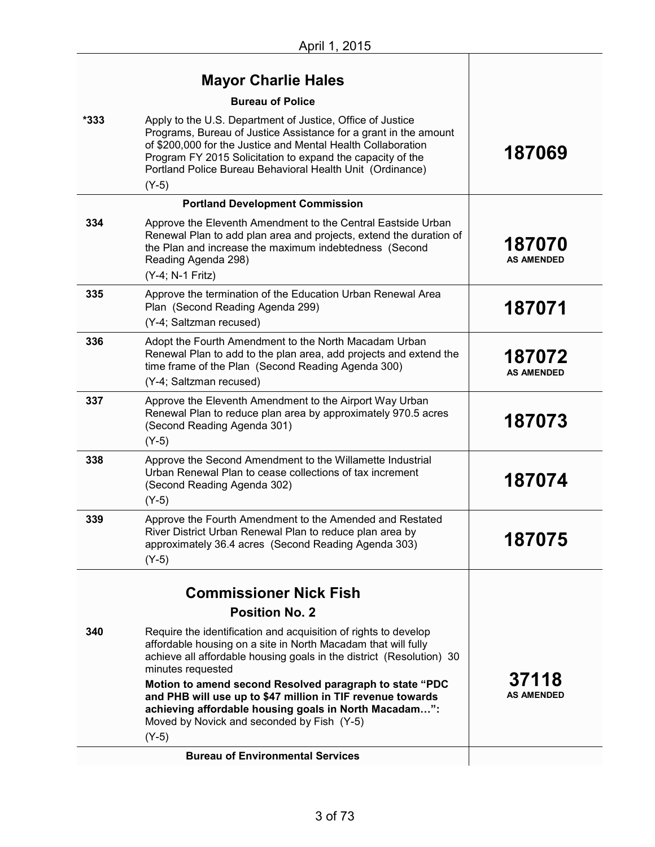$\overline{\phantom{a}}$ 

|        | <b>Mayor Charlie Hales</b>                                                                                                                                                                                                                                                                                                           |                             |
|--------|--------------------------------------------------------------------------------------------------------------------------------------------------------------------------------------------------------------------------------------------------------------------------------------------------------------------------------------|-----------------------------|
|        | <b>Bureau of Police</b>                                                                                                                                                                                                                                                                                                              |                             |
| $*333$ | Apply to the U.S. Department of Justice, Office of Justice<br>Programs, Bureau of Justice Assistance for a grant in the amount<br>of \$200,000 for the Justice and Mental Health Collaboration<br>Program FY 2015 Solicitation to expand the capacity of the<br>Portland Police Bureau Behavioral Health Unit (Ordinance)<br>$(Y-5)$ | 187069                      |
|        | <b>Portland Development Commission</b>                                                                                                                                                                                                                                                                                               |                             |
| 334    | Approve the Eleventh Amendment to the Central Eastside Urban<br>Renewal Plan to add plan area and projects, extend the duration of<br>the Plan and increase the maximum indebtedness (Second<br>Reading Agenda 298)<br>(Y-4; N-1 Fritz)                                                                                              | 187070<br><b>AS AMENDED</b> |
| 335    | Approve the termination of the Education Urban Renewal Area<br>Plan (Second Reading Agenda 299)                                                                                                                                                                                                                                      | 187071                      |
|        | (Y-4; Saltzman recused)                                                                                                                                                                                                                                                                                                              |                             |
| 336    | Adopt the Fourth Amendment to the North Macadam Urban<br>Renewal Plan to add to the plan area, add projects and extend the<br>time frame of the Plan (Second Reading Agenda 300)                                                                                                                                                     | 187072<br><b>AS AMENDED</b> |
|        | (Y-4; Saltzman recused)                                                                                                                                                                                                                                                                                                              |                             |
| 337    | Approve the Eleventh Amendment to the Airport Way Urban<br>Renewal Plan to reduce plan area by approximately 970.5 acres<br>(Second Reading Agenda 301)<br>$(Y-5)$                                                                                                                                                                   | 187073                      |
| 338    | Approve the Second Amendment to the Willamette Industrial<br>Urban Renewal Plan to cease collections of tax increment<br>(Second Reading Agenda 302)<br>$(Y-5)$                                                                                                                                                                      | 187074                      |
| 339    | Approve the Fourth Amendment to the Amended and Restated<br>River District Urban Renewal Plan to reduce plan area by<br>approximately 36.4 acres (Second Reading Agenda 303)<br>$(Y-5)$                                                                                                                                              | 187075                      |
|        |                                                                                                                                                                                                                                                                                                                                      |                             |
|        | <b>Commissioner Nick Fish</b>                                                                                                                                                                                                                                                                                                        |                             |
|        | <b>Position No. 2</b>                                                                                                                                                                                                                                                                                                                |                             |
| 340    | Require the identification and acquisition of rights to develop<br>affordable housing on a site in North Macadam that will fully<br>achieve all affordable housing goals in the district (Resolution) 30<br>minutes requested                                                                                                        |                             |
|        | Motion to amend second Resolved paragraph to state "PDC<br>and PHB will use up to \$47 million in TIF revenue towards<br>achieving affordable housing goals in North Macadam":<br>Moved by Novick and seconded by Fish (Y-5)                                                                                                         | 37118<br><b>AS AMENDED</b>  |
|        | $(Y-5)$                                                                                                                                                                                                                                                                                                                              |                             |
|        | <b>Bureau of Environmental Services</b>                                                                                                                                                                                                                                                                                              |                             |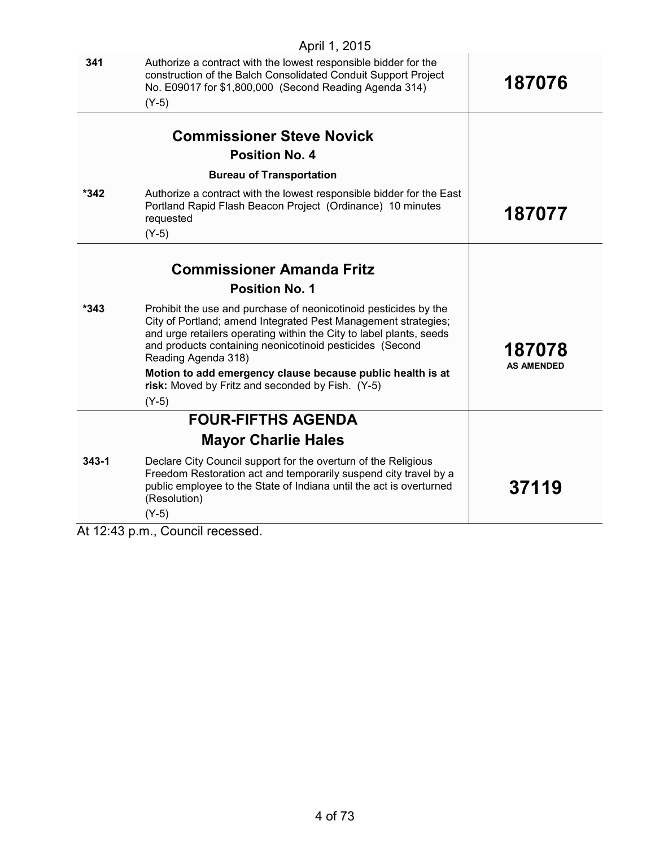| 341       | Authorize a contract with the lowest responsible bidder for the<br>construction of the Balch Consolidated Conduit Support Project<br>No. E09017 for \$1,800,000 (Second Reading Agenda 314)<br>$(Y-5)$                                                                                                                                                                                                                    | 187076                      |
|-----------|---------------------------------------------------------------------------------------------------------------------------------------------------------------------------------------------------------------------------------------------------------------------------------------------------------------------------------------------------------------------------------------------------------------------------|-----------------------------|
|           | <b>Commissioner Steve Novick</b>                                                                                                                                                                                                                                                                                                                                                                                          |                             |
|           | <b>Position No. 4</b>                                                                                                                                                                                                                                                                                                                                                                                                     |                             |
|           | <b>Bureau of Transportation</b>                                                                                                                                                                                                                                                                                                                                                                                           |                             |
| *342      | Authorize a contract with the lowest responsible bidder for the East<br>Portland Rapid Flash Beacon Project (Ordinance) 10 minutes<br>requested<br>$(Y-5)$                                                                                                                                                                                                                                                                | 187077                      |
|           | <b>Commissioner Amanda Fritz</b>                                                                                                                                                                                                                                                                                                                                                                                          |                             |
|           | <b>Position No. 1</b>                                                                                                                                                                                                                                                                                                                                                                                                     |                             |
| $*343$    | Prohibit the use and purchase of neonicotinoid pesticides by the<br>City of Portland; amend Integrated Pest Management strategies;<br>and urge retailers operating within the City to label plants, seeds<br>and products containing neonicotinoid pesticides (Second<br>Reading Agenda 318)<br>Motion to add emergency clause because public health is at<br>risk: Moved by Fritz and seconded by Fish. (Y-5)<br>$(Y-5)$ | 187078<br><b>AS AMENDED</b> |
|           | <b>FOUR-FIFTHS AGENDA</b>                                                                                                                                                                                                                                                                                                                                                                                                 |                             |
|           | <b>Mayor Charlie Hales</b>                                                                                                                                                                                                                                                                                                                                                                                                |                             |
| $343 - 1$ | Declare City Council support for the overturn of the Religious<br>Freedom Restoration act and temporarily suspend city travel by a<br>public employee to the State of Indiana until the act is overturned<br>(Resolution)<br>$(Y-5)$                                                                                                                                                                                      | 37119                       |

At 12:43 p.m., Council recessed.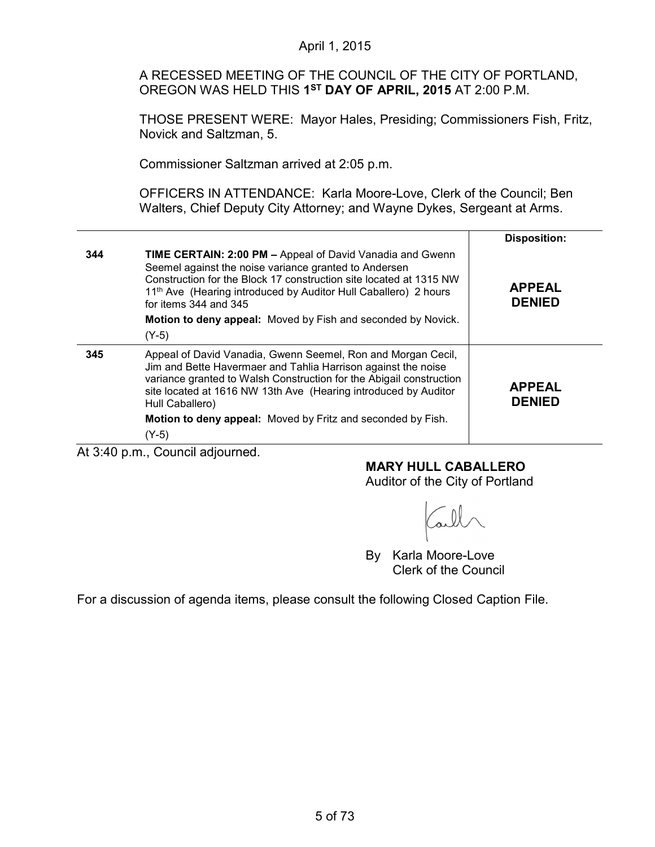A RECESSED MEETING OF THE COUNCIL OF THE CITY OF PORTLAND, OREGON WAS HELD THIS **1ST DAY OF APRIL, 2015** AT 2:00 P.M.

THOSE PRESENT WERE: Mayor Hales, Presiding; Commissioners Fish, Fritz, Novick and Saltzman, 5.

Commissioner Saltzman arrived at 2:05 p.m.

OFFICERS IN ATTENDANCE: Karla Moore-Love, Clerk of the Council; Ben Walters, Chief Deputy City Attorney; and Wayne Dykes, Sergeant at Arms.

|     |                                                                                                                                                                                                                                                                                                                                                                                        | <b>Disposition:</b>            |
|-----|----------------------------------------------------------------------------------------------------------------------------------------------------------------------------------------------------------------------------------------------------------------------------------------------------------------------------------------------------------------------------------------|--------------------------------|
| 344 | <b>TIME CERTAIN: 2:00 PM - Appeal of David Vanadia and Gwenn</b><br>Seemel against the noise variance granted to Andersen<br>Construction for the Block 17 construction site located at 1315 NW<br>11 <sup>th</sup> Ave (Hearing introduced by Auditor Hull Caballero) 2 hours<br>for items $344$ and $345$<br>Motion to deny appeal: Moved by Fish and seconded by Novick.<br>$(Y-5)$ | <b>APPEAL</b><br><b>DENIED</b> |
| 345 | Appeal of David Vanadia, Gwenn Seemel, Ron and Morgan Cecil,<br>Jim and Bette Havermaer and Tahlia Harrison against the noise<br>variance granted to Walsh Construction for the Abigail construction<br>site located at 1616 NW 13th Ave (Hearing introduced by Auditor<br>Hull Caballero)<br>Motion to deny appeal: Moved by Fritz and seconded by Fish.<br>$(Y-5)$                   | <b>APPEAL</b><br><b>DENIED</b> |

At 3:40 p.m., Council adjourned.

**MARY HULL CABALLERO**

Auditor of the City of Portland

By Karla Moore-Love Clerk of the Council

For a discussion of agenda items, please consult the following Closed Caption File.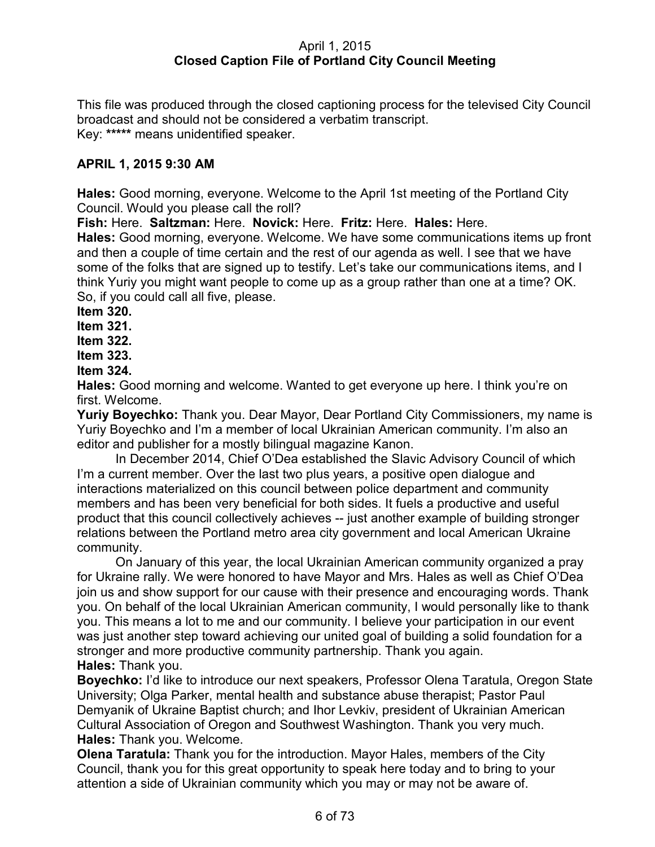## April 1, 2015 **Closed Caption File of Portland City Council Meeting**

This file was produced through the closed captioning process for the televised City Council broadcast and should not be considered a verbatim transcript. Key: **\*\*\*\*\*** means unidentified speaker.

## **APRIL 1, 2015 9:30 AM**

**Hales:** Good morning, everyone. Welcome to the April 1st meeting of the Portland City Council. Would you please call the roll?

**Fish:** Here. **Saltzman:** Here. **Novick:** Here. **Fritz:** Here. **Hales:** Here.

**Hales:** Good morning, everyone. Welcome. We have some communications items up front and then a couple of time certain and the rest of our agenda as well. I see that we have some of the folks that are signed up to testify. Let's take our communications items, and I think Yuriy you might want people to come up as a group rather than one at a time? OK. So, if you could call all five, please.

**Item 320.**

**Item 321.**

**Item 322.**

**Item 323.**

**Item 324.**

**Hales:** Good morning and welcome. Wanted to get everyone up here. I think you're on first. Welcome.

**Yuriy Boyechko:** Thank you. Dear Mayor, Dear Portland City Commissioners, my name is Yuriy Boyechko and I'm a member of local Ukrainian American community. I'm also an editor and publisher for a mostly bilingual magazine Kanon.

In December 2014, Chief O'Dea established the Slavic Advisory Council of which I'm a current member. Over the last two plus years, a positive open dialogue and interactions materialized on this council between police department and community members and has been very beneficial for both sides. It fuels a productive and useful product that this council collectively achieves -- just another example of building stronger relations between the Portland metro area city government and local American Ukraine community.

On January of this year, the local Ukrainian American community organized a pray for Ukraine rally. We were honored to have Mayor and Mrs. Hales as well as Chief O'Dea join us and show support for our cause with their presence and encouraging words. Thank you. On behalf of the local Ukrainian American community, I would personally like to thank you. This means a lot to me and our community. I believe your participation in our event was just another step toward achieving our united goal of building a solid foundation for a stronger and more productive community partnership. Thank you again. **Hales:** Thank you.

**Boyechko:** I'd like to introduce our next speakers, Professor Olena Taratula, Oregon State University; Olga Parker, mental health and substance abuse therapist; Pastor Paul Demyanik of Ukraine Baptist church; and Ihor Levkiv, president of Ukrainian American Cultural Association of Oregon and Southwest Washington. Thank you very much. **Hales:** Thank you. Welcome.

**Olena Taratula:** Thank you for the introduction. Mayor Hales, members of the City Council, thank you for this great opportunity to speak here today and to bring to your attention a side of Ukrainian community which you may or may not be aware of.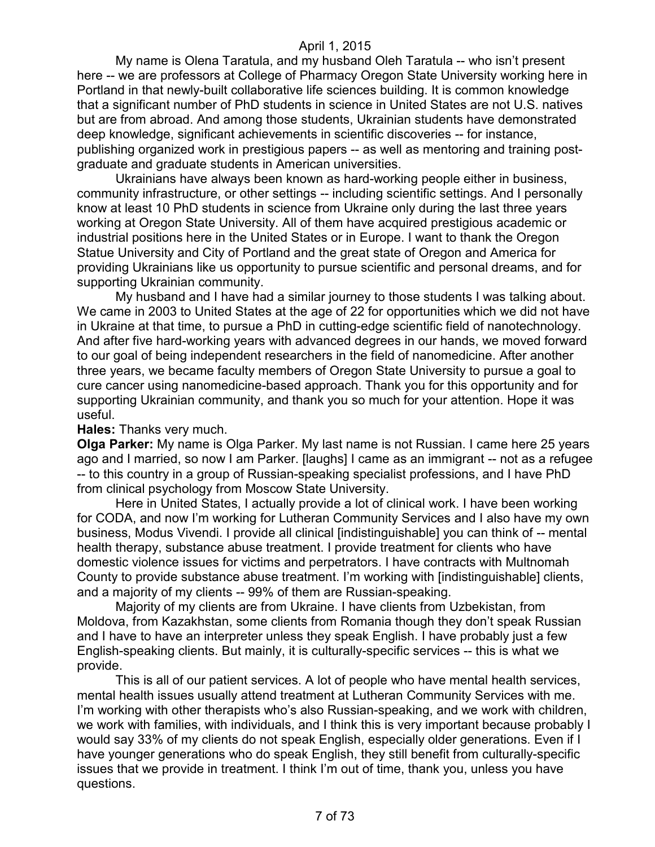My name is Olena Taratula, and my husband Oleh Taratula -- who isn't present here -- we are professors at College of Pharmacy Oregon State University working here in Portland in that newly-built collaborative life sciences building. It is common knowledge that a significant number of PhD students in science in United States are not U.S. natives but are from abroad. And among those students, Ukrainian students have demonstrated deep knowledge, significant achievements in scientific discoveries -- for instance, publishing organized work in prestigious papers -- as well as mentoring and training postgraduate and graduate students in American universities.

Ukrainians have always been known as hard-working people either in business, community infrastructure, or other settings -- including scientific settings. And I personally know at least 10 PhD students in science from Ukraine only during the last three years working at Oregon State University. All of them have acquired prestigious academic or industrial positions here in the United States or in Europe. I want to thank the Oregon Statue University and City of Portland and the great state of Oregon and America for providing Ukrainians like us opportunity to pursue scientific and personal dreams, and for supporting Ukrainian community.

My husband and I have had a similar journey to those students I was talking about. We came in 2003 to United States at the age of 22 for opportunities which we did not have in Ukraine at that time, to pursue a PhD in cutting-edge scientific field of nanotechnology. And after five hard-working years with advanced degrees in our hands, we moved forward to our goal of being independent researchers in the field of nanomedicine. After another three years, we became faculty members of Oregon State University to pursue a goal to cure cancer using nanomedicine-based approach. Thank you for this opportunity and for supporting Ukrainian community, and thank you so much for your attention. Hope it was useful.

#### **Hales:** Thanks very much.

**Olga Parker:** My name is Olga Parker. My last name is not Russian. I came here 25 years ago and I married, so now I am Parker. [laughs] I came as an immigrant -- not as a refugee -- to this country in a group of Russian-speaking specialist professions, and I have PhD from clinical psychology from Moscow State University.

Here in United States, I actually provide a lot of clinical work. I have been working for CODA, and now I'm working for Lutheran Community Services and I also have my own business, Modus Vivendi. I provide all clinical [indistinguishable] you can think of -- mental health therapy, substance abuse treatment. I provide treatment for clients who have domestic violence issues for victims and perpetrators. I have contracts with Multnomah County to provide substance abuse treatment. I'm working with [indistinguishable] clients, and a majority of my clients -- 99% of them are Russian-speaking.

Majority of my clients are from Ukraine. I have clients from Uzbekistan, from Moldova, from Kazakhstan, some clients from Romania though they don't speak Russian and I have to have an interpreter unless they speak English. I have probably just a few English-speaking clients. But mainly, it is culturally-specific services -- this is what we provide.

This is all of our patient services. A lot of people who have mental health services, mental health issues usually attend treatment at Lutheran Community Services with me. I'm working with other therapists who's also Russian-speaking, and we work with children, we work with families, with individuals, and I think this is very important because probably I would say 33% of my clients do not speak English, especially older generations. Even if I have younger generations who do speak English, they still benefit from culturally-specific issues that we provide in treatment. I think I'm out of time, thank you, unless you have questions.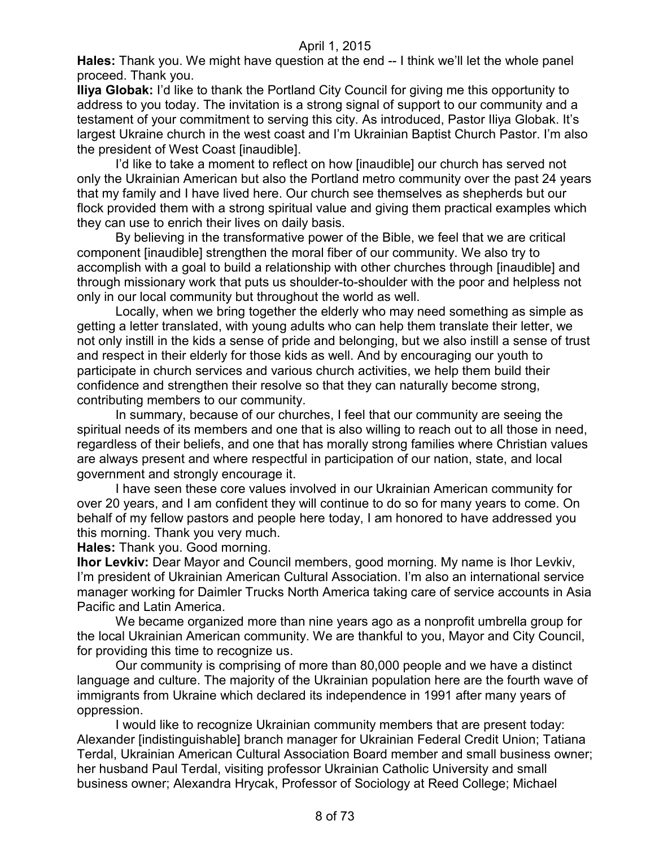**Hales:** Thank you. We might have question at the end -- I think we'll let the whole panel proceed. Thank you.

**Iliya Globak:** I'd like to thank the Portland City Council for giving me this opportunity to address to you today. The invitation is a strong signal of support to our community and a testament of your commitment to serving this city. As introduced, Pastor Iliya Globak. It's largest Ukraine church in the west coast and I'm Ukrainian Baptist Church Pastor. I'm also the president of West Coast [inaudible].

I'd like to take a moment to reflect on how [inaudible] our church has served not only the Ukrainian American but also the Portland metro community over the past 24 years that my family and I have lived here. Our church see themselves as shepherds but our flock provided them with a strong spiritual value and giving them practical examples which they can use to enrich their lives on daily basis.

By believing in the transformative power of the Bible, we feel that we are critical component [inaudible] strengthen the moral fiber of our community. We also try to accomplish with a goal to build a relationship with other churches through [inaudible] and through missionary work that puts us shoulder-to-shoulder with the poor and helpless not only in our local community but throughout the world as well.

Locally, when we bring together the elderly who may need something as simple as getting a letter translated, with young adults who can help them translate their letter, we not only instill in the kids a sense of pride and belonging, but we also instill a sense of trust and respect in their elderly for those kids as well. And by encouraging our youth to participate in church services and various church activities, we help them build their confidence and strengthen their resolve so that they can naturally become strong, contributing members to our community.

In summary, because of our churches, I feel that our community are seeing the spiritual needs of its members and one that is also willing to reach out to all those in need, regardless of their beliefs, and one that has morally strong families where Christian values are always present and where respectful in participation of our nation, state, and local government and strongly encourage it.

I have seen these core values involved in our Ukrainian American community for over 20 years, and I am confident they will continue to do so for many years to come. On behalf of my fellow pastors and people here today, I am honored to have addressed you this morning. Thank you very much.

**Hales:** Thank you. Good morning.

**Ihor Levkiv:** Dear Mayor and Council members, good morning. My name is Ihor Levkiv, I'm president of Ukrainian American Cultural Association. I'm also an international service manager working for Daimler Trucks North America taking care of service accounts in Asia Pacific and Latin America.

We became organized more than nine years ago as a nonprofit umbrella group for the local Ukrainian American community. We are thankful to you, Mayor and City Council, for providing this time to recognize us.

Our community is comprising of more than 80,000 people and we have a distinct language and culture. The majority of the Ukrainian population here are the fourth wave of immigrants from Ukraine which declared its independence in 1991 after many years of oppression.

I would like to recognize Ukrainian community members that are present today: Alexander [indistinguishable] branch manager for Ukrainian Federal Credit Union; Tatiana Terdal, Ukrainian American Cultural Association Board member and small business owner; her husband Paul Terdal, visiting professor Ukrainian Catholic University and small business owner; Alexandra Hrycak, Professor of Sociology at Reed College; Michael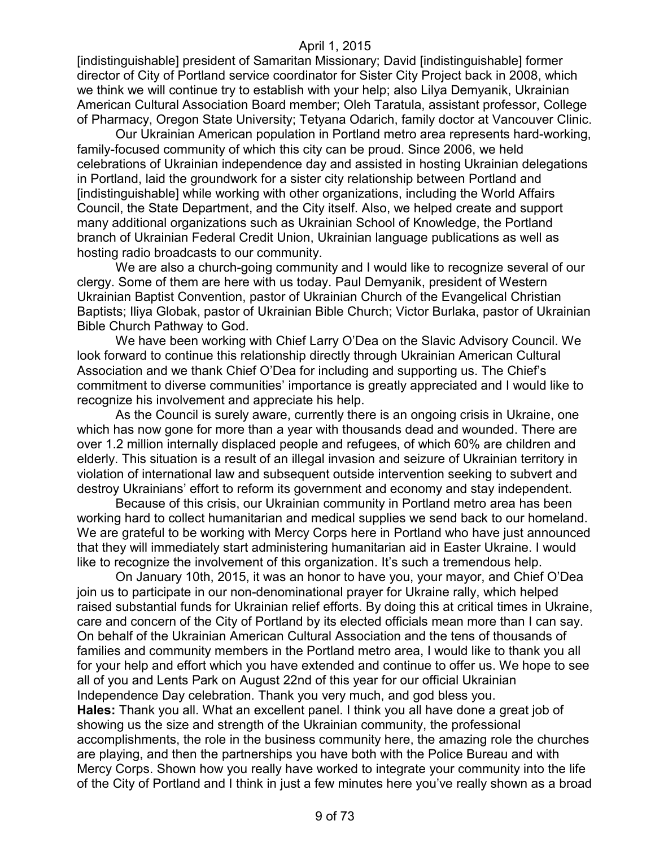[indistinguishable] president of Samaritan Missionary; David [indistinguishable] former director of City of Portland service coordinator for Sister City Project back in 2008, which we think we will continue try to establish with your help; also Lilya Demyanik, Ukrainian American Cultural Association Board member; Oleh Taratula, assistant professor, College of Pharmacy, Oregon State University; Tetyana Odarich, family doctor at Vancouver Clinic.

Our Ukrainian American population in Portland metro area represents hard-working, family-focused community of which this city can be proud. Since 2006, we held celebrations of Ukrainian independence day and assisted in hosting Ukrainian delegations in Portland, laid the groundwork for a sister city relationship between Portland and [indistinguishable] while working with other organizations, including the World Affairs Council, the State Department, and the City itself. Also, we helped create and support many additional organizations such as Ukrainian School of Knowledge, the Portland branch of Ukrainian Federal Credit Union, Ukrainian language publications as well as hosting radio broadcasts to our community.

We are also a church-going community and I would like to recognize several of our clergy. Some of them are here with us today. Paul Demyanik, president of Western Ukrainian Baptist Convention, pastor of Ukrainian Church of the Evangelical Christian Baptists; Iliya Globak, pastor of Ukrainian Bible Church; Victor Burlaka, pastor of Ukrainian Bible Church Pathway to God.

We have been working with Chief Larry O'Dea on the Slavic Advisory Council. We look forward to continue this relationship directly through Ukrainian American Cultural Association and we thank Chief O'Dea for including and supporting us. The Chief's commitment to diverse communities' importance is greatly appreciated and I would like to recognize his involvement and appreciate his help.

As the Council is surely aware, currently there is an ongoing crisis in Ukraine, one which has now gone for more than a year with thousands dead and wounded. There are over 1.2 million internally displaced people and refugees, of which 60% are children and elderly. This situation is a result of an illegal invasion and seizure of Ukrainian territory in violation of international law and subsequent outside intervention seeking to subvert and destroy Ukrainians' effort to reform its government and economy and stay independent.

Because of this crisis, our Ukrainian community in Portland metro area has been working hard to collect humanitarian and medical supplies we send back to our homeland. We are grateful to be working with Mercy Corps here in Portland who have just announced that they will immediately start administering humanitarian aid in Easter Ukraine. I would like to recognize the involvement of this organization. It's such a tremendous help.

On January 10th, 2015, it was an honor to have you, your mayor, and Chief O'Dea join us to participate in our non-denominational prayer for Ukraine rally, which helped raised substantial funds for Ukrainian relief efforts. By doing this at critical times in Ukraine, care and concern of the City of Portland by its elected officials mean more than I can say. On behalf of the Ukrainian American Cultural Association and the tens of thousands of families and community members in the Portland metro area, I would like to thank you all for your help and effort which you have extended and continue to offer us. We hope to see all of you and Lents Park on August 22nd of this year for our official Ukrainian Independence Day celebration. Thank you very much, and god bless you. **Hales:** Thank you all. What an excellent panel. I think you all have done a great job of showing us the size and strength of the Ukrainian community, the professional accomplishments, the role in the business community here, the amazing role the churches are playing, and then the partnerships you have both with the Police Bureau and with Mercy Corps. Shown how you really have worked to integrate your community into the life of the City of Portland and I think in just a few minutes here you've really shown as a broad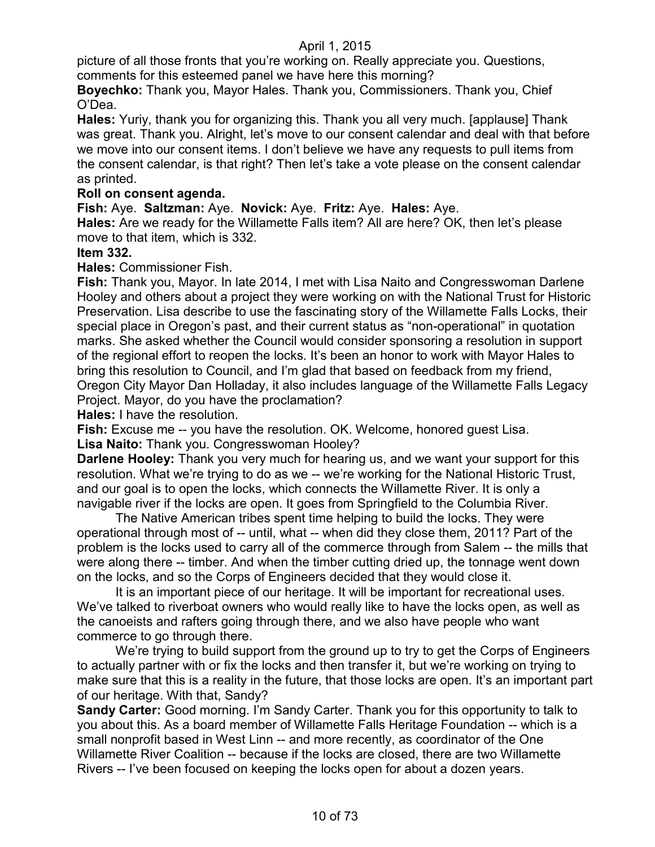picture of all those fronts that you're working on. Really appreciate you. Questions, comments for this esteemed panel we have here this morning?

**Boyechko:** Thank you, Mayor Hales. Thank you, Commissioners. Thank you, Chief O'Dea.

**Hales:** Yuriy, thank you for organizing this. Thank you all very much. [applause] Thank was great. Thank you. Alright, let's move to our consent calendar and deal with that before we move into our consent items. I don't believe we have any requests to pull items from the consent calendar, is that right? Then let's take a vote please on the consent calendar as printed.

## **Roll on consent agenda.**

**Fish:** Aye. **Saltzman:** Aye. **Novick:** Aye. **Fritz:** Aye. **Hales:** Aye.

**Hales:** Are we ready for the Willamette Falls item? All are here? OK, then let's please move to that item, which is 332.

## **Item 332.**

**Hales:** Commissioner Fish.

**Fish:** Thank you, Mayor. In late 2014, I met with Lisa Naito and Congresswoman Darlene Hooley and others about a project they were working on with the National Trust for Historic Preservation. Lisa describe to use the fascinating story of the Willamette Falls Locks, their special place in Oregon's past, and their current status as "non-operational" in quotation marks. She asked whether the Council would consider sponsoring a resolution in support of the regional effort to reopen the locks. It's been an honor to work with Mayor Hales to bring this resolution to Council, and I'm glad that based on feedback from my friend, Oregon City Mayor Dan Holladay, it also includes language of the Willamette Falls Legacy Project. Mayor, do you have the proclamation?

**Hales:** I have the resolution.

**Fish:** Excuse me -- you have the resolution. OK. Welcome, honored guest Lisa.

**Lisa Naito:** Thank you. Congresswoman Hooley?

**Darlene Hooley:** Thank you very much for hearing us, and we want your support for this resolution. What we're trying to do as we -- we're working for the National Historic Trust, and our goal is to open the locks, which connects the Willamette River. It is only a navigable river if the locks are open. It goes from Springfield to the Columbia River.

The Native American tribes spent time helping to build the locks. They were operational through most of -- until, what -- when did they close them, 2011? Part of the problem is the locks used to carry all of the commerce through from Salem -- the mills that were along there -- timber. And when the timber cutting dried up, the tonnage went down on the locks, and so the Corps of Engineers decided that they would close it.

It is an important piece of our heritage. It will be important for recreational uses. We've talked to riverboat owners who would really like to have the locks open, as well as the canoeists and rafters going through there, and we also have people who want commerce to go through there.

We're trying to build support from the ground up to try to get the Corps of Engineers to actually partner with or fix the locks and then transfer it, but we're working on trying to make sure that this is a reality in the future, that those locks are open. It's an important part of our heritage. With that, Sandy?

**Sandy Carter:** Good morning. I'm Sandy Carter. Thank you for this opportunity to talk to you about this. As a board member of Willamette Falls Heritage Foundation -- which is a small nonprofit based in West Linn -- and more recently, as coordinator of the One Willamette River Coalition -- because if the locks are closed, there are two Willamette Rivers -- I've been focused on keeping the locks open for about a dozen years.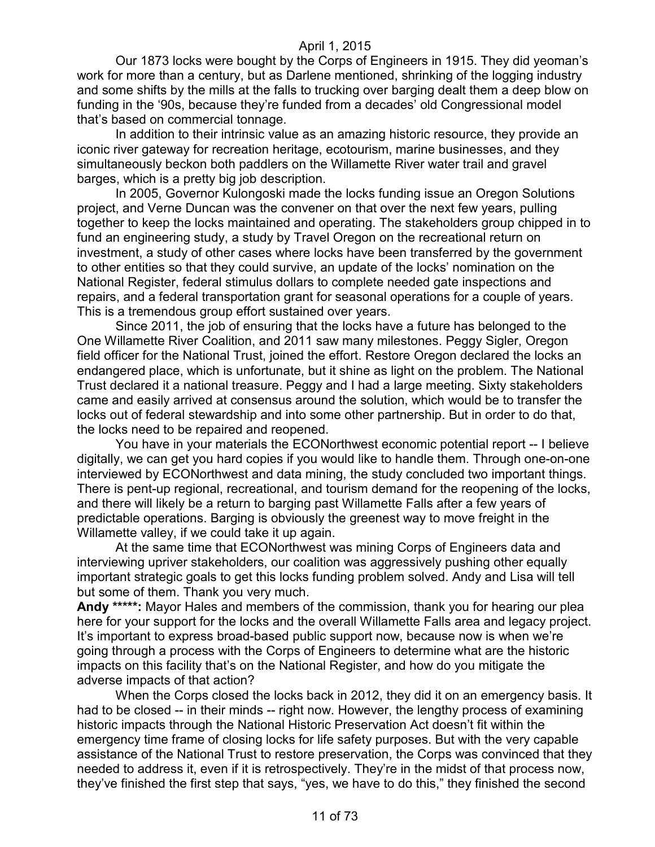Our 1873 locks were bought by the Corps of Engineers in 1915. They did yeoman's work for more than a century, but as Darlene mentioned, shrinking of the logging industry and some shifts by the mills at the falls to trucking over barging dealt them a deep blow on funding in the '90s, because they're funded from a decades' old Congressional model that's based on commercial tonnage.

In addition to their intrinsic value as an amazing historic resource, they provide an iconic river gateway for recreation heritage, ecotourism, marine businesses, and they simultaneously beckon both paddlers on the Willamette River water trail and gravel barges, which is a pretty big job description.

In 2005, Governor Kulongoski made the locks funding issue an Oregon Solutions project, and Verne Duncan was the convener on that over the next few years, pulling together to keep the locks maintained and operating. The stakeholders group chipped in to fund an engineering study, a study by Travel Oregon on the recreational return on investment, a study of other cases where locks have been transferred by the government to other entities so that they could survive, an update of the locks' nomination on the National Register, federal stimulus dollars to complete needed gate inspections and repairs, and a federal transportation grant for seasonal operations for a couple of years. This is a tremendous group effort sustained over years.

Since 2011, the job of ensuring that the locks have a future has belonged to the One Willamette River Coalition, and 2011 saw many milestones. Peggy Sigler, Oregon field officer for the National Trust, joined the effort. Restore Oregon declared the locks an endangered place, which is unfortunate, but it shine as light on the problem. The National Trust declared it a national treasure. Peggy and I had a large meeting. Sixty stakeholders came and easily arrived at consensus around the solution, which would be to transfer the locks out of federal stewardship and into some other partnership. But in order to do that, the locks need to be repaired and reopened.

You have in your materials the ECONorthwest economic potential report -- I believe digitally, we can get you hard copies if you would like to handle them. Through one-on-one interviewed by ECONorthwest and data mining, the study concluded two important things. There is pent-up regional, recreational, and tourism demand for the reopening of the locks, and there will likely be a return to barging past Willamette Falls after a few years of predictable operations. Barging is obviously the greenest way to move freight in the Willamette valley, if we could take it up again.

At the same time that ECONorthwest was mining Corps of Engineers data and interviewing upriver stakeholders, our coalition was aggressively pushing other equally important strategic goals to get this locks funding problem solved. Andy and Lisa will tell but some of them. Thank you very much.

**Andy \*\*\*\*\*:** Mayor Hales and members of the commission, thank you for hearing our plea here for your support for the locks and the overall Willamette Falls area and legacy project. It's important to express broad-based public support now, because now is when we're going through a process with the Corps of Engineers to determine what are the historic impacts on this facility that's on the National Register, and how do you mitigate the adverse impacts of that action?

When the Corps closed the locks back in 2012, they did it on an emergency basis. It had to be closed -- in their minds -- right now. However, the lengthy process of examining historic impacts through the National Historic Preservation Act doesn't fit within the emergency time frame of closing locks for life safety purposes. But with the very capable assistance of the National Trust to restore preservation, the Corps was convinced that they needed to address it, even if it is retrospectively. They're in the midst of that process now, they've finished the first step that says, "yes, we have to do this," they finished the second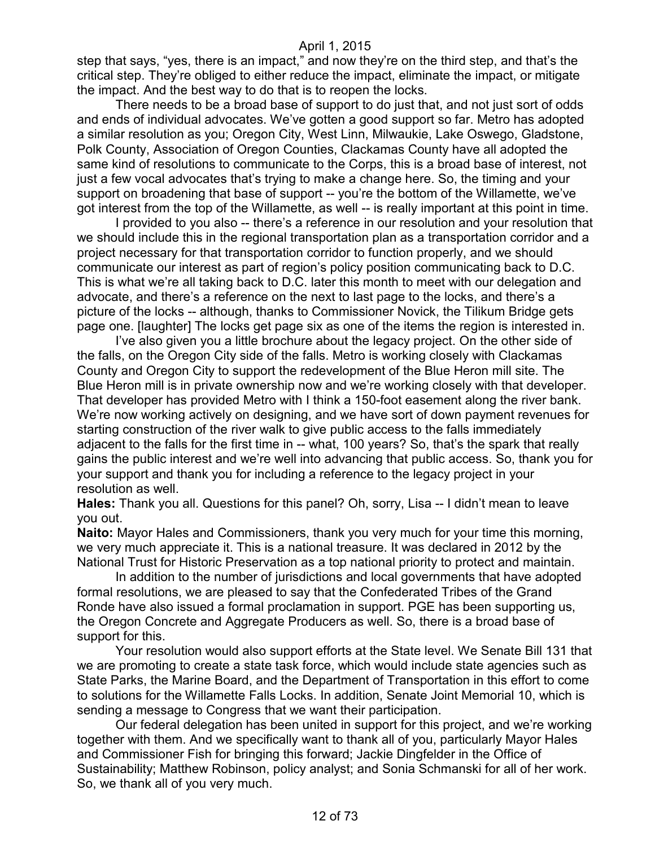step that says, "yes, there is an impact," and now they're on the third step, and that's the critical step. They're obliged to either reduce the impact, eliminate the impact, or mitigate the impact. And the best way to do that is to reopen the locks.

There needs to be a broad base of support to do just that, and not just sort of odds and ends of individual advocates. We've gotten a good support so far. Metro has adopted a similar resolution as you; Oregon City, West Linn, Milwaukie, Lake Oswego, Gladstone, Polk County, Association of Oregon Counties, Clackamas County have all adopted the same kind of resolutions to communicate to the Corps, this is a broad base of interest, not just a few vocal advocates that's trying to make a change here. So, the timing and your support on broadening that base of support -- you're the bottom of the Willamette, we've got interest from the top of the Willamette, as well -- is really important at this point in time.

I provided to you also -- there's a reference in our resolution and your resolution that we should include this in the regional transportation plan as a transportation corridor and a project necessary for that transportation corridor to function properly, and we should communicate our interest as part of region's policy position communicating back to D.C. This is what we're all taking back to D.C. later this month to meet with our delegation and advocate, and there's a reference on the next to last page to the locks, and there's a picture of the locks -- although, thanks to Commissioner Novick, the Tilikum Bridge gets page one. [laughter] The locks get page six as one of the items the region is interested in.

I've also given you a little brochure about the legacy project. On the other side of the falls, on the Oregon City side of the falls. Metro is working closely with Clackamas County and Oregon City to support the redevelopment of the Blue Heron mill site. The Blue Heron mill is in private ownership now and we're working closely with that developer. That developer has provided Metro with I think a 150-foot easement along the river bank. We're now working actively on designing, and we have sort of down payment revenues for starting construction of the river walk to give public access to the falls immediately adjacent to the falls for the first time in -- what, 100 years? So, that's the spark that really gains the public interest and we're well into advancing that public access. So, thank you for your support and thank you for including a reference to the legacy project in your resolution as well.

**Hales:** Thank you all. Questions for this panel? Oh, sorry, Lisa -- I didn't mean to leave you out.

**Naito:** Mayor Hales and Commissioners, thank you very much for your time this morning, we very much appreciate it. This is a national treasure. It was declared in 2012 by the National Trust for Historic Preservation as a top national priority to protect and maintain.

In addition to the number of jurisdictions and local governments that have adopted formal resolutions, we are pleased to say that the Confederated Tribes of the Grand Ronde have also issued a formal proclamation in support. PGE has been supporting us, the Oregon Concrete and Aggregate Producers as well. So, there is a broad base of support for this.

Your resolution would also support efforts at the State level. We Senate Bill 131 that we are promoting to create a state task force, which would include state agencies such as State Parks, the Marine Board, and the Department of Transportation in this effort to come to solutions for the Willamette Falls Locks. In addition, Senate Joint Memorial 10, which is sending a message to Congress that we want their participation.

Our federal delegation has been united in support for this project, and we're working together with them. And we specifically want to thank all of you, particularly Mayor Hales and Commissioner Fish for bringing this forward; Jackie Dingfelder in the Office of Sustainability; Matthew Robinson, policy analyst; and Sonia Schmanski for all of her work. So, we thank all of you very much.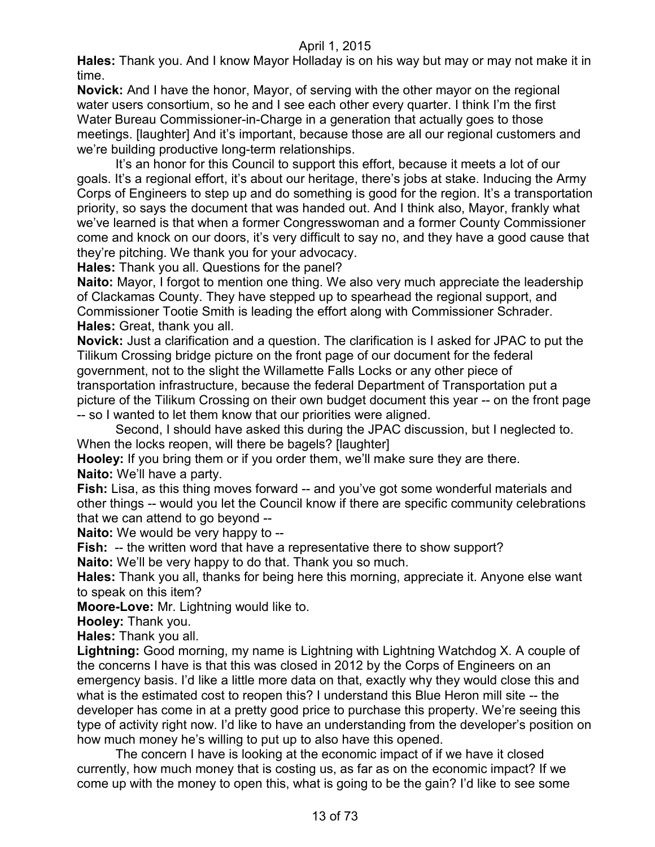**Hales:** Thank you. And I know Mayor Holladay is on his way but may or may not make it in time.

**Novick:** And I have the honor, Mayor, of serving with the other mayor on the regional water users consortium, so he and I see each other every quarter. I think I'm the first Water Bureau Commissioner-in-Charge in a generation that actually goes to those meetings. [laughter] And it's important, because those are all our regional customers and we're building productive long-term relationships.

It's an honor for this Council to support this effort, because it meets a lot of our goals. It's a regional effort, it's about our heritage, there's jobs at stake. Inducing the Army Corps of Engineers to step up and do something is good for the region. It's a transportation priority, so says the document that was handed out. And I think also, Mayor, frankly what we've learned is that when a former Congresswoman and a former County Commissioner come and knock on our doors, it's very difficult to say no, and they have a good cause that they're pitching. We thank you for your advocacy.

**Hales:** Thank you all. Questions for the panel?

**Naito:** Mayor, I forgot to mention one thing. We also very much appreciate the leadership of Clackamas County. They have stepped up to spearhead the regional support, and Commissioner Tootie Smith is leading the effort along with Commissioner Schrader. **Hales:** Great, thank you all.

**Novick:** Just a clarification and a question. The clarification is I asked for JPAC to put the Tilikum Crossing bridge picture on the front page of our document for the federal government, not to the slight the Willamette Falls Locks or any other piece of transportation infrastructure, because the federal Department of Transportation put a picture of the Tilikum Crossing on their own budget document this year -- on the front page -- so I wanted to let them know that our priorities were aligned.

Second, I should have asked this during the JPAC discussion, but I neglected to. When the locks reopen, will there be bagels? [laughter]

**Hooley:** If you bring them or if you order them, we'll make sure they are there. **Naito:** We'll have a party.

**Fish:** Lisa, as this thing moves forward -- and you've got some wonderful materials and other things -- would you let the Council know if there are specific community celebrations that we can attend to go beyond --

**Naito:** We would be very happy to --

**Fish:** -- the written word that have a representative there to show support?

**Naito:** We'll be very happy to do that. Thank you so much.

**Hales:** Thank you all, thanks for being here this morning, appreciate it. Anyone else want to speak on this item?

**Moore-Love:** Mr. Lightning would like to.

**Hooley:** Thank you.

**Hales:** Thank you all.

**Lightning:** Good morning, my name is Lightning with Lightning Watchdog X. A couple of the concerns I have is that this was closed in 2012 by the Corps of Engineers on an emergency basis. I'd like a little more data on that, exactly why they would close this and what is the estimated cost to reopen this? I understand this Blue Heron mill site -- the developer has come in at a pretty good price to purchase this property. We're seeing this type of activity right now. I'd like to have an understanding from the developer's position on how much money he's willing to put up to also have this opened.

The concern I have is looking at the economic impact of if we have it closed currently, how much money that is costing us, as far as on the economic impact? If we come up with the money to open this, what is going to be the gain? I'd like to see some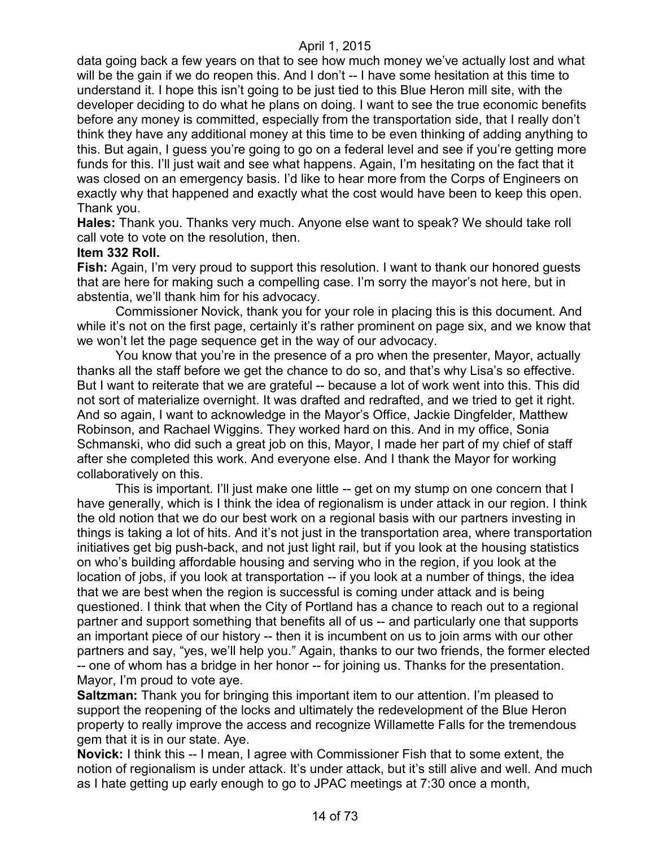data going back a few years on that to see how much money we've actually lost and what will be the gain if we do reopen this. And I don't -- I have some hesitation at this time to understand it. I hope this isn't going to be just tied to this Blue Heron mill site, with the developer deciding to do what he plans on doing. I want to see the true economic benefits before any money is committed, especially from the transportation side, that I really don't think they have any additional money at this time to be even thinking of adding anything to this. But again, I guess you're going to go on a federal level and see if you're getting more funds for this. I'll just wait and see what happens. Again, I'm hesitating on the fact that it was closed on an emergency basis. I'd like to hear more from the Corps of Engineers on exactly why that happened and exactly what the cost would have been to keep this open. Thank you.

**Hales:** Thank you. Thanks very much. Anyone else want to speak? We should take roll call vote to vote on the resolution, then.

#### **Item 332 Roll.**

**Fish:** Again, I'm very proud to support this resolution. I want to thank our honored guests that are here for making such a compelling case. I'm sorry the mayor's not here, but in abstentia, we'll thank him for his advocacy.

Commissioner Novick, thank you for your role in placing this is this document. And while it's not on the first page, certainly it's rather prominent on page six, and we know that we won't let the page sequence get in the way of our advocacy.

You know that you're in the presence of a pro when the presenter, Mayor, actually thanks all the staff before we get the chance to do so, and that's why Lisa's so effective. But I want to reiterate that we are grateful -- because a lot of work went into this. This did not sort of materialize overnight. It was drafted and redrafted, and we tried to get it right. And so again, I want to acknowledge in the Mayor's Office, Jackie Dingfelder, Matthew Robinson, and Rachael Wiggins. They worked hard on this. And in my office, Sonia Schmanski, who did such a great job on this, Mayor, I made her part of my chief of staff after she completed this work. And everyone else. And I thank the Mayor for working collaboratively on this.

This is important. I'll just make one little -- get on my stump on one concern that I have generally, which is I think the idea of regionalism is under attack in our region. I think the old notion that we do our best work on a regional basis with our partners investing in things is taking a lot of hits. And it's not just in the transportation area, where transportation initiatives get big push-back, and not just light rail, but if you look at the housing statistics on who's building affordable housing and serving who in the region, if you look at the location of jobs, if you look at transportation -- if you look at a number of things, the idea that we are best when the region is successful is coming under attack and is being questioned. I think that when the City of Portland has a chance to reach out to a regional partner and support something that benefits all of us -- and particularly one that supports an important piece of our history -- then it is incumbent on us to join arms with our other partners and say, "yes, we'll help you." Again, thanks to our two friends, the former elected -- one of whom has a bridge in her honor -- for joining us. Thanks for the presentation. Mayor, I'm proud to vote aye.

**Saltzman:** Thank you for bringing this important item to our attention. I'm pleased to support the reopening of the locks and ultimately the redevelopment of the Blue Heron property to really improve the access and recognize Willamette Falls for the tremendous gem that it is in our state. Aye.

**Novick:** I think this -- I mean, I agree with Commissioner Fish that to some extent, the notion of regionalism is under attack. It's under attack, but it's still alive and well. And much as I hate getting up early enough to go to JPAC meetings at 7:30 once a month,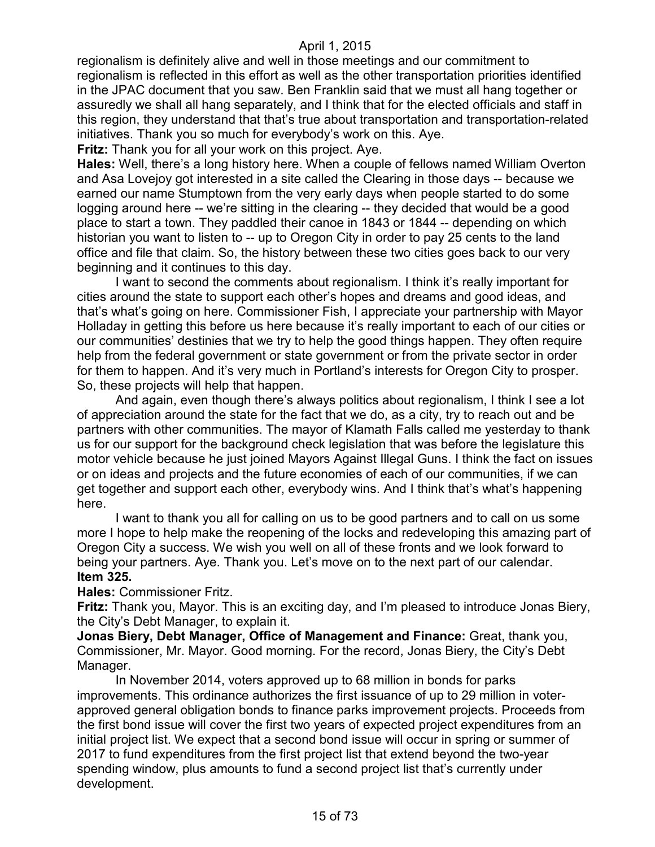regionalism is definitely alive and well in those meetings and our commitment to regionalism is reflected in this effort as well as the other transportation priorities identified in the JPAC document that you saw. Ben Franklin said that we must all hang together or assuredly we shall all hang separately, and I think that for the elected officials and staff in this region, they understand that that's true about transportation and transportation-related initiatives. Thank you so much for everybody's work on this. Aye.

**Fritz:** Thank you for all your work on this project. Aye.

**Hales:** Well, there's a long history here. When a couple of fellows named William Overton and Asa Lovejoy got interested in a site called the Clearing in those days -- because we earned our name Stumptown from the very early days when people started to do some logging around here -- we're sitting in the clearing -- they decided that would be a good place to start a town. They paddled their canoe in 1843 or 1844 -- depending on which historian you want to listen to -- up to Oregon City in order to pay 25 cents to the land office and file that claim. So, the history between these two cities goes back to our very beginning and it continues to this day.

I want to second the comments about regionalism. I think it's really important for cities around the state to support each other's hopes and dreams and good ideas, and that's what's going on here. Commissioner Fish, I appreciate your partnership with Mayor Holladay in getting this before us here because it's really important to each of our cities or our communities' destinies that we try to help the good things happen. They often require help from the federal government or state government or from the private sector in order for them to happen. And it's very much in Portland's interests for Oregon City to prosper. So, these projects will help that happen.

And again, even though there's always politics about regionalism, I think I see a lot of appreciation around the state for the fact that we do, as a city, try to reach out and be partners with other communities. The mayor of Klamath Falls called me yesterday to thank us for our support for the background check legislation that was before the legislature this motor vehicle because he just joined Mayors Against Illegal Guns. I think the fact on issues or on ideas and projects and the future economies of each of our communities, if we can get together and support each other, everybody wins. And I think that's what's happening here.

I want to thank you all for calling on us to be good partners and to call on us some more I hope to help make the reopening of the locks and redeveloping this amazing part of Oregon City a success. We wish you well on all of these fronts and we look forward to being your partners. Aye. Thank you. Let's move on to the next part of our calendar. **Item 325.**

**Hales:** Commissioner Fritz.

**Fritz:** Thank you, Mayor. This is an exciting day, and I'm pleased to introduce Jonas Biery, the City's Debt Manager, to explain it.

**Jonas Biery, Debt Manager, Office of Management and Finance:** Great, thank you, Commissioner, Mr. Mayor. Good morning. For the record, Jonas Biery, the City's Debt Manager.

In November 2014, voters approved up to 68 million in bonds for parks improvements. This ordinance authorizes the first issuance of up to 29 million in voterapproved general obligation bonds to finance parks improvement projects. Proceeds from the first bond issue will cover the first two years of expected project expenditures from an initial project list. We expect that a second bond issue will occur in spring or summer of 2017 to fund expenditures from the first project list that extend beyond the two-year spending window, plus amounts to fund a second project list that's currently under development.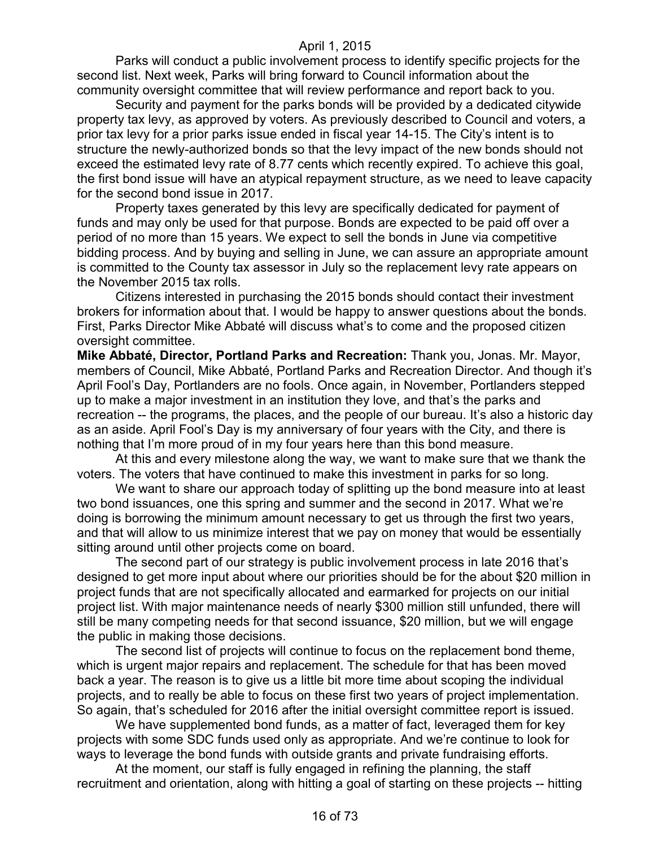Parks will conduct a public involvement process to identify specific projects for the second list. Next week, Parks will bring forward to Council information about the community oversight committee that will review performance and report back to you.

Security and payment for the parks bonds will be provided by a dedicated citywide property tax levy, as approved by voters. As previously described to Council and voters, a prior tax levy for a prior parks issue ended in fiscal year 14-15. The City's intent is to structure the newly-authorized bonds so that the levy impact of the new bonds should not exceed the estimated levy rate of 8.77 cents which recently expired. To achieve this goal, the first bond issue will have an atypical repayment structure, as we need to leave capacity for the second bond issue in 2017.

Property taxes generated by this levy are specifically dedicated for payment of funds and may only be used for that purpose. Bonds are expected to be paid off over a period of no more than 15 years. We expect to sell the bonds in June via competitive bidding process. And by buying and selling in June, we can assure an appropriate amount is committed to the County tax assessor in July so the replacement levy rate appears on the November 2015 tax rolls.

Citizens interested in purchasing the 2015 bonds should contact their investment brokers for information about that. I would be happy to answer questions about the bonds. First, Parks Director Mike Abbaté will discuss what's to come and the proposed citizen oversight committee.

**Mike Abbaté, Director, Portland Parks and Recreation:** Thank you, Jonas. Mr. Mayor, members of Council, Mike Abbaté, Portland Parks and Recreation Director. And though it's April Fool's Day, Portlanders are no fools. Once again, in November, Portlanders stepped up to make a major investment in an institution they love, and that's the parks and recreation -- the programs, the places, and the people of our bureau. It's also a historic day as an aside. April Fool's Day is my anniversary of four years with the City, and there is nothing that I'm more proud of in my four years here than this bond measure.

At this and every milestone along the way, we want to make sure that we thank the voters. The voters that have continued to make this investment in parks for so long.

We want to share our approach today of splitting up the bond measure into at least two bond issuances, one this spring and summer and the second in 2017. What we're doing is borrowing the minimum amount necessary to get us through the first two years, and that will allow to us minimize interest that we pay on money that would be essentially sitting around until other projects come on board.

The second part of our strategy is public involvement process in late 2016 that's designed to get more input about where our priorities should be for the about \$20 million in project funds that are not specifically allocated and earmarked for projects on our initial project list. With major maintenance needs of nearly \$300 million still unfunded, there will still be many competing needs for that second issuance, \$20 million, but we will engage the public in making those decisions.

The second list of projects will continue to focus on the replacement bond theme, which is urgent major repairs and replacement. The schedule for that has been moved back a year. The reason is to give us a little bit more time about scoping the individual projects, and to really be able to focus on these first two years of project implementation. So again, that's scheduled for 2016 after the initial oversight committee report is issued.

We have supplemented bond funds, as a matter of fact, leveraged them for key projects with some SDC funds used only as appropriate. And we're continue to look for ways to leverage the bond funds with outside grants and private fundraising efforts.

At the moment, our staff is fully engaged in refining the planning, the staff recruitment and orientation, along with hitting a goal of starting on these projects -- hitting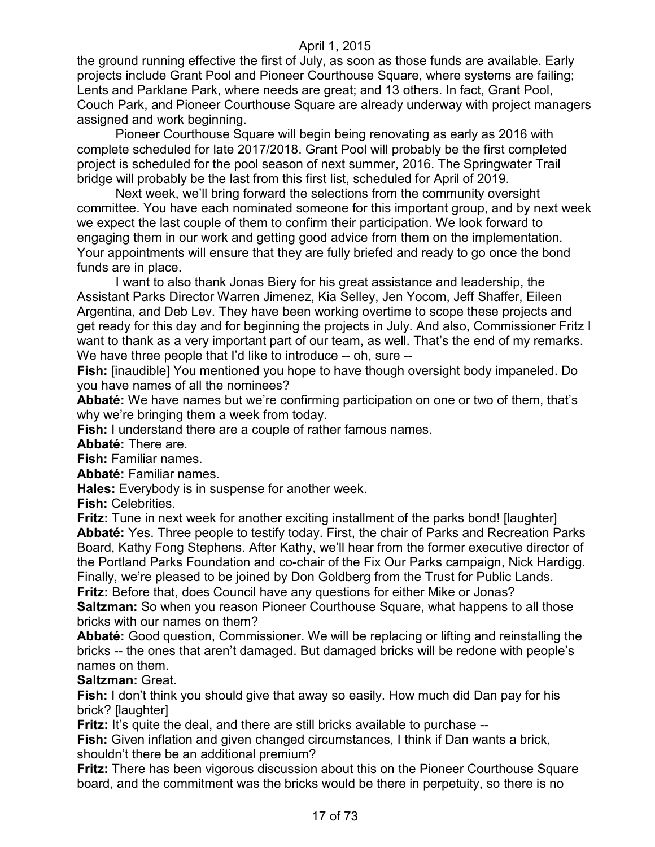the ground running effective the first of July, as soon as those funds are available. Early projects include Grant Pool and Pioneer Courthouse Square, where systems are failing; Lents and Parklane Park, where needs are great; and 13 others. In fact, Grant Pool, Couch Park, and Pioneer Courthouse Square are already underway with project managers assigned and work beginning.

Pioneer Courthouse Square will begin being renovating as early as 2016 with complete scheduled for late 2017/2018. Grant Pool will probably be the first completed project is scheduled for the pool season of next summer, 2016. The Springwater Trail bridge will probably be the last from this first list, scheduled for April of 2019.

Next week, we'll bring forward the selections from the community oversight committee. You have each nominated someone for this important group, and by next week we expect the last couple of them to confirm their participation. We look forward to engaging them in our work and getting good advice from them on the implementation. Your appointments will ensure that they are fully briefed and ready to go once the bond funds are in place.

I want to also thank Jonas Biery for his great assistance and leadership, the Assistant Parks Director Warren Jimenez, Kia Selley, Jen Yocom, Jeff Shaffer, Eileen Argentina, and Deb Lev. They have been working overtime to scope these projects and get ready for this day and for beginning the projects in July. And also, Commissioner Fritz I want to thank as a very important part of our team, as well. That's the end of my remarks. We have three people that I'd like to introduce -- oh, sure --

**Fish:** [inaudible] You mentioned you hope to have though oversight body impaneled. Do you have names of all the nominees?

**Abbaté:** We have names but we're confirming participation on one or two of them, that's why we're bringing them a week from today.

**Fish:** I understand there are a couple of rather famous names.

**Abbaté:** There are.

**Fish:** Familiar names.

**Abbaté:** Familiar names.

**Hales:** Everybody is in suspense for another week.

**Fish:** Celebrities.

**Fritz:** Tune in next week for another exciting installment of the parks bond! [laughter] **Abbaté:** Yes. Three people to testify today. First, the chair of Parks and Recreation Parks Board, Kathy Fong Stephens. After Kathy, we'll hear from the former executive director of the Portland Parks Foundation and co-chair of the Fix Our Parks campaign, Nick Hardigg. Finally, we're pleased to be joined by Don Goldberg from the Trust for Public Lands. **Fritz:** Before that, does Council have any questions for either Mike or Jonas?

**Saltzman:** So when you reason Pioneer Courthouse Square, what happens to all those bricks with our names on them?

**Abbaté:** Good question, Commissioner. We will be replacing or lifting and reinstalling the bricks -- the ones that aren't damaged. But damaged bricks will be redone with people's names on them.

## **Saltzman:** Great.

**Fish:** I don't think you should give that away so easily. How much did Dan pay for his brick? [laughter]

**Fritz:** It's quite the deal, and there are still bricks available to purchase --

**Fish:** Given inflation and given changed circumstances, I think if Dan wants a brick, shouldn't there be an additional premium?

**Fritz:** There has been vigorous discussion about this on the Pioneer Courthouse Square board, and the commitment was the bricks would be there in perpetuity, so there is no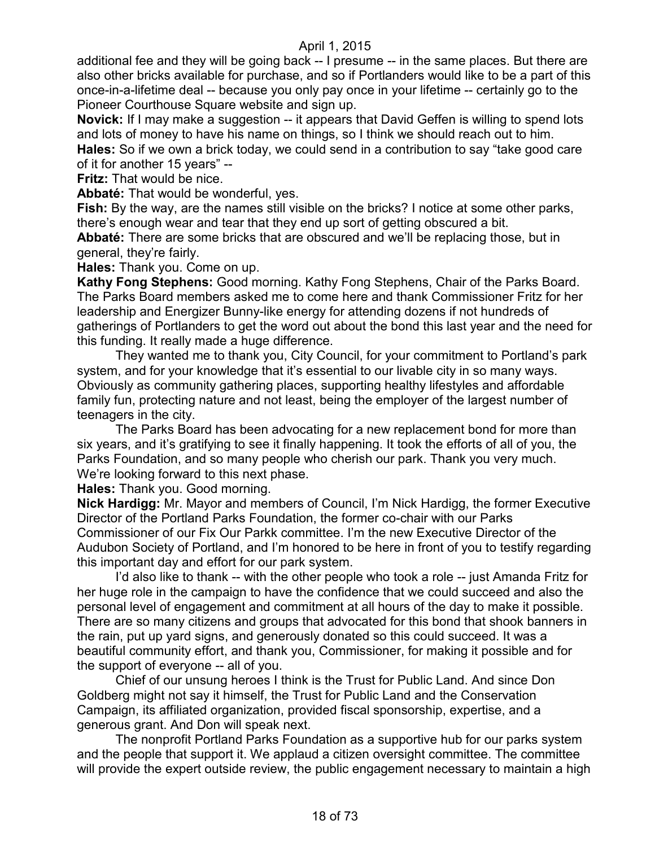additional fee and they will be going back -- I presume -- in the same places. But there are also other bricks available for purchase, and so if Portlanders would like to be a part of this once-in-a-lifetime deal -- because you only pay once in your lifetime -- certainly go to the Pioneer Courthouse Square website and sign up.

**Novick:** If I may make a suggestion -- it appears that David Geffen is willing to spend lots and lots of money to have his name on things, so I think we should reach out to him. **Hales:** So if we own a brick today, we could send in a contribution to say "take good care of it for another 15 years" --

**Fritz:** That would be nice.

**Abbaté:** That would be wonderful, yes.

**Fish:** By the way, are the names still visible on the bricks? I notice at some other parks, there's enough wear and tear that they end up sort of getting obscured a bit. **Abbaté:** There are some bricks that are obscured and we'll be replacing those, but in

general, they're fairly.

**Hales:** Thank you. Come on up.

**Kathy Fong Stephens:** Good morning. Kathy Fong Stephens, Chair of the Parks Board. The Parks Board members asked me to come here and thank Commissioner Fritz for her leadership and Energizer Bunny-like energy for attending dozens if not hundreds of gatherings of Portlanders to get the word out about the bond this last year and the need for this funding. It really made a huge difference.

They wanted me to thank you, City Council, for your commitment to Portland's park system, and for your knowledge that it's essential to our livable city in so many ways. Obviously as community gathering places, supporting healthy lifestyles and affordable family fun, protecting nature and not least, being the employer of the largest number of teenagers in the city.

The Parks Board has been advocating for a new replacement bond for more than six years, and it's gratifying to see it finally happening. It took the efforts of all of you, the Parks Foundation, and so many people who cherish our park. Thank you very much. We're looking forward to this next phase.

**Hales:** Thank you. Good morning.

**Nick Hardigg:** Mr. Mayor and members of Council, I'm Nick Hardigg, the former Executive Director of the Portland Parks Foundation, the former co-chair with our Parks Commissioner of our Fix Our Parkk committee. I'm the new Executive Director of the Audubon Society of Portland, and I'm honored to be here in front of you to testify regarding this important day and effort for our park system.

I'd also like to thank -- with the other people who took a role -- just Amanda Fritz for her huge role in the campaign to have the confidence that we could succeed and also the personal level of engagement and commitment at all hours of the day to make it possible. There are so many citizens and groups that advocated for this bond that shook banners in the rain, put up yard signs, and generously donated so this could succeed. It was a beautiful community effort, and thank you, Commissioner, for making it possible and for the support of everyone -- all of you.

Chief of our unsung heroes I think is the Trust for Public Land. And since Don Goldberg might not say it himself, the Trust for Public Land and the Conservation Campaign, its affiliated organization, provided fiscal sponsorship, expertise, and a generous grant. And Don will speak next.

The nonprofit Portland Parks Foundation as a supportive hub for our parks system and the people that support it. We applaud a citizen oversight committee. The committee will provide the expert outside review, the public engagement necessary to maintain a high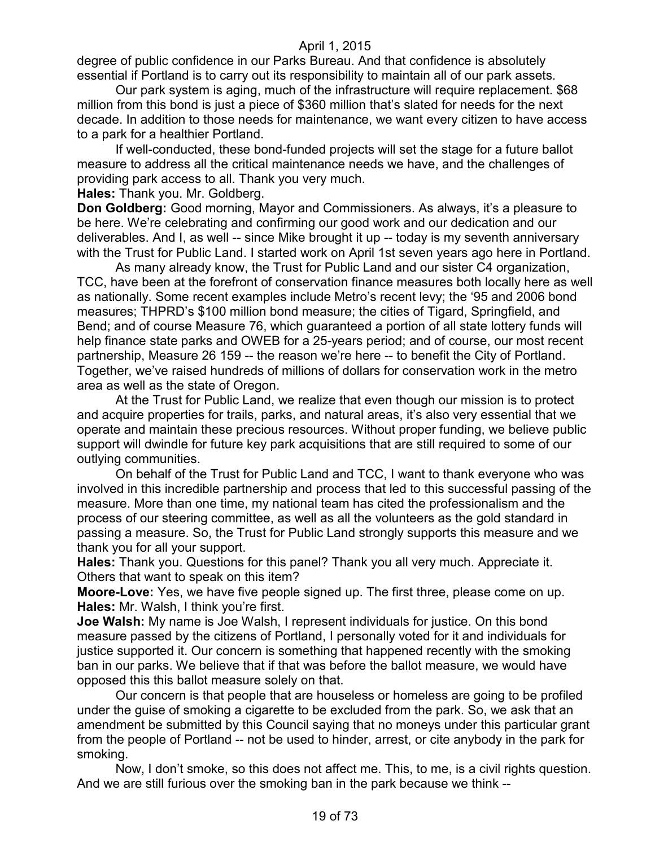degree of public confidence in our Parks Bureau. And that confidence is absolutely essential if Portland is to carry out its responsibility to maintain all of our park assets.

Our park system is aging, much of the infrastructure will require replacement. \$68 million from this bond is just a piece of \$360 million that's slated for needs for the next decade. In addition to those needs for maintenance, we want every citizen to have access to a park for a healthier Portland.

If well-conducted, these bond-funded projects will set the stage for a future ballot measure to address all the critical maintenance needs we have, and the challenges of providing park access to all. Thank you very much.

**Hales:** Thank you. Mr. Goldberg.

**Don Goldberg:** Good morning, Mayor and Commissioners. As always, it's a pleasure to be here. We're celebrating and confirming our good work and our dedication and our deliverables. And I, as well -- since Mike brought it up -- today is my seventh anniversary with the Trust for Public Land. I started work on April 1st seven years ago here in Portland.

As many already know, the Trust for Public Land and our sister C4 organization, TCC, have been at the forefront of conservation finance measures both locally here as well as nationally. Some recent examples include Metro's recent levy; the '95 and 2006 bond measures; THPRD's \$100 million bond measure; the cities of Tigard, Springfield, and Bend; and of course Measure 76, which guaranteed a portion of all state lottery funds will help finance state parks and OWEB for a 25-years period; and of course, our most recent partnership, Measure 26 159 -- the reason we're here -- to benefit the City of Portland. Together, we've raised hundreds of millions of dollars for conservation work in the metro area as well as the state of Oregon.

At the Trust for Public Land, we realize that even though our mission is to protect and acquire properties for trails, parks, and natural areas, it's also very essential that we operate and maintain these precious resources. Without proper funding, we believe public support will dwindle for future key park acquisitions that are still required to some of our outlying communities.

On behalf of the Trust for Public Land and TCC, I want to thank everyone who was involved in this incredible partnership and process that led to this successful passing of the measure. More than one time, my national team has cited the professionalism and the process of our steering committee, as well as all the volunteers as the gold standard in passing a measure. So, the Trust for Public Land strongly supports this measure and we thank you for all your support.

**Hales:** Thank you. Questions for this panel? Thank you all very much. Appreciate it. Others that want to speak on this item?

**Moore-Love:** Yes, we have five people signed up. The first three, please come on up. **Hales:** Mr. Walsh, I think you're first.

**Joe Walsh:** My name is Joe Walsh, I represent individuals for justice. On this bond measure passed by the citizens of Portland, I personally voted for it and individuals for justice supported it. Our concern is something that happened recently with the smoking ban in our parks. We believe that if that was before the ballot measure, we would have opposed this this ballot measure solely on that.

Our concern is that people that are houseless or homeless are going to be profiled under the guise of smoking a cigarette to be excluded from the park. So, we ask that an amendment be submitted by this Council saying that no moneys under this particular grant from the people of Portland -- not be used to hinder, arrest, or cite anybody in the park for smoking.

Now, I don't smoke, so this does not affect me. This, to me, is a civil rights question. And we are still furious over the smoking ban in the park because we think --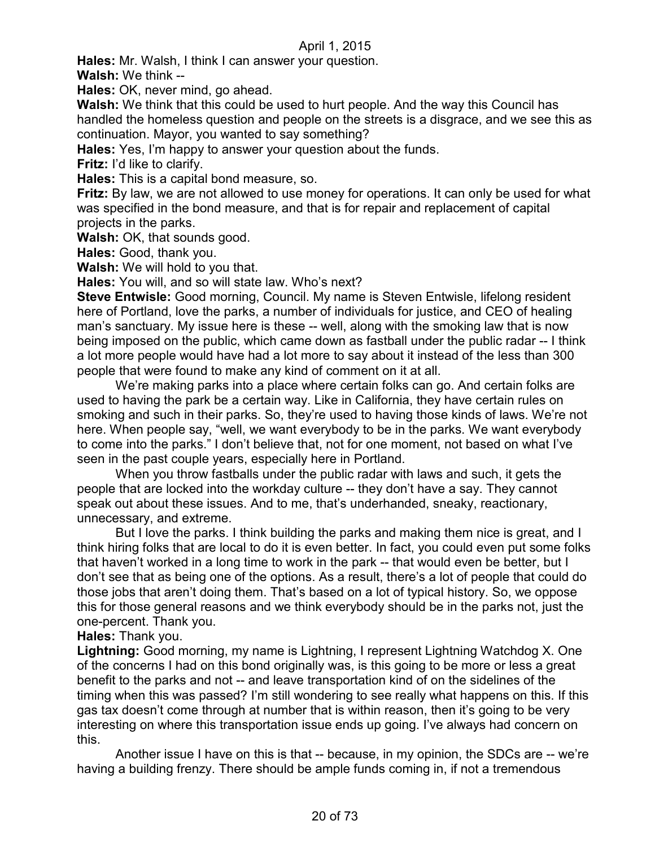**Hales:** Mr. Walsh, I think I can answer your question.

**Walsh:** We think --

**Hales:** OK, never mind, go ahead.

**Walsh:** We think that this could be used to hurt people. And the way this Council has handled the homeless question and people on the streets is a disgrace, and we see this as continuation. Mayor, you wanted to say something?

**Hales:** Yes, I'm happy to answer your question about the funds.

**Fritz:** I'd like to clarify.

**Hales:** This is a capital bond measure, so.

**Fritz:** By law, we are not allowed to use money for operations. It can only be used for what was specified in the bond measure, and that is for repair and replacement of capital projects in the parks.

**Walsh:** OK, that sounds good.

**Hales:** Good, thank you.

**Walsh:** We will hold to you that.

**Hales:** You will, and so will state law. Who's next?

**Steve Entwisle:** Good morning, Council. My name is Steven Entwisle, lifelong resident here of Portland, love the parks, a number of individuals for justice, and CEO of healing man's sanctuary. My issue here is these -- well, along with the smoking law that is now being imposed on the public, which came down as fastball under the public radar -- I think a lot more people would have had a lot more to say about it instead of the less than 300 people that were found to make any kind of comment on it at all.

We're making parks into a place where certain folks can go. And certain folks are used to having the park be a certain way. Like in California, they have certain rules on smoking and such in their parks. So, they're used to having those kinds of laws. We're not here. When people say, "well, we want everybody to be in the parks. We want everybody to come into the parks." I don't believe that, not for one moment, not based on what I've seen in the past couple years, especially here in Portland.

When you throw fastballs under the public radar with laws and such, it gets the people that are locked into the workday culture -- they don't have a say. They cannot speak out about these issues. And to me, that's underhanded, sneaky, reactionary, unnecessary, and extreme.

But I love the parks. I think building the parks and making them nice is great, and I think hiring folks that are local to do it is even better. In fact, you could even put some folks that haven't worked in a long time to work in the park -- that would even be better, but I don't see that as being one of the options. As a result, there's a lot of people that could do those jobs that aren't doing them. That's based on a lot of typical history. So, we oppose this for those general reasons and we think everybody should be in the parks not, just the one-percent. Thank you.

#### **Hales:** Thank you.

**Lightning:** Good morning, my name is Lightning, I represent Lightning Watchdog X. One of the concerns I had on this bond originally was, is this going to be more or less a great benefit to the parks and not -- and leave transportation kind of on the sidelines of the timing when this was passed? I'm still wondering to see really what happens on this. If this gas tax doesn't come through at number that is within reason, then it's going to be very interesting on where this transportation issue ends up going. I've always had concern on this.

Another issue I have on this is that -- because, in my opinion, the SDCs are -- we're having a building frenzy. There should be ample funds coming in, if not a tremendous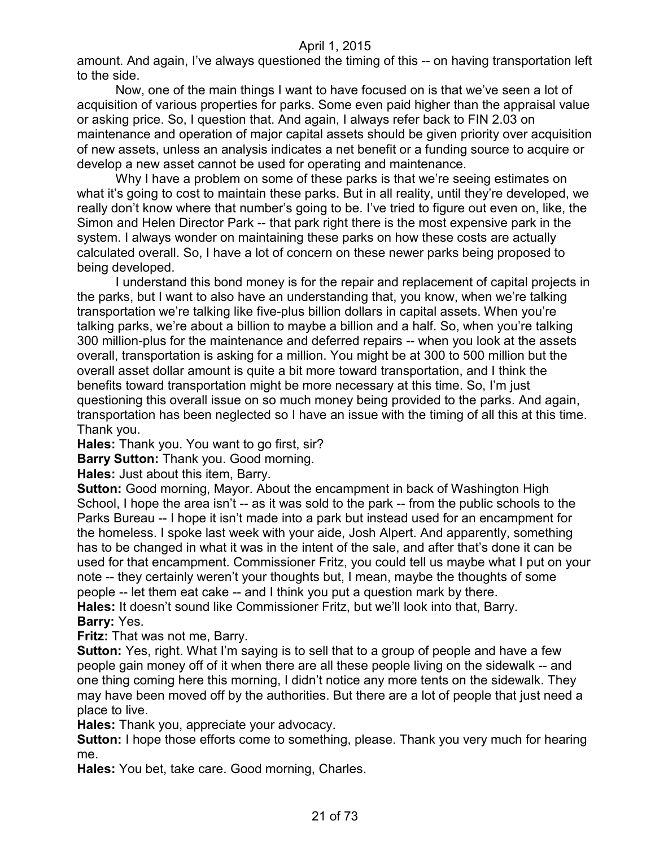amount. And again, I've always questioned the timing of this -- on having transportation left to the side.

Now, one of the main things I want to have focused on is that we've seen a lot of acquisition of various properties for parks. Some even paid higher than the appraisal value or asking price. So, I question that. And again, I always refer back to FIN 2.03 on maintenance and operation of major capital assets should be given priority over acquisition of new assets, unless an analysis indicates a net benefit or a funding source to acquire or develop a new asset cannot be used for operating and maintenance.

Why I have a problem on some of these parks is that we're seeing estimates on what it's going to cost to maintain these parks. But in all reality, until they're developed, we really don't know where that number's going to be. I've tried to figure out even on, like, the Simon and Helen Director Park -- that park right there is the most expensive park in the system. I always wonder on maintaining these parks on how these costs are actually calculated overall. So, I have a lot of concern on these newer parks being proposed to being developed.

I understand this bond money is for the repair and replacement of capital projects in the parks, but I want to also have an understanding that, you know, when we're talking transportation we're talking like five-plus billion dollars in capital assets. When you're talking parks, we're about a billion to maybe a billion and a half. So, when you're talking 300 million-plus for the maintenance and deferred repairs -- when you look at the assets overall, transportation is asking for a million. You might be at 300 to 500 million but the overall asset dollar amount is quite a bit more toward transportation, and I think the benefits toward transportation might be more necessary at this time. So, I'm just questioning this overall issue on so much money being provided to the parks. And again, transportation has been neglected so I have an issue with the timing of all this at this time. Thank you.

**Hales:** Thank you. You want to go first, sir?

**Barry Sutton:** Thank you. Good morning.

**Hales:** Just about this item, Barry.

**Sutton:** Good morning, Mayor. About the encampment in back of Washington High School, I hope the area isn't -- as it was sold to the park -- from the public schools to the Parks Bureau -- I hope it isn't made into a park but instead used for an encampment for the homeless. I spoke last week with your aide, Josh Alpert. And apparently, something has to be changed in what it was in the intent of the sale, and after that's done it can be used for that encampment. Commissioner Fritz, you could tell us maybe what I put on your note -- they certainly weren't your thoughts but, I mean, maybe the thoughts of some people -- let them eat cake -- and I think you put a question mark by there. **Hales:** It doesn't sound like Commissioner Fritz, but we'll look into that, Barry. **Barry:** Yes.

**Fritz:** That was not me, Barry.

**Sutton:** Yes, right. What I'm saying is to sell that to a group of people and have a few people gain money off of it when there are all these people living on the sidewalk -- and one thing coming here this morning, I didn't notice any more tents on the sidewalk. They may have been moved off by the authorities. But there are a lot of people that just need a place to live.

**Hales:** Thank you, appreciate your advocacy.

**Sutton:** I hope those efforts come to something, please. Thank you very much for hearing me.

**Hales:** You bet, take care. Good morning, Charles.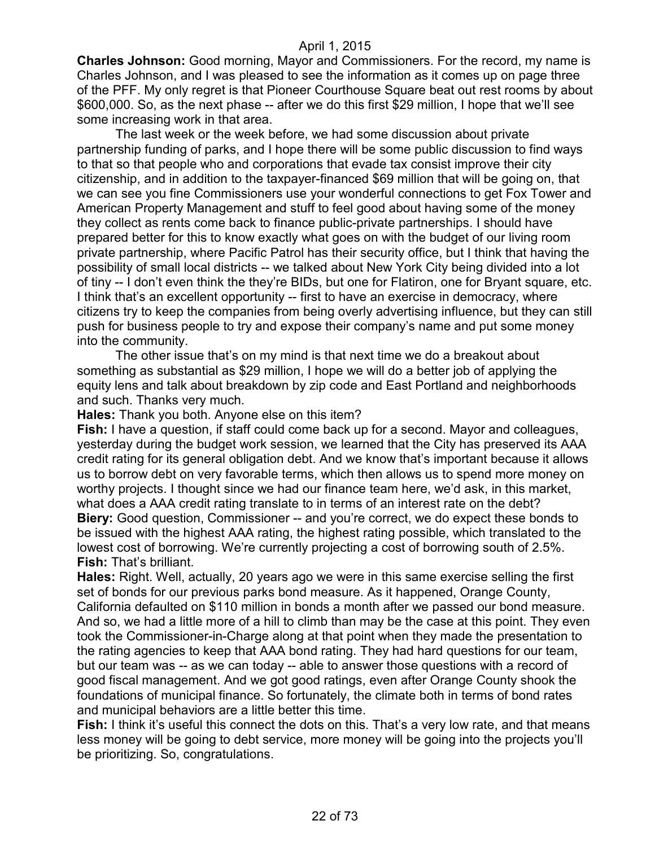**Charles Johnson:** Good morning, Mayor and Commissioners. For the record, my name is Charles Johnson, and I was pleased to see the information as it comes up on page three of the PFF. My only regret is that Pioneer Courthouse Square beat out rest rooms by about \$600,000. So, as the next phase -- after we do this first \$29 million, I hope that we'll see some increasing work in that area.

The last week or the week before, we had some discussion about private partnership funding of parks, and I hope there will be some public discussion to find ways to that so that people who and corporations that evade tax consist improve their city citizenship, and in addition to the taxpayer-financed \$69 million that will be going on, that we can see you fine Commissioners use your wonderful connections to get Fox Tower and American Property Management and stuff to feel good about having some of the money they collect as rents come back to finance public-private partnerships. I should have prepared better for this to know exactly what goes on with the budget of our living room private partnership, where Pacific Patrol has their security office, but I think that having the possibility of small local districts -- we talked about New York City being divided into a lot of tiny -- I don't even think the they're BIDs, but one for Flatiron, one for Bryant square, etc. I think that's an excellent opportunity -- first to have an exercise in democracy, where citizens try to keep the companies from being overly advertising influence, but they can still push for business people to try and expose their company's name and put some money into the community.

The other issue that's on my mind is that next time we do a breakout about something as substantial as \$29 million, I hope we will do a better job of applying the equity lens and talk about breakdown by zip code and East Portland and neighborhoods and such. Thanks very much.

**Hales:** Thank you both. Anyone else on this item?

**Fish:** I have a question, if staff could come back up for a second. Mayor and colleagues, yesterday during the budget work session, we learned that the City has preserved its AAA credit rating for its general obligation debt. And we know that's important because it allows us to borrow debt on very favorable terms, which then allows us to spend more money on worthy projects. I thought since we had our finance team here, we'd ask, in this market, what does a AAA credit rating translate to in terms of an interest rate on the debt? **Biery:** Good question, Commissioner -- and you're correct, we do expect these bonds to be issued with the highest AAA rating, the highest rating possible, which translated to the lowest cost of borrowing. We're currently projecting a cost of borrowing south of 2.5%. **Fish:** That's brilliant.

**Hales:** Right. Well, actually, 20 years ago we were in this same exercise selling the first set of bonds for our previous parks bond measure. As it happened, Orange County, California defaulted on \$110 million in bonds a month after we passed our bond measure. And so, we had a little more of a hill to climb than may be the case at this point. They even took the Commissioner-in-Charge along at that point when they made the presentation to the rating agencies to keep that AAA bond rating. They had hard questions for our team, but our team was -- as we can today -- able to answer those questions with a record of good fiscal management. And we got good ratings, even after Orange County shook the foundations of municipal finance. So fortunately, the climate both in terms of bond rates and municipal behaviors are a little better this time.

**Fish:** I think it's useful this connect the dots on this. That's a very low rate, and that means less money will be going to debt service, more money will be going into the projects you'll be prioritizing. So, congratulations.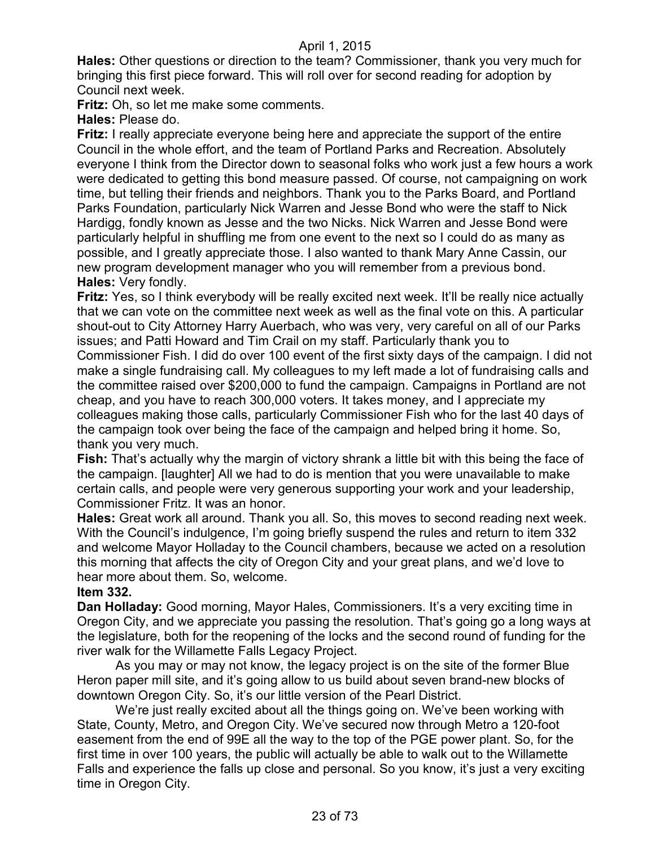**Hales:** Other questions or direction to the team? Commissioner, thank you very much for bringing this first piece forward. This will roll over for second reading for adoption by Council next week.

**Fritz:** Oh, so let me make some comments.

**Hales:** Please do.

**Fritz:** I really appreciate everyone being here and appreciate the support of the entire Council in the whole effort, and the team of Portland Parks and Recreation. Absolutely everyone I think from the Director down to seasonal folks who work just a few hours a work were dedicated to getting this bond measure passed. Of course, not campaigning on work time, but telling their friends and neighbors. Thank you to the Parks Board, and Portland Parks Foundation, particularly Nick Warren and Jesse Bond who were the staff to Nick Hardigg, fondly known as Jesse and the two Nicks. Nick Warren and Jesse Bond were particularly helpful in shuffling me from one event to the next so I could do as many as possible, and I greatly appreciate those. I also wanted to thank Mary Anne Cassin, our new program development manager who you will remember from a previous bond. **Hales:** Very fondly.

**Fritz:** Yes, so I think everybody will be really excited next week. It'll be really nice actually that we can vote on the committee next week as well as the final vote on this. A particular shout-out to City Attorney Harry Auerbach, who was very, very careful on all of our Parks issues; and Patti Howard and Tim Crail on my staff. Particularly thank you to Commissioner Fish. I did do over 100 event of the first sixty days of the campaign. I did not make a single fundraising call. My colleagues to my left made a lot of fundraising calls and the committee raised over \$200,000 to fund the campaign. Campaigns in Portland are not cheap, and you have to reach 300,000 voters. It takes money, and I appreciate my colleagues making those calls, particularly Commissioner Fish who for the last 40 days of the campaign took over being the face of the campaign and helped bring it home. So, thank you very much.

**Fish:** That's actually why the margin of victory shrank a little bit with this being the face of the campaign. [laughter] All we had to do is mention that you were unavailable to make certain calls, and people were very generous supporting your work and your leadership, Commissioner Fritz. It was an honor.

**Hales:** Great work all around. Thank you all. So, this moves to second reading next week. With the Council's indulgence, I'm going briefly suspend the rules and return to item 332 and welcome Mayor Holladay to the Council chambers, because we acted on a resolution this morning that affects the city of Oregon City and your great plans, and we'd love to hear more about them. So, welcome.

#### **Item 332.**

**Dan Holladay:** Good morning, Mayor Hales, Commissioners. It's a very exciting time in Oregon City, and we appreciate you passing the resolution. That's going go a long ways at the legislature, both for the reopening of the locks and the second round of funding for the river walk for the Willamette Falls Legacy Project.

As you may or may not know, the legacy project is on the site of the former Blue Heron paper mill site, and it's going allow to us build about seven brand-new blocks of downtown Oregon City. So, it's our little version of the Pearl District.

We're just really excited about all the things going on. We've been working with State, County, Metro, and Oregon City. We've secured now through Metro a 120-foot easement from the end of 99E all the way to the top of the PGE power plant. So, for the first time in over 100 years, the public will actually be able to walk out to the Willamette Falls and experience the falls up close and personal. So you know, it's just a very exciting time in Oregon City.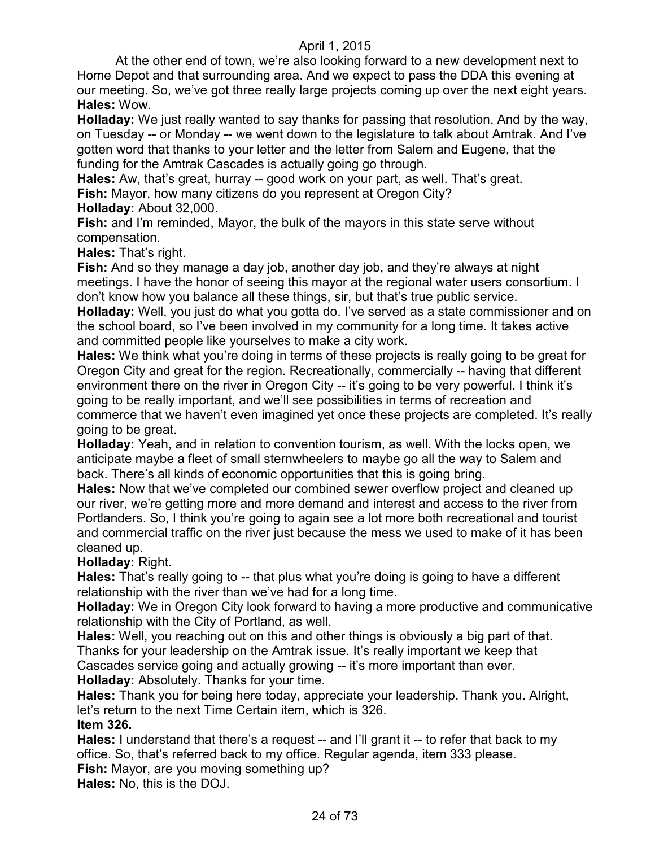At the other end of town, we're also looking forward to a new development next to Home Depot and that surrounding area. And we expect to pass the DDA this evening at our meeting. So, we've got three really large projects coming up over the next eight years. **Hales:** Wow.

**Holladay:** We just really wanted to say thanks for passing that resolution. And by the way, on Tuesday -- or Monday -- we went down to the legislature to talk about Amtrak. And I've gotten word that thanks to your letter and the letter from Salem and Eugene, that the funding for the Amtrak Cascades is actually going go through.

**Hales:** Aw, that's great, hurray -- good work on your part, as well. That's great.

**Fish:** Mayor, how many citizens do you represent at Oregon City?

**Holladay:** About 32,000.

**Fish:** and I'm reminded, Mayor, the bulk of the mayors in this state serve without compensation.

**Hales:** That's right.

**Fish:** And so they manage a day job, another day job, and they're always at night meetings. I have the honor of seeing this mayor at the regional water users consortium. I don't know how you balance all these things, sir, but that's true public service.

**Holladay:** Well, you just do what you gotta do. I've served as a state commissioner and on the school board, so I've been involved in my community for a long time. It takes active and committed people like yourselves to make a city work.

**Hales:** We think what you're doing in terms of these projects is really going to be great for Oregon City and great for the region. Recreationally, commercially -- having that different environment there on the river in Oregon City -- it's going to be very powerful. I think it's going to be really important, and we'll see possibilities in terms of recreation and commerce that we haven't even imagined yet once these projects are completed. It's really going to be great.

**Holladay:** Yeah, and in relation to convention tourism, as well. With the locks open, we anticipate maybe a fleet of small sternwheelers to maybe go all the way to Salem and back. There's all kinds of economic opportunities that this is going bring.

**Hales:** Now that we've completed our combined sewer overflow project and cleaned up our river, we're getting more and more demand and interest and access to the river from Portlanders. So, I think you're going to again see a lot more both recreational and tourist and commercial traffic on the river just because the mess we used to make of it has been cleaned up.

## **Holladay:** Right.

**Hales:** That's really going to -- that plus what you're doing is going to have a different relationship with the river than we've had for a long time.

**Holladay:** We in Oregon City look forward to having a more productive and communicative relationship with the City of Portland, as well.

**Hales:** Well, you reaching out on this and other things is obviously a big part of that. Thanks for your leadership on the Amtrak issue. It's really important we keep that Cascades service going and actually growing -- it's more important than ever.

**Holladay:** Absolutely. Thanks for your time.

**Hales:** Thank you for being here today, appreciate your leadership. Thank you. Alright, let's return to the next Time Certain item, which is 326. **Item 326.**

**Hales:** I understand that there's a request -- and I'll grant it -- to refer that back to my office. So, that's referred back to my office. Regular agenda, item 333 please. **Fish:** Mayor, are you moving something up?

**Hales:** No, this is the DOJ.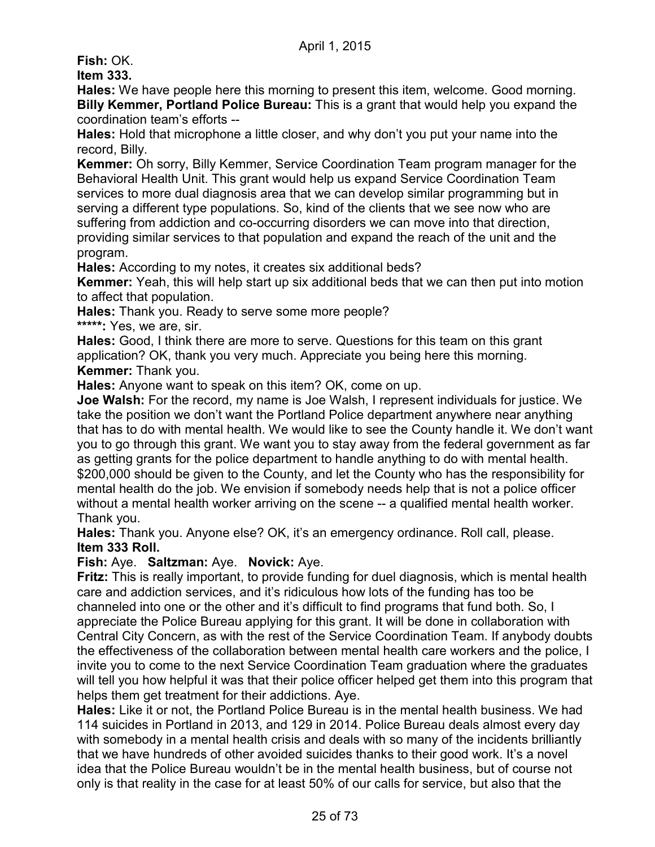**Fish:** OK.

**Item 333.**

**Hales:** We have people here this morning to present this item, welcome. Good morning. **Billy Kemmer, Portland Police Bureau:** This is a grant that would help you expand the coordination team's efforts --

**Hales:** Hold that microphone a little closer, and why don't you put your name into the record, Billy.

**Kemmer:** Oh sorry, Billy Kemmer, Service Coordination Team program manager for the Behavioral Health Unit. This grant would help us expand Service Coordination Team services to more dual diagnosis area that we can develop similar programming but in serving a different type populations. So, kind of the clients that we see now who are suffering from addiction and co-occurring disorders we can move into that direction, providing similar services to that population and expand the reach of the unit and the program.

**Hales:** According to my notes, it creates six additional beds?

**Kemmer:** Yeah, this will help start up six additional beds that we can then put into motion to affect that population.

**Hales:** Thank you. Ready to serve some more people?

**\*\*\*\*\*:** Yes, we are, sir.

**Hales:** Good, I think there are more to serve. Questions for this team on this grant application? OK, thank you very much. Appreciate you being here this morning. **Kemmer:** Thank you.

**Hales:** Anyone want to speak on this item? OK, come on up.

**Joe Walsh:** For the record, my name is Joe Walsh, I represent individuals for justice. We take the position we don't want the Portland Police department anywhere near anything that has to do with mental health. We would like to see the County handle it. We don't want you to go through this grant. We want you to stay away from the federal government as far as getting grants for the police department to handle anything to do with mental health. \$200,000 should be given to the County, and let the County who has the responsibility for mental health do the job. We envision if somebody needs help that is not a police officer without a mental health worker arriving on the scene -- a qualified mental health worker. Thank you.

**Hales:** Thank you. Anyone else? OK, it's an emergency ordinance. Roll call, please. **Item 333 Roll.** 

## **Fish:** Aye. **Saltzman:** Aye. **Novick:** Aye.

**Fritz:** This is really important, to provide funding for duel diagnosis, which is mental health care and addiction services, and it's ridiculous how lots of the funding has too be channeled into one or the other and it's difficult to find programs that fund both. So, I appreciate the Police Bureau applying for this grant. It will be done in collaboration with Central City Concern, as with the rest of the Service Coordination Team. If anybody doubts the effectiveness of the collaboration between mental health care workers and the police, I invite you to come to the next Service Coordination Team graduation where the graduates will tell you how helpful it was that their police officer helped get them into this program that helps them get treatment for their addictions. Aye.

**Hales:** Like it or not, the Portland Police Bureau is in the mental health business. We had 114 suicides in Portland in 2013, and 129 in 2014. Police Bureau deals almost every day with somebody in a mental health crisis and deals with so many of the incidents brilliantly that we have hundreds of other avoided suicides thanks to their good work. It's a novel idea that the Police Bureau wouldn't be in the mental health business, but of course not only is that reality in the case for at least 50% of our calls for service, but also that the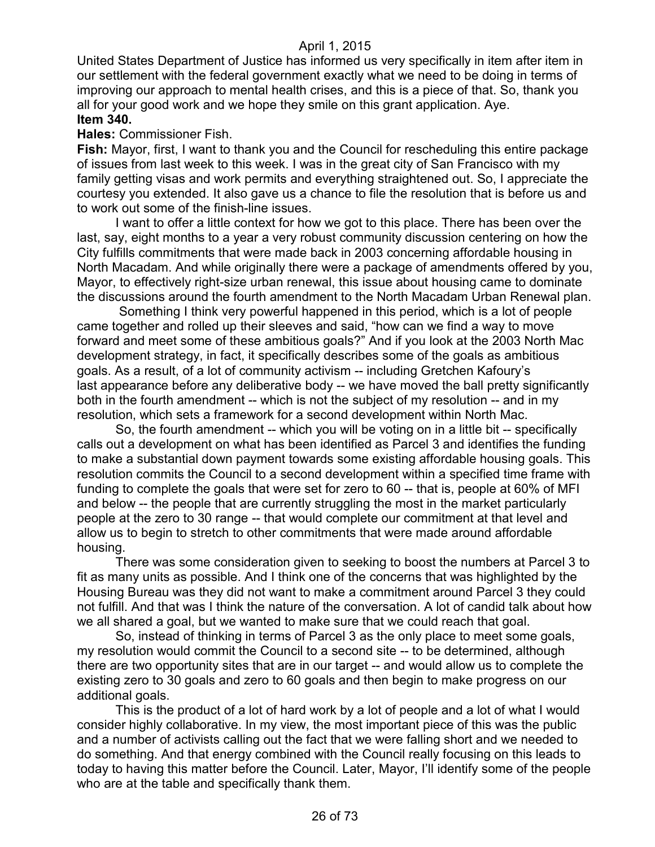United States Department of Justice has informed us very specifically in item after item in our settlement with the federal government exactly what we need to be doing in terms of improving our approach to mental health crises, and this is a piece of that. So, thank you all for your good work and we hope they smile on this grant application. Aye. **Item 340.**

#### **Hales:** Commissioner Fish.

**Fish:** Mayor, first, I want to thank you and the Council for rescheduling this entire package of issues from last week to this week. I was in the great city of San Francisco with my family getting visas and work permits and everything straightened out. So, I appreciate the courtesy you extended. It also gave us a chance to file the resolution that is before us and to work out some of the finish-line issues.

I want to offer a little context for how we got to this place. There has been over the last, say, eight months to a year a very robust community discussion centering on how the City fulfills commitments that were made back in 2003 concerning affordable housing in North Macadam. And while originally there were a package of amendments offered by you, Mayor, to effectively right-size urban renewal, this issue about housing came to dominate the discussions around the fourth amendment to the North Macadam Urban Renewal plan.

Something I think very powerful happened in this period, which is a lot of people came together and rolled up their sleeves and said, "how can we find a way to move forward and meet some of these ambitious goals?" And if you look at the 2003 North Mac development strategy, in fact, it specifically describes some of the goals as ambitious goals. As a result, of a lot of community activism -- including Gretchen Kafoury's last appearance before any deliberative body -- we have moved the ball pretty significantly both in the fourth amendment -- which is not the subject of my resolution -- and in my resolution, which sets a framework for a second development within North Mac.

So, the fourth amendment -- which you will be voting on in a little bit -- specifically calls out a development on what has been identified as Parcel 3 and identifies the funding to make a substantial down payment towards some existing affordable housing goals. This resolution commits the Council to a second development within a specified time frame with funding to complete the goals that were set for zero to 60 -- that is, people at 60% of MFI and below -- the people that are currently struggling the most in the market particularly people at the zero to 30 range -- that would complete our commitment at that level and allow us to begin to stretch to other commitments that were made around affordable housing.

There was some consideration given to seeking to boost the numbers at Parcel 3 to fit as many units as possible. And I think one of the concerns that was highlighted by the Housing Bureau was they did not want to make a commitment around Parcel 3 they could not fulfill. And that was I think the nature of the conversation. A lot of candid talk about how we all shared a goal, but we wanted to make sure that we could reach that goal.

So, instead of thinking in terms of Parcel 3 as the only place to meet some goals, my resolution would commit the Council to a second site -- to be determined, although there are two opportunity sites that are in our target -- and would allow us to complete the existing zero to 30 goals and zero to 60 goals and then begin to make progress on our additional goals.

This is the product of a lot of hard work by a lot of people and a lot of what I would consider highly collaborative. In my view, the most important piece of this was the public and a number of activists calling out the fact that we were falling short and we needed to do something. And that energy combined with the Council really focusing on this leads to today to having this matter before the Council. Later, Mayor, I'll identify some of the people who are at the table and specifically thank them.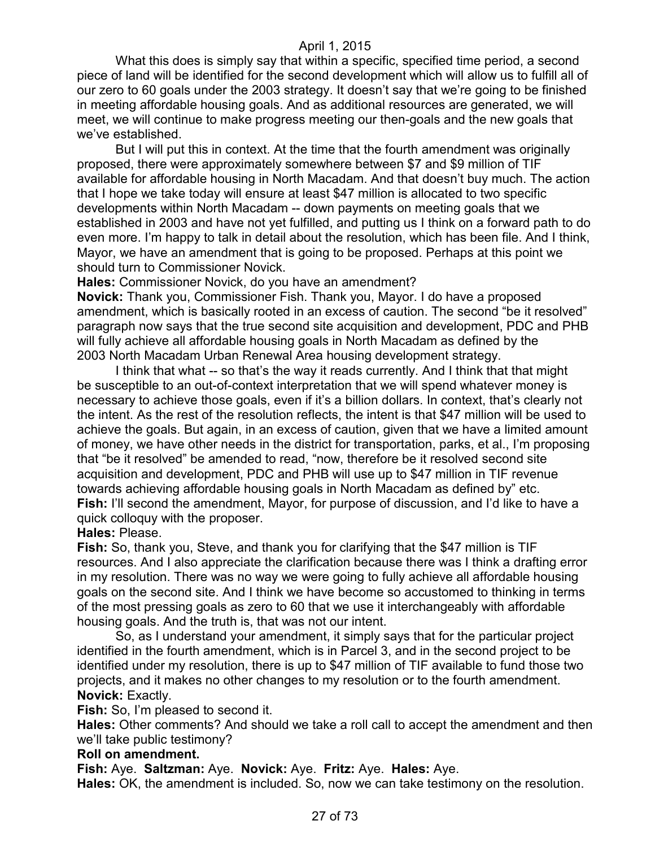What this does is simply say that within a specific, specified time period, a second piece of land will be identified for the second development which will allow us to fulfill all of our zero to 60 goals under the 2003 strategy. It doesn't say that we're going to be finished in meeting affordable housing goals. And as additional resources are generated, we will meet, we will continue to make progress meeting our then-goals and the new goals that we've established.

But I will put this in context. At the time that the fourth amendment was originally proposed, there were approximately somewhere between \$7 and \$9 million of TIF available for affordable housing in North Macadam. And that doesn't buy much. The action that I hope we take today will ensure at least \$47 million is allocated to two specific developments within North Macadam -- down payments on meeting goals that we established in 2003 and have not yet fulfilled, and putting us I think on a forward path to do even more. I'm happy to talk in detail about the resolution, which has been file. And I think, Mayor, we have an amendment that is going to be proposed. Perhaps at this point we should turn to Commissioner Novick.

**Hales:** Commissioner Novick, do you have an amendment?

**Novick:** Thank you, Commissioner Fish. Thank you, Mayor. I do have a proposed amendment, which is basically rooted in an excess of caution. The second "be it resolved" paragraph now says that the true second site acquisition and development, PDC and PHB will fully achieve all affordable housing goals in North Macadam as defined by the 2003 North Macadam Urban Renewal Area housing development strategy.

I think that what -- so that's the way it reads currently. And I think that that might be susceptible to an out-of-context interpretation that we will spend whatever money is necessary to achieve those goals, even if it's a billion dollars. In context, that's clearly not the intent. As the rest of the resolution reflects, the intent is that \$47 million will be used to achieve the goals. But again, in an excess of caution, given that we have a limited amount of money, we have other needs in the district for transportation, parks, et al., I'm proposing that "be it resolved" be amended to read, "now, therefore be it resolved second site acquisition and development, PDC and PHB will use up to \$47 million in TIF revenue towards achieving affordable housing goals in North Macadam as defined by" etc. **Fish:** I'll second the amendment, Mayor, for purpose of discussion, and I'd like to have a quick colloquy with the proposer.

**Hales:** Please.

**Fish:** So, thank you, Steve, and thank you for clarifying that the \$47 million is TIF resources. And I also appreciate the clarification because there was I think a drafting error in my resolution. There was no way we were going to fully achieve all affordable housing goals on the second site. And I think we have become so accustomed to thinking in terms of the most pressing goals as zero to 60 that we use it interchangeably with affordable housing goals. And the truth is, that was not our intent.

So, as I understand your amendment, it simply says that for the particular project identified in the fourth amendment, which is in Parcel 3, and in the second project to be identified under my resolution, there is up to \$47 million of TIF available to fund those two projects, and it makes no other changes to my resolution or to the fourth amendment. **Novick:** Exactly.

**Fish:** So, I'm pleased to second it.

**Hales:** Other comments? And should we take a roll call to accept the amendment and then we'll take public testimony?

#### **Roll on amendment.**

**Fish:** Aye. **Saltzman:** Aye. **Novick:** Aye. **Fritz:** Aye. **Hales:** Aye.

**Hales:** OK, the amendment is included. So, now we can take testimony on the resolution.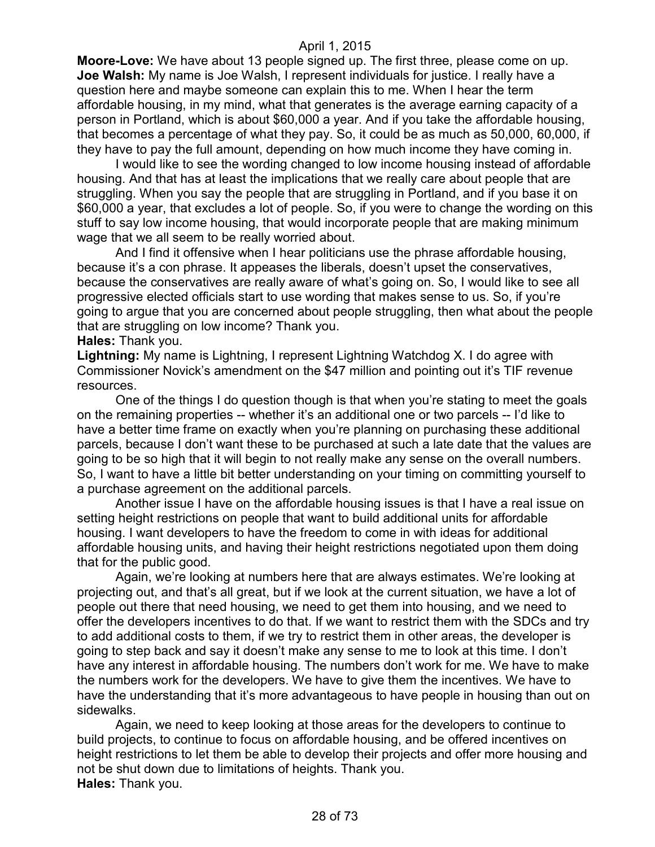**Moore-Love:** We have about 13 people signed up. The first three, please come on up. **Joe Walsh:** My name is Joe Walsh, I represent individuals for justice. I really have a question here and maybe someone can explain this to me. When I hear the term affordable housing, in my mind, what that generates is the average earning capacity of a person in Portland, which is about \$60,000 a year. And if you take the affordable housing, that becomes a percentage of what they pay. So, it could be as much as 50,000, 60,000, if they have to pay the full amount, depending on how much income they have coming in.

I would like to see the wording changed to low income housing instead of affordable housing. And that has at least the implications that we really care about people that are struggling. When you say the people that are struggling in Portland, and if you base it on \$60,000 a year, that excludes a lot of people. So, if you were to change the wording on this stuff to say low income housing, that would incorporate people that are making minimum wage that we all seem to be really worried about.

And I find it offensive when I hear politicians use the phrase affordable housing, because it's a con phrase. It appeases the liberals, doesn't upset the conservatives, because the conservatives are really aware of what's going on. So, I would like to see all progressive elected officials start to use wording that makes sense to us. So, if you're going to argue that you are concerned about people struggling, then what about the people that are struggling on low income? Thank you.

#### **Hales:** Thank you.

**Lightning:** My name is Lightning, I represent Lightning Watchdog X. I do agree with Commissioner Novick's amendment on the \$47 million and pointing out it's TIF revenue resources.

One of the things I do question though is that when you're stating to meet the goals on the remaining properties -- whether it's an additional one or two parcels -- I'd like to have a better time frame on exactly when you're planning on purchasing these additional parcels, because I don't want these to be purchased at such a late date that the values are going to be so high that it will begin to not really make any sense on the overall numbers. So, I want to have a little bit better understanding on your timing on committing yourself to a purchase agreement on the additional parcels.

Another issue I have on the affordable housing issues is that I have a real issue on setting height restrictions on people that want to build additional units for affordable housing. I want developers to have the freedom to come in with ideas for additional affordable housing units, and having their height restrictions negotiated upon them doing that for the public good.

Again, we're looking at numbers here that are always estimates. We're looking at projecting out, and that's all great, but if we look at the current situation, we have a lot of people out there that need housing, we need to get them into housing, and we need to offer the developers incentives to do that. If we want to restrict them with the SDCs and try to add additional costs to them, if we try to restrict them in other areas, the developer is going to step back and say it doesn't make any sense to me to look at this time. I don't have any interest in affordable housing. The numbers don't work for me. We have to make the numbers work for the developers. We have to give them the incentives. We have to have the understanding that it's more advantageous to have people in housing than out on sidewalks.

Again, we need to keep looking at those areas for the developers to continue to build projects, to continue to focus on affordable housing, and be offered incentives on height restrictions to let them be able to develop their projects and offer more housing and not be shut down due to limitations of heights. Thank you. **Hales:** Thank you.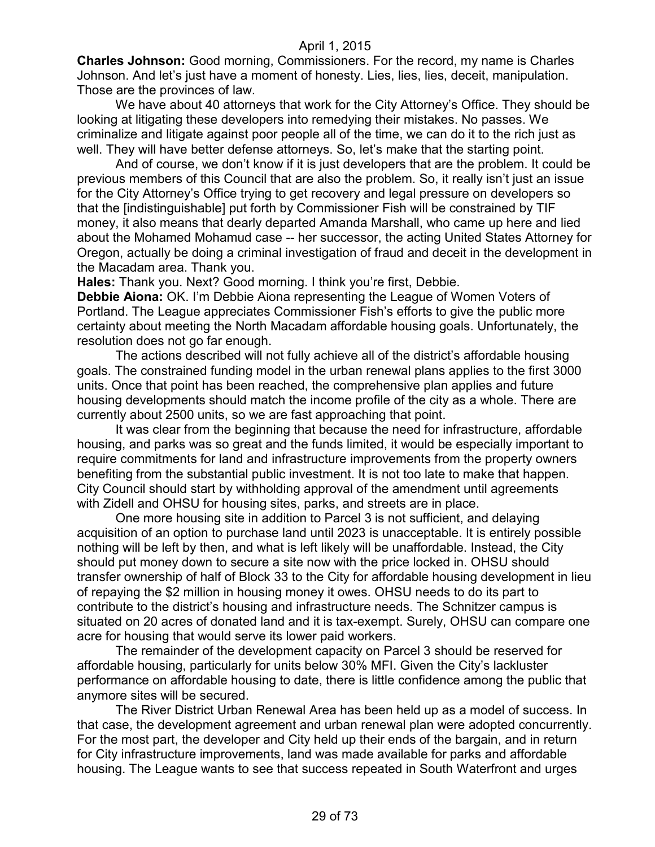**Charles Johnson:** Good morning, Commissioners. For the record, my name is Charles Johnson. And let's just have a moment of honesty. Lies, lies, lies, deceit, manipulation. Those are the provinces of law.

We have about 40 attorneys that work for the City Attorney's Office. They should be looking at litigating these developers into remedying their mistakes. No passes. We criminalize and litigate against poor people all of the time, we can do it to the rich just as well. They will have better defense attorneys. So, let's make that the starting point.

And of course, we don't know if it is just developers that are the problem. It could be previous members of this Council that are also the problem. So, it really isn't just an issue for the City Attorney's Office trying to get recovery and legal pressure on developers so that the [indistinguishable] put forth by Commissioner Fish will be constrained by TIF money, it also means that dearly departed Amanda Marshall, who came up here and lied about the Mohamed Mohamud case -- her successor, the acting United States Attorney for Oregon, actually be doing a criminal investigation of fraud and deceit in the development in the Macadam area. Thank you.

**Hales:** Thank you. Next? Good morning. I think you're first, Debbie.

**Debbie Aiona:** OK. I'm Debbie Aiona representing the League of Women Voters of Portland. The League appreciates Commissioner Fish's efforts to give the public more certainty about meeting the North Macadam affordable housing goals. Unfortunately, the resolution does not go far enough.

The actions described will not fully achieve all of the district's affordable housing goals. The constrained funding model in the urban renewal plans applies to the first 3000 units. Once that point has been reached, the comprehensive plan applies and future housing developments should match the income profile of the city as a whole. There are currently about 2500 units, so we are fast approaching that point.

It was clear from the beginning that because the need for infrastructure, affordable housing, and parks was so great and the funds limited, it would be especially important to require commitments for land and infrastructure improvements from the property owners benefiting from the substantial public investment. It is not too late to make that happen. City Council should start by withholding approval of the amendment until agreements with Zidell and OHSU for housing sites, parks, and streets are in place.

One more housing site in addition to Parcel 3 is not sufficient, and delaying acquisition of an option to purchase land until 2023 is unacceptable. It is entirely possible nothing will be left by then, and what is left likely will be unaffordable. Instead, the City should put money down to secure a site now with the price locked in. OHSU should transfer ownership of half of Block 33 to the City for affordable housing development in lieu of repaying the \$2 million in housing money it owes. OHSU needs to do its part to contribute to the district's housing and infrastructure needs. The Schnitzer campus is situated on 20 acres of donated land and it is tax-exempt. Surely, OHSU can compare one acre for housing that would serve its lower paid workers.

The remainder of the development capacity on Parcel 3 should be reserved for affordable housing, particularly for units below 30% MFI. Given the City's lackluster performance on affordable housing to date, there is little confidence among the public that anymore sites will be secured.

The River District Urban Renewal Area has been held up as a model of success. In that case, the development agreement and urban renewal plan were adopted concurrently. For the most part, the developer and City held up their ends of the bargain, and in return for City infrastructure improvements, land was made available for parks and affordable housing. The League wants to see that success repeated in South Waterfront and urges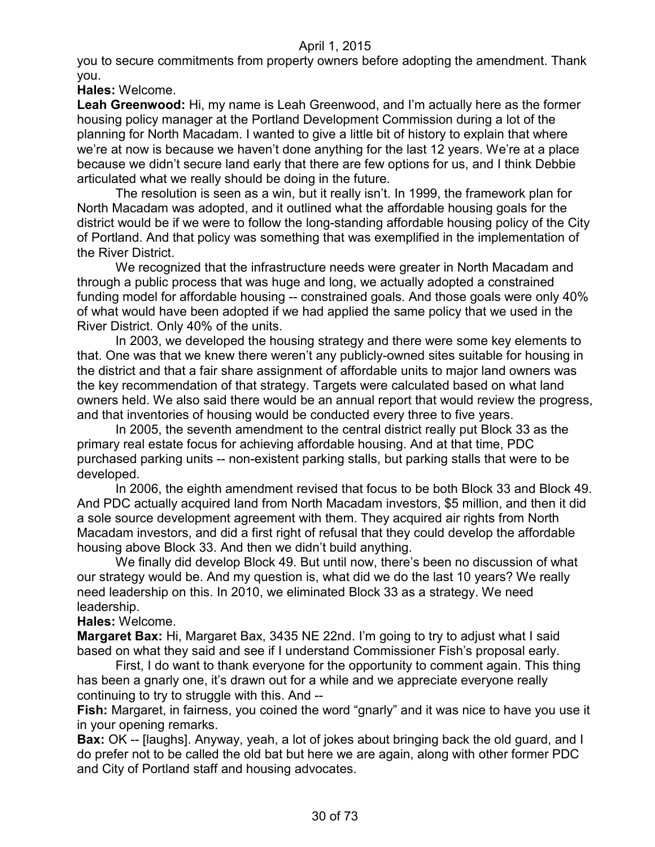you to secure commitments from property owners before adopting the amendment. Thank you.

**Hales:** Welcome.

**Leah Greenwood:** Hi, my name is Leah Greenwood, and I'm actually here as the former housing policy manager at the Portland Development Commission during a lot of the planning for North Macadam. I wanted to give a little bit of history to explain that where we're at now is because we haven't done anything for the last 12 years. We're at a place because we didn't secure land early that there are few options for us, and I think Debbie articulated what we really should be doing in the future.

The resolution is seen as a win, but it really isn't. In 1999, the framework plan for North Macadam was adopted, and it outlined what the affordable housing goals for the district would be if we were to follow the long-standing affordable housing policy of the City of Portland. And that policy was something that was exemplified in the implementation of the River District.

We recognized that the infrastructure needs were greater in North Macadam and through a public process that was huge and long, we actually adopted a constrained funding model for affordable housing -- constrained goals. And those goals were only 40% of what would have been adopted if we had applied the same policy that we used in the River District. Only 40% of the units.

In 2003, we developed the housing strategy and there were some key elements to that. One was that we knew there weren't any publicly-owned sites suitable for housing in the district and that a fair share assignment of affordable units to major land owners was the key recommendation of that strategy. Targets were calculated based on what land owners held. We also said there would be an annual report that would review the progress, and that inventories of housing would be conducted every three to five years.

In 2005, the seventh amendment to the central district really put Block 33 as the primary real estate focus for achieving affordable housing. And at that time, PDC purchased parking units -- non-existent parking stalls, but parking stalls that were to be developed.

In 2006, the eighth amendment revised that focus to be both Block 33 and Block 49. And PDC actually acquired land from North Macadam investors, \$5 million, and then it did a sole source development agreement with them. They acquired air rights from North Macadam investors, and did a first right of refusal that they could develop the affordable housing above Block 33. And then we didn't build anything.

We finally did develop Block 49. But until now, there's been no discussion of what our strategy would be. And my question is, what did we do the last 10 years? We really need leadership on this. In 2010, we eliminated Block 33 as a strategy. We need leadership.

**Hales:** Welcome.

**Margaret Bax:** Hi, Margaret Bax, 3435 NE 22nd. I'm going to try to adjust what I said based on what they said and see if I understand Commissioner Fish's proposal early.

First, I do want to thank everyone for the opportunity to comment again. This thing has been a gnarly one, it's drawn out for a while and we appreciate everyone really continuing to try to struggle with this. And --

**Fish:** Margaret, in fairness, you coined the word "gnarly" and it was nice to have you use it in your opening remarks.

**Bax:** OK -- [laughs]. Anyway, yeah, a lot of jokes about bringing back the old guard, and I do prefer not to be called the old bat but here we are again, along with other former PDC and City of Portland staff and housing advocates.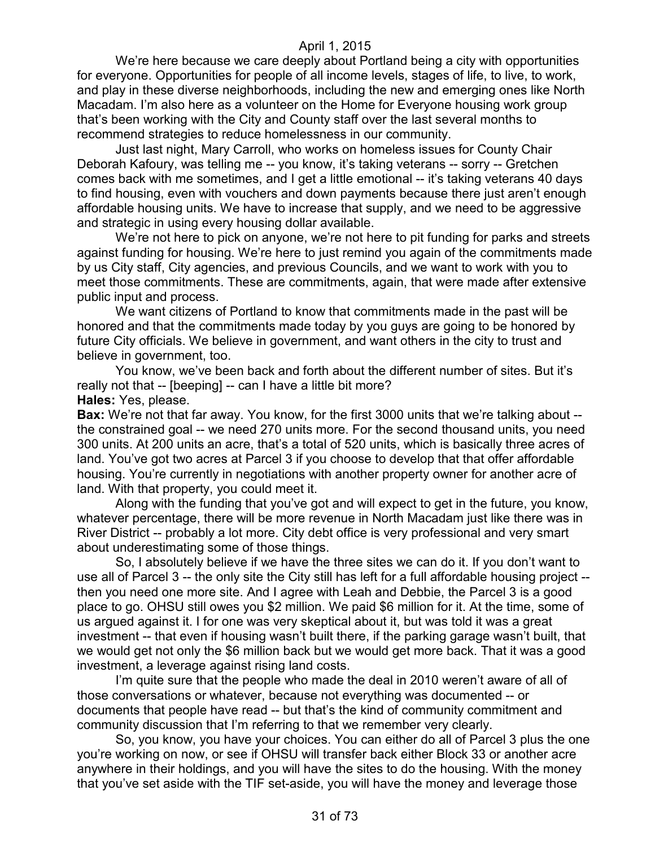We're here because we care deeply about Portland being a city with opportunities for everyone. Opportunities for people of all income levels, stages of life, to live, to work, and play in these diverse neighborhoods, including the new and emerging ones like North Macadam. I'm also here as a volunteer on the Home for Everyone housing work group that's been working with the City and County staff over the last several months to recommend strategies to reduce homelessness in our community.

Just last night, Mary Carroll, who works on homeless issues for County Chair Deborah Kafoury, was telling me -- you know, it's taking veterans -- sorry -- Gretchen comes back with me sometimes, and I get a little emotional -- it's taking veterans 40 days to find housing, even with vouchers and down payments because there just aren't enough affordable housing units. We have to increase that supply, and we need to be aggressive and strategic in using every housing dollar available.

We're not here to pick on anyone, we're not here to pit funding for parks and streets against funding for housing. We're here to just remind you again of the commitments made by us City staff, City agencies, and previous Councils, and we want to work with you to meet those commitments. These are commitments, again, that were made after extensive public input and process.

We want citizens of Portland to know that commitments made in the past will be honored and that the commitments made today by you guys are going to be honored by future City officials. We believe in government, and want others in the city to trust and believe in government, too.

You know, we've been back and forth about the different number of sites. But it's really not that -- [beeping] -- can I have a little bit more? **Hales:** Yes, please.

**Bax:** We're not that far away. You know, for the first 3000 units that we're talking about -the constrained goal -- we need 270 units more. For the second thousand units, you need 300 units. At 200 units an acre, that's a total of 520 units, which is basically three acres of land. You've got two acres at Parcel 3 if you choose to develop that that offer affordable housing. You're currently in negotiations with another property owner for another acre of land. With that property, you could meet it.

Along with the funding that you've got and will expect to get in the future, you know, whatever percentage, there will be more revenue in North Macadam just like there was in River District -- probably a lot more. City debt office is very professional and very smart about underestimating some of those things.

So, I absolutely believe if we have the three sites we can do it. If you don't want to use all of Parcel 3 -- the only site the City still has left for a full affordable housing project - then you need one more site. And I agree with Leah and Debbie, the Parcel 3 is a good place to go. OHSU still owes you \$2 million. We paid \$6 million for it. At the time, some of us argued against it. I for one was very skeptical about it, but was told it was a great investment -- that even if housing wasn't built there, if the parking garage wasn't built, that we would get not only the \$6 million back but we would get more back. That it was a good investment, a leverage against rising land costs.

I'm quite sure that the people who made the deal in 2010 weren't aware of all of those conversations or whatever, because not everything was documented -- or documents that people have read -- but that's the kind of community commitment and community discussion that I'm referring to that we remember very clearly.

So, you know, you have your choices. You can either do all of Parcel 3 plus the one you're working on now, or see if OHSU will transfer back either Block 33 or another acre anywhere in their holdings, and you will have the sites to do the housing. With the money that you've set aside with the TIF set-aside, you will have the money and leverage those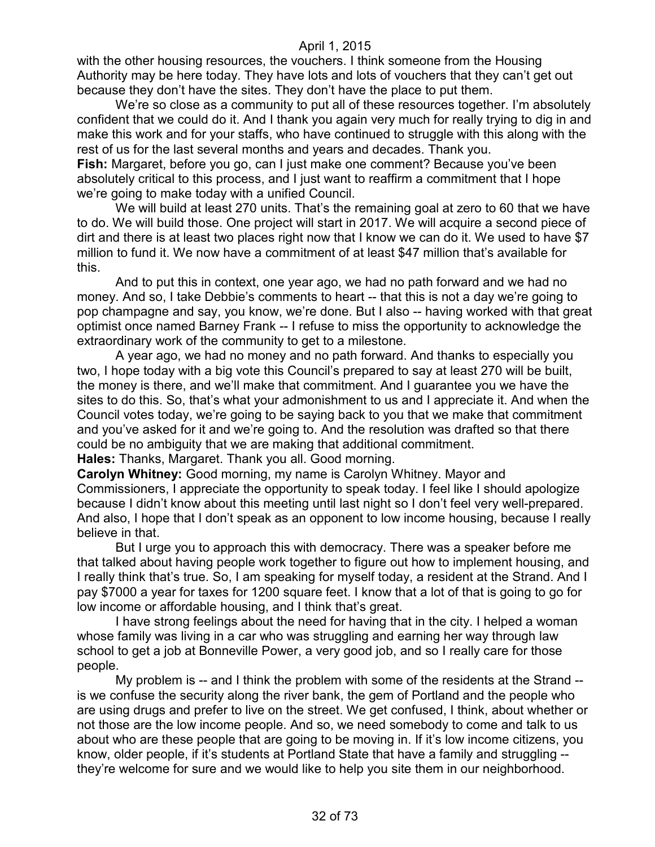with the other housing resources, the vouchers. I think someone from the Housing Authority may be here today. They have lots and lots of vouchers that they can't get out because they don't have the sites. They don't have the place to put them.

We're so close as a community to put all of these resources together. I'm absolutely confident that we could do it. And I thank you again very much for really trying to dig in and make this work and for your staffs, who have continued to struggle with this along with the rest of us for the last several months and years and decades. Thank you.

**Fish:** Margaret, before you go, can I just make one comment? Because you've been absolutely critical to this process, and I just want to reaffirm a commitment that I hope we're going to make today with a unified Council.

We will build at least 270 units. That's the remaining goal at zero to 60 that we have to do. We will build those. One project will start in 2017. We will acquire a second piece of dirt and there is at least two places right now that I know we can do it. We used to have \$7 million to fund it. We now have a commitment of at least \$47 million that's available for this.

And to put this in context, one year ago, we had no path forward and we had no money. And so, I take Debbie's comments to heart -- that this is not a day we're going to pop champagne and say, you know, we're done. But I also -- having worked with that great optimist once named Barney Frank -- I refuse to miss the opportunity to acknowledge the extraordinary work of the community to get to a milestone.

A year ago, we had no money and no path forward. And thanks to especially you two, I hope today with a big vote this Council's prepared to say at least 270 will be built, the money is there, and we'll make that commitment. And I guarantee you we have the sites to do this. So, that's what your admonishment to us and I appreciate it. And when the Council votes today, we're going to be saying back to you that we make that commitment and you've asked for it and we're going to. And the resolution was drafted so that there could be no ambiguity that we are making that additional commitment.

**Hales:** Thanks, Margaret. Thank you all. Good morning.

**Carolyn Whitney:** Good morning, my name is Carolyn Whitney. Mayor and Commissioners, I appreciate the opportunity to speak today. I feel like I should apologize because I didn't know about this meeting until last night so I don't feel very well-prepared. And also, I hope that I don't speak as an opponent to low income housing, because I really believe in that.

But I urge you to approach this with democracy. There was a speaker before me that talked about having people work together to figure out how to implement housing, and I really think that's true. So, I am speaking for myself today, a resident at the Strand. And I pay \$7000 a year for taxes for 1200 square feet. I know that a lot of that is going to go for low income or affordable housing, and I think that's great.

I have strong feelings about the need for having that in the city. I helped a woman whose family was living in a car who was struggling and earning her way through law school to get a job at Bonneville Power, a very good job, and so I really care for those people.

My problem is -- and I think the problem with some of the residents at the Strand - is we confuse the security along the river bank, the gem of Portland and the people who are using drugs and prefer to live on the street. We get confused, I think, about whether or not those are the low income people. And so, we need somebody to come and talk to us about who are these people that are going to be moving in. If it's low income citizens, you know, older people, if it's students at Portland State that have a family and struggling - they're welcome for sure and we would like to help you site them in our neighborhood.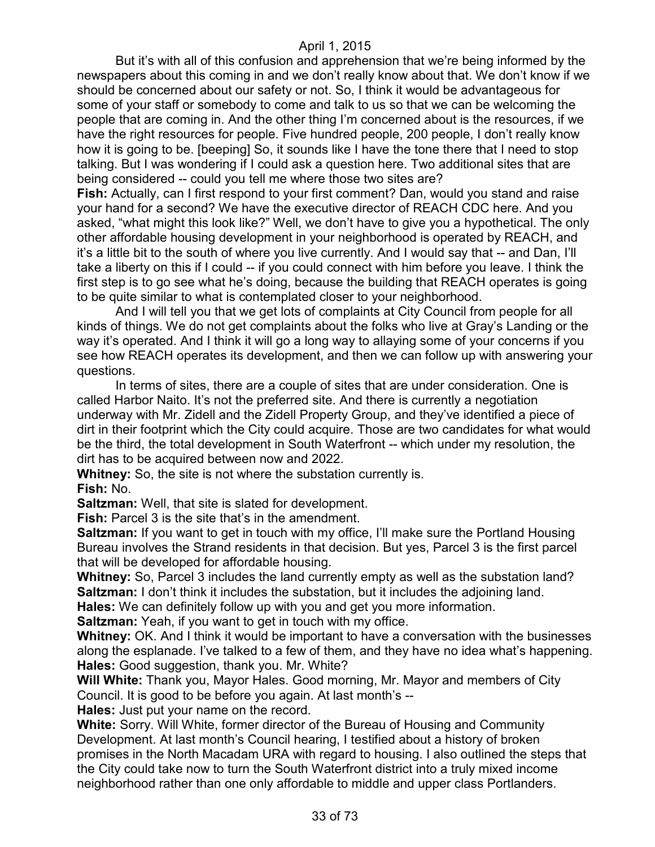But it's with all of this confusion and apprehension that we're being informed by the newspapers about this coming in and we don't really know about that. We don't know if we should be concerned about our safety or not. So, I think it would be advantageous for some of your staff or somebody to come and talk to us so that we can be welcoming the people that are coming in. And the other thing I'm concerned about is the resources, if we have the right resources for people. Five hundred people, 200 people, I don't really know how it is going to be. [beeping] So, it sounds like I have the tone there that I need to stop talking. But I was wondering if I could ask a question here. Two additional sites that are being considered -- could you tell me where those two sites are?

**Fish:** Actually, can I first respond to your first comment? Dan, would you stand and raise your hand for a second? We have the executive director of REACH CDC here. And you asked, "what might this look like?" Well, we don't have to give you a hypothetical. The only other affordable housing development in your neighborhood is operated by REACH, and it's a little bit to the south of where you live currently. And I would say that -- and Dan, I'll take a liberty on this if I could -- if you could connect with him before you leave. I think the first step is to go see what he's doing, because the building that REACH operates is going to be quite similar to what is contemplated closer to your neighborhood.

And I will tell you that we get lots of complaints at City Council from people for all kinds of things. We do not get complaints about the folks who live at Gray's Landing or the way it's operated. And I think it will go a long way to allaying some of your concerns if you see how REACH operates its development, and then we can follow up with answering your questions.

In terms of sites, there are a couple of sites that are under consideration. One is called Harbor Naito. It's not the preferred site. And there is currently a negotiation underway with Mr. Zidell and the Zidell Property Group, and they've identified a piece of dirt in their footprint which the City could acquire. Those are two candidates for what would be the third, the total development in South Waterfront -- which under my resolution, the dirt has to be acquired between now and 2022.

**Whitney:** So, the site is not where the substation currently is.

**Fish:** No.

**Saltzman:** Well, that site is slated for development.

**Fish:** Parcel 3 is the site that's in the amendment.

**Saltzman:** If you want to get in touch with my office, I'll make sure the Portland Housing Bureau involves the Strand residents in that decision. But yes, Parcel 3 is the first parcel that will be developed for affordable housing.

**Whitney:** So, Parcel 3 includes the land currently empty as well as the substation land? **Saltzman:** I don't think it includes the substation, but it includes the adjoining land.

**Hales:** We can definitely follow up with you and get you more information.

**Saltzman:** Yeah, if you want to get in touch with my office.

**Whitney:** OK. And I think it would be important to have a conversation with the businesses along the esplanade. I've talked to a few of them, and they have no idea what's happening. **Hales:** Good suggestion, thank you. Mr. White?

**Will White:** Thank you, Mayor Hales. Good morning, Mr. Mayor and members of City Council. It is good to be before you again. At last month's --

**Hales:** Just put your name on the record.

**White:** Sorry. Will White, former director of the Bureau of Housing and Community Development. At last month's Council hearing, I testified about a history of broken promises in the North Macadam URA with regard to housing. I also outlined the steps that the City could take now to turn the South Waterfront district into a truly mixed income neighborhood rather than one only affordable to middle and upper class Portlanders.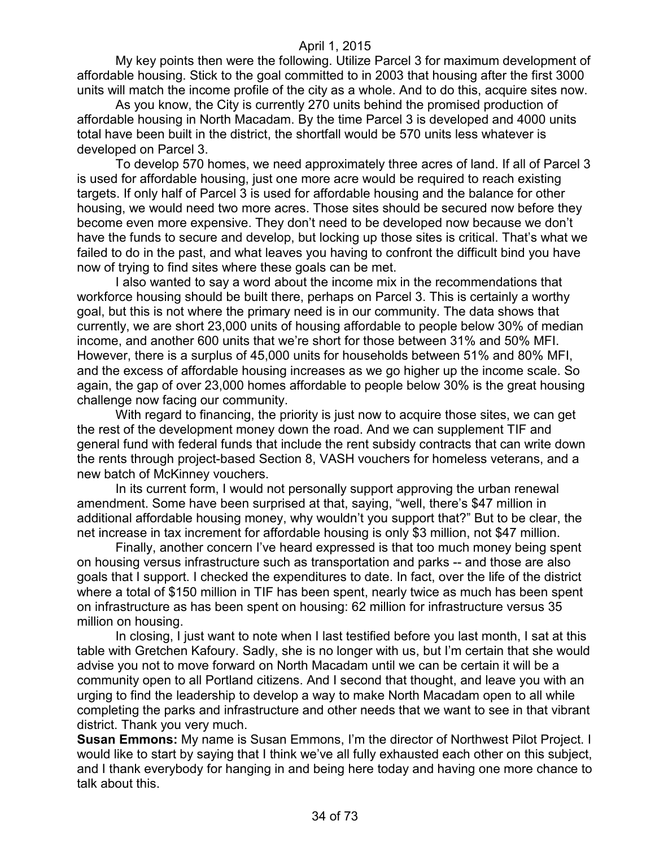My key points then were the following. Utilize Parcel 3 for maximum development of affordable housing. Stick to the goal committed to in 2003 that housing after the first 3000 units will match the income profile of the city as a whole. And to do this, acquire sites now.

As you know, the City is currently 270 units behind the promised production of affordable housing in North Macadam. By the time Parcel 3 is developed and 4000 units total have been built in the district, the shortfall would be 570 units less whatever is developed on Parcel 3.

To develop 570 homes, we need approximately three acres of land. If all of Parcel 3 is used for affordable housing, just one more acre would be required to reach existing targets. If only half of Parcel 3 is used for affordable housing and the balance for other housing, we would need two more acres. Those sites should be secured now before they become even more expensive. They don't need to be developed now because we don't have the funds to secure and develop, but locking up those sites is critical. That's what we failed to do in the past, and what leaves you having to confront the difficult bind you have now of trying to find sites where these goals can be met.

I also wanted to say a word about the income mix in the recommendations that workforce housing should be built there, perhaps on Parcel 3. This is certainly a worthy goal, but this is not where the primary need is in our community. The data shows that currently, we are short 23,000 units of housing affordable to people below 30% of median income, and another 600 units that we're short for those between 31% and 50% MFI. However, there is a surplus of 45,000 units for households between 51% and 80% MFI, and the excess of affordable housing increases as we go higher up the income scale. So again, the gap of over 23,000 homes affordable to people below 30% is the great housing challenge now facing our community.

With regard to financing, the priority is just now to acquire those sites, we can get the rest of the development money down the road. And we can supplement TIF and general fund with federal funds that include the rent subsidy contracts that can write down the rents through project-based Section 8, VASH vouchers for homeless veterans, and a new batch of McKinney vouchers.

In its current form, I would not personally support approving the urban renewal amendment. Some have been surprised at that, saying, "well, there's \$47 million in additional affordable housing money, why wouldn't you support that?" But to be clear, the net increase in tax increment for affordable housing is only \$3 million, not \$47 million.

Finally, another concern I've heard expressed is that too much money being spent on housing versus infrastructure such as transportation and parks -- and those are also goals that I support. I checked the expenditures to date. In fact, over the life of the district where a total of \$150 million in TIF has been spent, nearly twice as much has been spent on infrastructure as has been spent on housing: 62 million for infrastructure versus 35 million on housing.

In closing, I just want to note when I last testified before you last month, I sat at this table with Gretchen Kafoury. Sadly, she is no longer with us, but I'm certain that she would advise you not to move forward on North Macadam until we can be certain it will be a community open to all Portland citizens. And I second that thought, and leave you with an urging to find the leadership to develop a way to make North Macadam open to all while completing the parks and infrastructure and other needs that we want to see in that vibrant district. Thank you very much.

**Susan Emmons:** My name is Susan Emmons, I'm the director of Northwest Pilot Project. I would like to start by saying that I think we've all fully exhausted each other on this subject, and I thank everybody for hanging in and being here today and having one more chance to talk about this.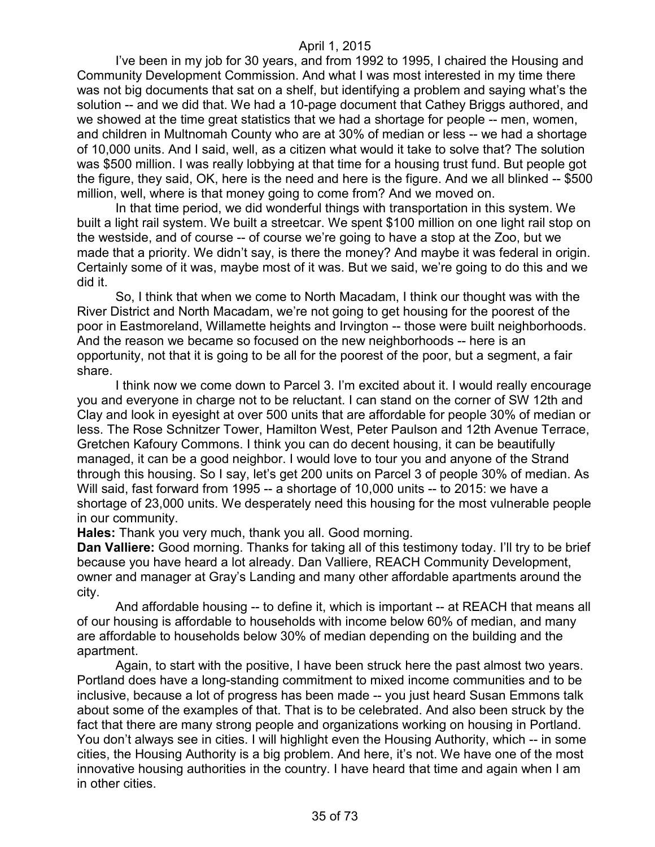I've been in my job for 30 years, and from 1992 to 1995, I chaired the Housing and Community Development Commission. And what I was most interested in my time there was not big documents that sat on a shelf, but identifying a problem and saying what's the solution -- and we did that. We had a 10-page document that Cathey Briggs authored, and we showed at the time great statistics that we had a shortage for people -- men, women, and children in Multnomah County who are at 30% of median or less -- we had a shortage of 10,000 units. And I said, well, as a citizen what would it take to solve that? The solution was \$500 million. I was really lobbying at that time for a housing trust fund. But people got the figure, they said, OK, here is the need and here is the figure. And we all blinked -- \$500 million, well, where is that money going to come from? And we moved on.

In that time period, we did wonderful things with transportation in this system. We built a light rail system. We built a streetcar. We spent \$100 million on one light rail stop on the westside, and of course -- of course we're going to have a stop at the Zoo, but we made that a priority. We didn't say, is there the money? And maybe it was federal in origin. Certainly some of it was, maybe most of it was. But we said, we're going to do this and we did it.

So, I think that when we come to North Macadam, I think our thought was with the River District and North Macadam, we're not going to get housing for the poorest of the poor in Eastmoreland, Willamette heights and Irvington -- those were built neighborhoods. And the reason we became so focused on the new neighborhoods -- here is an opportunity, not that it is going to be all for the poorest of the poor, but a segment, a fair share.

I think now we come down to Parcel 3. I'm excited about it. I would really encourage you and everyone in charge not to be reluctant. I can stand on the corner of SW 12th and Clay and look in eyesight at over 500 units that are affordable for people 30% of median or less. The Rose Schnitzer Tower, Hamilton West, Peter Paulson and 12th Avenue Terrace, Gretchen Kafoury Commons. I think you can do decent housing, it can be beautifully managed, it can be a good neighbor. I would love to tour you and anyone of the Strand through this housing. So I say, let's get 200 units on Parcel 3 of people 30% of median. As Will said, fast forward from 1995 -- a shortage of 10,000 units -- to 2015: we have a shortage of 23,000 units. We desperately need this housing for the most vulnerable people in our community.

**Hales:** Thank you very much, thank you all. Good morning.

**Dan Valliere:** Good morning. Thanks for taking all of this testimony today. I'll try to be brief because you have heard a lot already. Dan Valliere, REACH Community Development, owner and manager at Gray's Landing and many other affordable apartments around the city.

And affordable housing -- to define it, which is important -- at REACH that means all of our housing is affordable to households with income below 60% of median, and many are affordable to households below 30% of median depending on the building and the apartment.

Again, to start with the positive, I have been struck here the past almost two years. Portland does have a long-standing commitment to mixed income communities and to be inclusive, because a lot of progress has been made -- you just heard Susan Emmons talk about some of the examples of that. That is to be celebrated. And also been struck by the fact that there are many strong people and organizations working on housing in Portland. You don't always see in cities. I will highlight even the Housing Authority, which -- in some cities, the Housing Authority is a big problem. And here, it's not. We have one of the most innovative housing authorities in the country. I have heard that time and again when I am in other cities.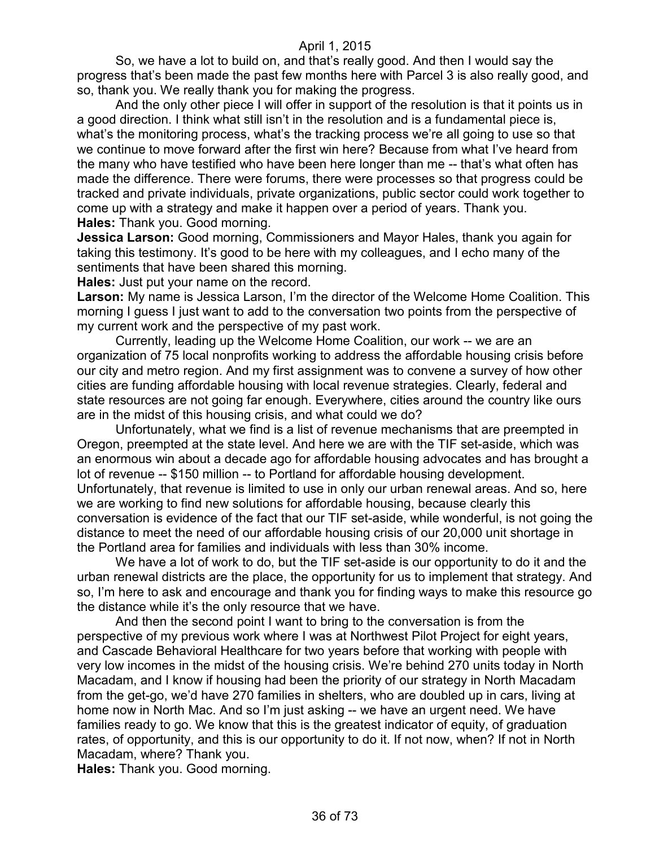So, we have a lot to build on, and that's really good. And then I would say the progress that's been made the past few months here with Parcel 3 is also really good, and so, thank you. We really thank you for making the progress.

And the only other piece I will offer in support of the resolution is that it points us in a good direction. I think what still isn't in the resolution and is a fundamental piece is, what's the monitoring process, what's the tracking process we're all going to use so that we continue to move forward after the first win here? Because from what I've heard from the many who have testified who have been here longer than me -- that's what often has made the difference. There were forums, there were processes so that progress could be tracked and private individuals, private organizations, public sector could work together to come up with a strategy and make it happen over a period of years. Thank you. **Hales:** Thank you. Good morning.

**Jessica Larson:** Good morning, Commissioners and Mayor Hales, thank you again for taking this testimony. It's good to be here with my colleagues, and I echo many of the sentiments that have been shared this morning.

**Hales:** Just put your name on the record.

**Larson:** My name is Jessica Larson, I'm the director of the Welcome Home Coalition. This morning I guess I just want to add to the conversation two points from the perspective of my current work and the perspective of my past work.

Currently, leading up the Welcome Home Coalition, our work -- we are an organization of 75 local nonprofits working to address the affordable housing crisis before our city and metro region. And my first assignment was to convene a survey of how other cities are funding affordable housing with local revenue strategies. Clearly, federal and state resources are not going far enough. Everywhere, cities around the country like ours are in the midst of this housing crisis, and what could we do?

Unfortunately, what we find is a list of revenue mechanisms that are preempted in Oregon, preempted at the state level. And here we are with the TIF set-aside, which was an enormous win about a decade ago for affordable housing advocates and has brought a lot of revenue -- \$150 million -- to Portland for affordable housing development. Unfortunately, that revenue is limited to use in only our urban renewal areas. And so, here we are working to find new solutions for affordable housing, because clearly this conversation is evidence of the fact that our TIF set-aside, while wonderful, is not going the distance to meet the need of our affordable housing crisis of our 20,000 unit shortage in the Portland area for families and individuals with less than 30% income.

We have a lot of work to do, but the TIF set-aside is our opportunity to do it and the urban renewal districts are the place, the opportunity for us to implement that strategy. And so, I'm here to ask and encourage and thank you for finding ways to make this resource go the distance while it's the only resource that we have.

And then the second point I want to bring to the conversation is from the perspective of my previous work where I was at Northwest Pilot Project for eight years, and Cascade Behavioral Healthcare for two years before that working with people with very low incomes in the midst of the housing crisis. We're behind 270 units today in North Macadam, and I know if housing had been the priority of our strategy in North Macadam from the get-go, we'd have 270 families in shelters, who are doubled up in cars, living at home now in North Mac. And so I'm just asking -- we have an urgent need. We have families ready to go. We know that this is the greatest indicator of equity, of graduation rates, of opportunity, and this is our opportunity to do it. If not now, when? If not in North Macadam, where? Thank you.

**Hales:** Thank you. Good morning.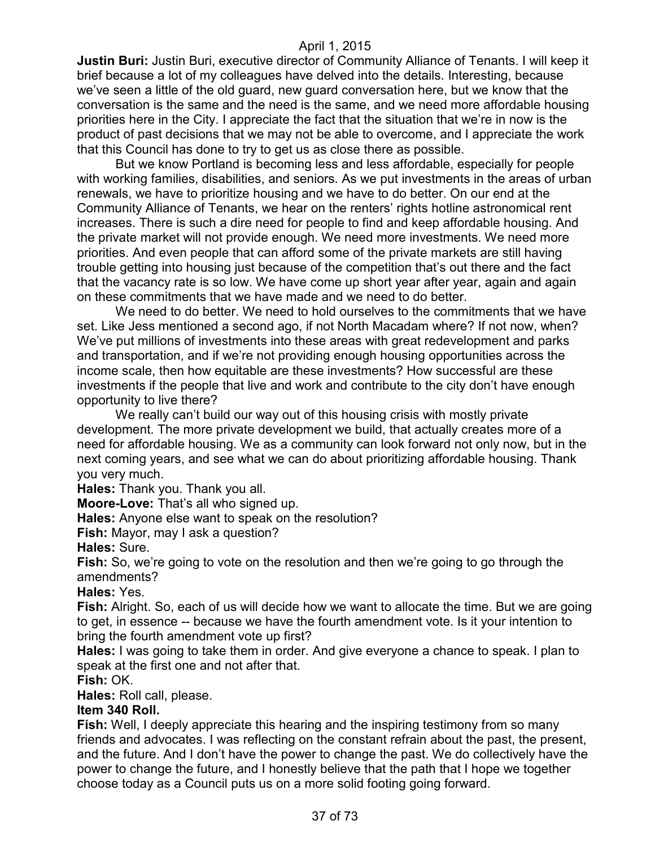**Justin Buri:** Justin Buri, executive director of Community Alliance of Tenants. I will keep it brief because a lot of my colleagues have delved into the details. Interesting, because we've seen a little of the old guard, new guard conversation here, but we know that the conversation is the same and the need is the same, and we need more affordable housing priorities here in the City. I appreciate the fact that the situation that we're in now is the product of past decisions that we may not be able to overcome, and I appreciate the work that this Council has done to try to get us as close there as possible.

But we know Portland is becoming less and less affordable, especially for people with working families, disabilities, and seniors. As we put investments in the areas of urban renewals, we have to prioritize housing and we have to do better. On our end at the Community Alliance of Tenants, we hear on the renters' rights hotline astronomical rent increases. There is such a dire need for people to find and keep affordable housing. And the private market will not provide enough. We need more investments. We need more priorities. And even people that can afford some of the private markets are still having trouble getting into housing just because of the competition that's out there and the fact that the vacancy rate is so low. We have come up short year after year, again and again on these commitments that we have made and we need to do better.

We need to do better. We need to hold ourselves to the commitments that we have set. Like Jess mentioned a second ago, if not North Macadam where? If not now, when? We've put millions of investments into these areas with great redevelopment and parks and transportation, and if we're not providing enough housing opportunities across the income scale, then how equitable are these investments? How successful are these investments if the people that live and work and contribute to the city don't have enough opportunity to live there?

We really can't build our way out of this housing crisis with mostly private development. The more private development we build, that actually creates more of a need for affordable housing. We as a community can look forward not only now, but in the next coming years, and see what we can do about prioritizing affordable housing. Thank you very much.

**Hales:** Thank you. Thank you all.

**Moore-Love:** That's all who signed up.

**Hales:** Anyone else want to speak on the resolution?

**Fish:** Mayor, may I ask a question?

**Hales:** Sure.

**Fish:** So, we're going to vote on the resolution and then we're going to go through the amendments?

**Hales:** Yes.

**Fish:** Alright. So, each of us will decide how we want to allocate the time. But we are going to get, in essence -- because we have the fourth amendment vote. Is it your intention to bring the fourth amendment vote up first?

**Hales:** I was going to take them in order. And give everyone a chance to speak. I plan to speak at the first one and not after that.

**Fish:** OK.

**Hales:** Roll call, please.

#### **Item 340 Roll.**

**Fish:** Well, I deeply appreciate this hearing and the inspiring testimony from so many friends and advocates. I was reflecting on the constant refrain about the past, the present, and the future. And I don't have the power to change the past. We do collectively have the power to change the future, and I honestly believe that the path that I hope we together choose today as a Council puts us on a more solid footing going forward.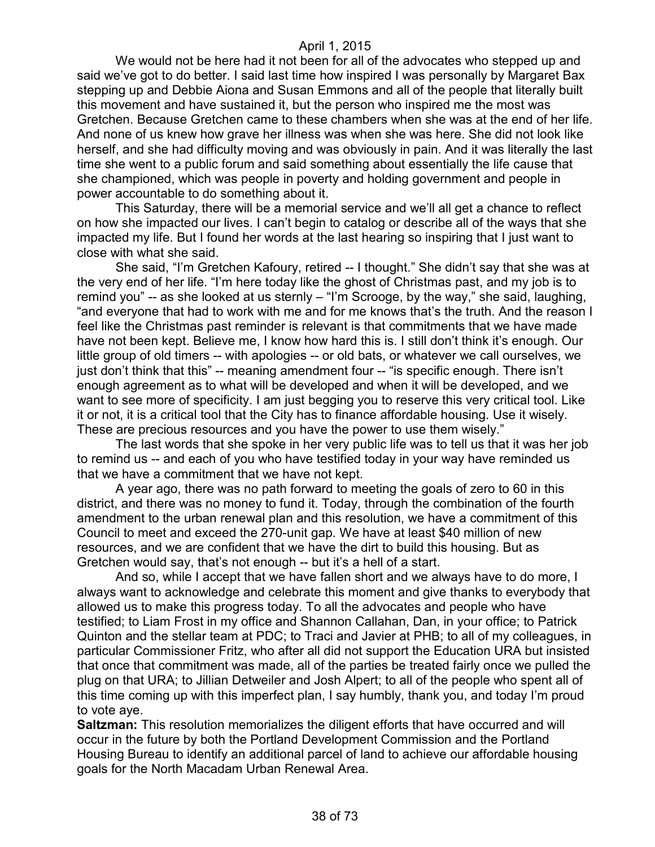We would not be here had it not been for all of the advocates who stepped up and said we've got to do better. I said last time how inspired I was personally by Margaret Bax stepping up and Debbie Aiona and Susan Emmons and all of the people that literally built this movement and have sustained it, but the person who inspired me the most was Gretchen. Because Gretchen came to these chambers when she was at the end of her life. And none of us knew how grave her illness was when she was here. She did not look like herself, and she had difficulty moving and was obviously in pain. And it was literally the last time she went to a public forum and said something about essentially the life cause that she championed, which was people in poverty and holding government and people in power accountable to do something about it.

This Saturday, there will be a memorial service and we'll all get a chance to reflect on how she impacted our lives. I can't begin to catalog or describe all of the ways that she impacted my life. But I found her words at the last hearing so inspiring that I just want to close with what she said.

She said, "I'm Gretchen Kafoury, retired -- I thought." She didn't say that she was at the very end of her life. "I'm here today like the ghost of Christmas past, and my job is to remind you" -- as she looked at us sternly – "I'm Scrooge, by the way," she said, laughing, "and everyone that had to work with me and for me knows that's the truth. And the reason I feel like the Christmas past reminder is relevant is that commitments that we have made have not been kept. Believe me, I know how hard this is. I still don't think it's enough. Our little group of old timers -- with apologies -- or old bats, or whatever we call ourselves, we just don't think that this" -- meaning amendment four -- "is specific enough. There isn't enough agreement as to what will be developed and when it will be developed, and we want to see more of specificity. I am just begging you to reserve this very critical tool. Like it or not, it is a critical tool that the City has to finance affordable housing. Use it wisely. These are precious resources and you have the power to use them wisely."

The last words that she spoke in her very public life was to tell us that it was her job to remind us -- and each of you who have testified today in your way have reminded us that we have a commitment that we have not kept.

A year ago, there was no path forward to meeting the goals of zero to 60 in this district, and there was no money to fund it. Today, through the combination of the fourth amendment to the urban renewal plan and this resolution, we have a commitment of this Council to meet and exceed the 270-unit gap. We have at least \$40 million of new resources, and we are confident that we have the dirt to build this housing. But as Gretchen would say, that's not enough -- but it's a hell of a start.

And so, while I accept that we have fallen short and we always have to do more, I always want to acknowledge and celebrate this moment and give thanks to everybody that allowed us to make this progress today. To all the advocates and people who have testified; to Liam Frost in my office and Shannon Callahan, Dan, in your office; to Patrick Quinton and the stellar team at PDC; to Traci and Javier at PHB; to all of my colleagues, in particular Commissioner Fritz, who after all did not support the Education URA but insisted that once that commitment was made, all of the parties be treated fairly once we pulled the plug on that URA; to Jillian Detweiler and Josh Alpert; to all of the people who spent all of this time coming up with this imperfect plan, I say humbly, thank you, and today I'm proud to vote aye.

**Saltzman:** This resolution memorializes the diligent efforts that have occurred and will occur in the future by both the Portland Development Commission and the Portland Housing Bureau to identify an additional parcel of land to achieve our affordable housing goals for the North Macadam Urban Renewal Area.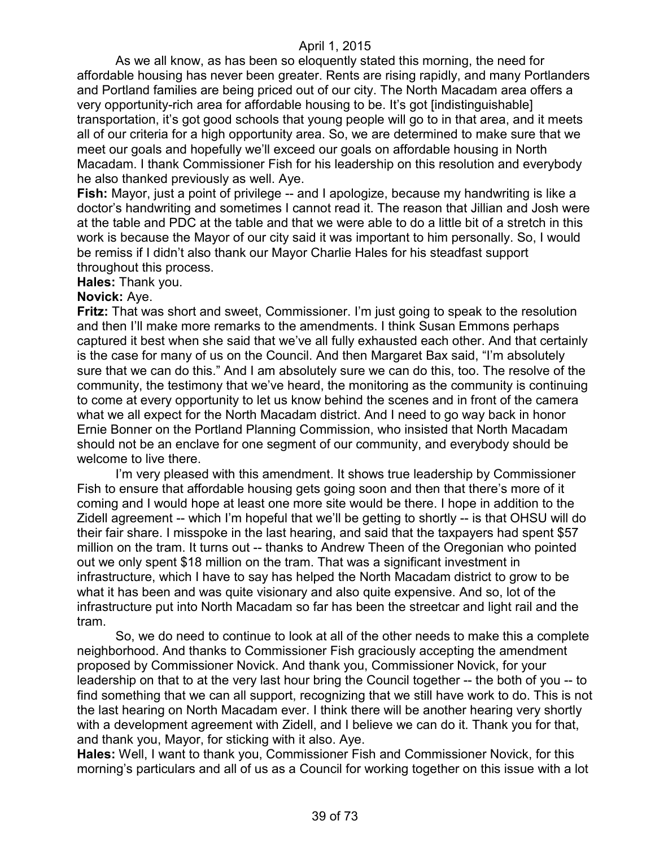As we all know, as has been so eloquently stated this morning, the need for affordable housing has never been greater. Rents are rising rapidly, and many Portlanders and Portland families are being priced out of our city. The North Macadam area offers a very opportunity-rich area for affordable housing to be. It's got [indistinguishable] transportation, it's got good schools that young people will go to in that area, and it meets all of our criteria for a high opportunity area. So, we are determined to make sure that we meet our goals and hopefully we'll exceed our goals on affordable housing in North Macadam. I thank Commissioner Fish for his leadership on this resolution and everybody he also thanked previously as well. Aye.

**Fish:** Mayor, just a point of privilege -- and I apologize, because my handwriting is like a doctor's handwriting and sometimes I cannot read it. The reason that Jillian and Josh were at the table and PDC at the table and that we were able to do a little bit of a stretch in this work is because the Mayor of our city said it was important to him personally. So, I would be remiss if I didn't also thank our Mayor Charlie Hales for his steadfast support throughout this process.

**Hales:** Thank you.

#### **Novick:** Aye.

**Fritz:** That was short and sweet, Commissioner. I'm just going to speak to the resolution and then I'll make more remarks to the amendments. I think Susan Emmons perhaps captured it best when she said that we've all fully exhausted each other. And that certainly is the case for many of us on the Council. And then Margaret Bax said, "I'm absolutely sure that we can do this." And I am absolutely sure we can do this, too. The resolve of the community, the testimony that we've heard, the monitoring as the community is continuing to come at every opportunity to let us know behind the scenes and in front of the camera what we all expect for the North Macadam district. And I need to go way back in honor Ernie Bonner on the Portland Planning Commission, who insisted that North Macadam should not be an enclave for one segment of our community, and everybody should be welcome to live there.

I'm very pleased with this amendment. It shows true leadership by Commissioner Fish to ensure that affordable housing gets going soon and then that there's more of it coming and I would hope at least one more site would be there. I hope in addition to the Zidell agreement -- which I'm hopeful that we'll be getting to shortly -- is that OHSU will do their fair share. I misspoke in the last hearing, and said that the taxpayers had spent \$57 million on the tram. It turns out -- thanks to Andrew Theen of the Oregonian who pointed out we only spent \$18 million on the tram. That was a significant investment in infrastructure, which I have to say has helped the North Macadam district to grow to be what it has been and was quite visionary and also quite expensive. And so, lot of the infrastructure put into North Macadam so far has been the streetcar and light rail and the tram.

So, we do need to continue to look at all of the other needs to make this a complete neighborhood. And thanks to Commissioner Fish graciously accepting the amendment proposed by Commissioner Novick. And thank you, Commissioner Novick, for your leadership on that to at the very last hour bring the Council together -- the both of you -- to find something that we can all support, recognizing that we still have work to do. This is not the last hearing on North Macadam ever. I think there will be another hearing very shortly with a development agreement with Zidell, and I believe we can do it. Thank you for that, and thank you, Mayor, for sticking with it also. Aye.

**Hales:** Well, I want to thank you, Commissioner Fish and Commissioner Novick, for this morning's particulars and all of us as a Council for working together on this issue with a lot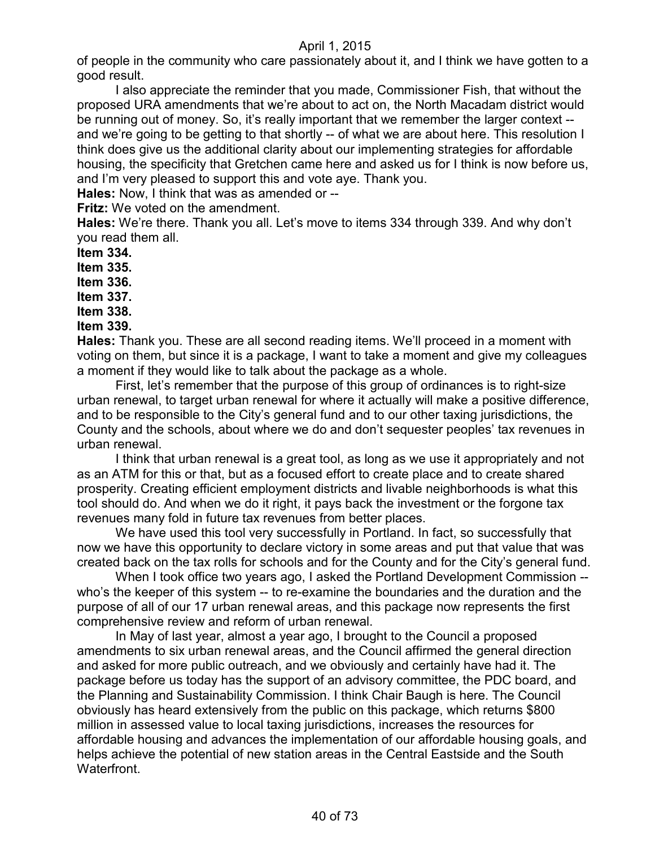of people in the community who care passionately about it, and I think we have gotten to a good result.

I also appreciate the reminder that you made, Commissioner Fish, that without the proposed URA amendments that we're about to act on, the North Macadam district would be running out of money. So, it's really important that we remember the larger context - and we're going to be getting to that shortly -- of what we are about here. This resolution I think does give us the additional clarity about our implementing strategies for affordable housing, the specificity that Gretchen came here and asked us for I think is now before us, and I'm very pleased to support this and vote aye. Thank you.

**Hales:** Now, I think that was as amended or --

**Fritz:** We voted on the amendment.

**Hales:** We're there. Thank you all. Let's move to items 334 through 339. And why don't you read them all.

**Item 334.**

**Item 335.**

**Item 336.**

**Item 337.**

**Item 338.**

**Item 339.**

**Hales:** Thank you. These are all second reading items. We'll proceed in a moment with voting on them, but since it is a package, I want to take a moment and give my colleagues a moment if they would like to talk about the package as a whole.

First, let's remember that the purpose of this group of ordinances is to right-size urban renewal, to target urban renewal for where it actually will make a positive difference, and to be responsible to the City's general fund and to our other taxing jurisdictions, the County and the schools, about where we do and don't sequester peoples' tax revenues in urban renewal.

I think that urban renewal is a great tool, as long as we use it appropriately and not as an ATM for this or that, but as a focused effort to create place and to create shared prosperity. Creating efficient employment districts and livable neighborhoods is what this tool should do. And when we do it right, it pays back the investment or the forgone tax revenues many fold in future tax revenues from better places.

We have used this tool very successfully in Portland. In fact, so successfully that now we have this opportunity to declare victory in some areas and put that value that was created back on the tax rolls for schools and for the County and for the City's general fund.

When I took office two years ago, I asked the Portland Development Commission - who's the keeper of this system -- to re-examine the boundaries and the duration and the purpose of all of our 17 urban renewal areas, and this package now represents the first comprehensive review and reform of urban renewal.

In May of last year, almost a year ago, I brought to the Council a proposed amendments to six urban renewal areas, and the Council affirmed the general direction and asked for more public outreach, and we obviously and certainly have had it. The package before us today has the support of an advisory committee, the PDC board, and the Planning and Sustainability Commission. I think Chair Baugh is here. The Council obviously has heard extensively from the public on this package, which returns \$800 million in assessed value to local taxing jurisdictions, increases the resources for affordable housing and advances the implementation of our affordable housing goals, and helps achieve the potential of new station areas in the Central Eastside and the South **Waterfront**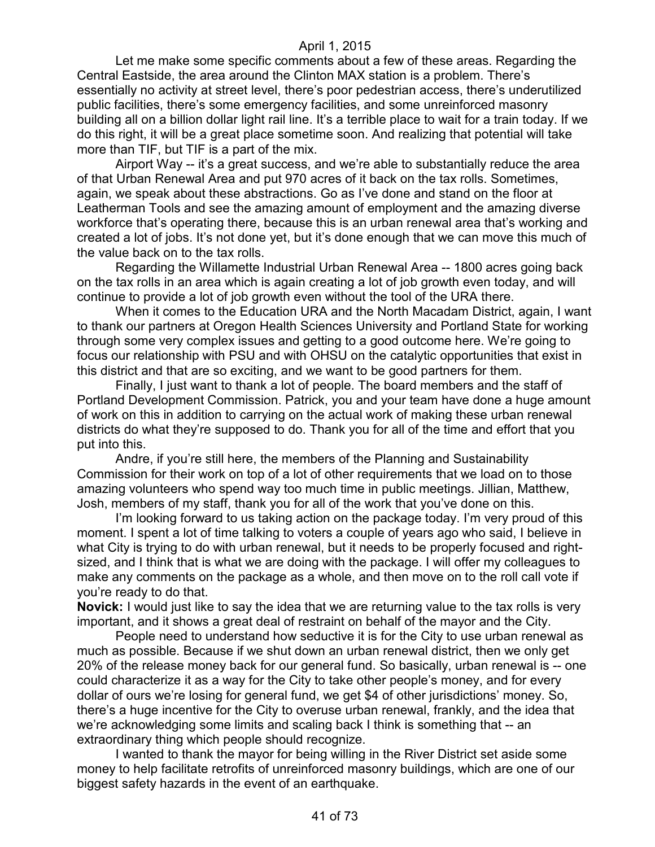Let me make some specific comments about a few of these areas. Regarding the Central Eastside, the area around the Clinton MAX station is a problem. There's essentially no activity at street level, there's poor pedestrian access, there's underutilized public facilities, there's some emergency facilities, and some unreinforced masonry building all on a billion dollar light rail line. It's a terrible place to wait for a train today. If we do this right, it will be a great place sometime soon. And realizing that potential will take more than TIF, but TIF is a part of the mix.

Airport Way -- it's a great success, and we're able to substantially reduce the area of that Urban Renewal Area and put 970 acres of it back on the tax rolls. Sometimes, again, we speak about these abstractions. Go as I've done and stand on the floor at Leatherman Tools and see the amazing amount of employment and the amazing diverse workforce that's operating there, because this is an urban renewal area that's working and created a lot of jobs. It's not done yet, but it's done enough that we can move this much of the value back on to the tax rolls.

Regarding the Willamette Industrial Urban Renewal Area -- 1800 acres going back on the tax rolls in an area which is again creating a lot of job growth even today, and will continue to provide a lot of job growth even without the tool of the URA there.

When it comes to the Education URA and the North Macadam District, again, I want to thank our partners at Oregon Health Sciences University and Portland State for working through some very complex issues and getting to a good outcome here. We're going to focus our relationship with PSU and with OHSU on the catalytic opportunities that exist in this district and that are so exciting, and we want to be good partners for them.

Finally, I just want to thank a lot of people. The board members and the staff of Portland Development Commission. Patrick, you and your team have done a huge amount of work on this in addition to carrying on the actual work of making these urban renewal districts do what they're supposed to do. Thank you for all of the time and effort that you put into this.

Andre, if you're still here, the members of the Planning and Sustainability Commission for their work on top of a lot of other requirements that we load on to those amazing volunteers who spend way too much time in public meetings. Jillian, Matthew, Josh, members of my staff, thank you for all of the work that you've done on this.

I'm looking forward to us taking action on the package today. I'm very proud of this moment. I spent a lot of time talking to voters a couple of years ago who said, I believe in what City is trying to do with urban renewal, but it needs to be properly focused and rightsized, and I think that is what we are doing with the package. I will offer my colleagues to make any comments on the package as a whole, and then move on to the roll call vote if you're ready to do that.

**Novick:** I would just like to say the idea that we are returning value to the tax rolls is very important, and it shows a great deal of restraint on behalf of the mayor and the City.

People need to understand how seductive it is for the City to use urban renewal as much as possible. Because if we shut down an urban renewal district, then we only get 20% of the release money back for our general fund. So basically, urban renewal is -- one could characterize it as a way for the City to take other people's money, and for every dollar of ours we're losing for general fund, we get \$4 of other jurisdictions' money. So, there's a huge incentive for the City to overuse urban renewal, frankly, and the idea that we're acknowledging some limits and scaling back I think is something that -- an extraordinary thing which people should recognize.

I wanted to thank the mayor for being willing in the River District set aside some money to help facilitate retrofits of unreinforced masonry buildings, which are one of our biggest safety hazards in the event of an earthquake.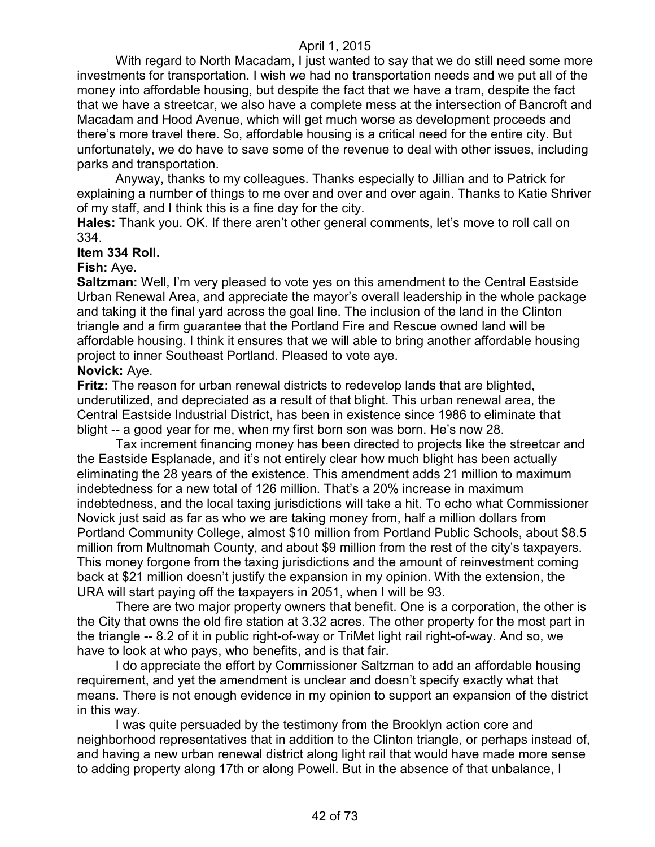With regard to North Macadam, I just wanted to say that we do still need some more investments for transportation. I wish we had no transportation needs and we put all of the money into affordable housing, but despite the fact that we have a tram, despite the fact that we have a streetcar, we also have a complete mess at the intersection of Bancroft and Macadam and Hood Avenue, which will get much worse as development proceeds and there's more travel there. So, affordable housing is a critical need for the entire city. But unfortunately, we do have to save some of the revenue to deal with other issues, including parks and transportation.

Anyway, thanks to my colleagues. Thanks especially to Jillian and to Patrick for explaining a number of things to me over and over and over again. Thanks to Katie Shriver of my staff, and I think this is a fine day for the city.

**Hales:** Thank you. OK. If there aren't other general comments, let's move to roll call on 334.

#### **Item 334 Roll.**

#### **Fish:** Aye.

**Saltzman:** Well, I'm very pleased to vote yes on this amendment to the Central Eastside Urban Renewal Area, and appreciate the mayor's overall leadership in the whole package and taking it the final yard across the goal line. The inclusion of the land in the Clinton triangle and a firm guarantee that the Portland Fire and Rescue owned land will be affordable housing. I think it ensures that we will able to bring another affordable housing project to inner Southeast Portland. Pleased to vote aye.

#### **Novick:** Aye.

**Fritz:** The reason for urban renewal districts to redevelop lands that are blighted, underutilized, and depreciated as a result of that blight. This urban renewal area, the Central Eastside Industrial District, has been in existence since 1986 to eliminate that blight -- a good year for me, when my first born son was born. He's now 28.

Tax increment financing money has been directed to projects like the streetcar and the Eastside Esplanade, and it's not entirely clear how much blight has been actually eliminating the 28 years of the existence. This amendment adds 21 million to maximum indebtedness for a new total of 126 million. That's a 20% increase in maximum indebtedness, and the local taxing jurisdictions will take a hit. To echo what Commissioner Novick just said as far as who we are taking money from, half a million dollars from Portland Community College, almost \$10 million from Portland Public Schools, about \$8.5 million from Multnomah County, and about \$9 million from the rest of the city's taxpayers. This money forgone from the taxing jurisdictions and the amount of reinvestment coming back at \$21 million doesn't justify the expansion in my opinion. With the extension, the URA will start paying off the taxpayers in 2051, when I will be 93.

There are two major property owners that benefit. One is a corporation, the other is the City that owns the old fire station at 3.32 acres. The other property for the most part in the triangle -- 8.2 of it in public right-of-way or TriMet light rail right-of-way. And so, we have to look at who pays, who benefits, and is that fair.

I do appreciate the effort by Commissioner Saltzman to add an affordable housing requirement, and yet the amendment is unclear and doesn't specify exactly what that means. There is not enough evidence in my opinion to support an expansion of the district in this way.

I was quite persuaded by the testimony from the Brooklyn action core and neighborhood representatives that in addition to the Clinton triangle, or perhaps instead of, and having a new urban renewal district along light rail that would have made more sense to adding property along 17th or along Powell. But in the absence of that unbalance, I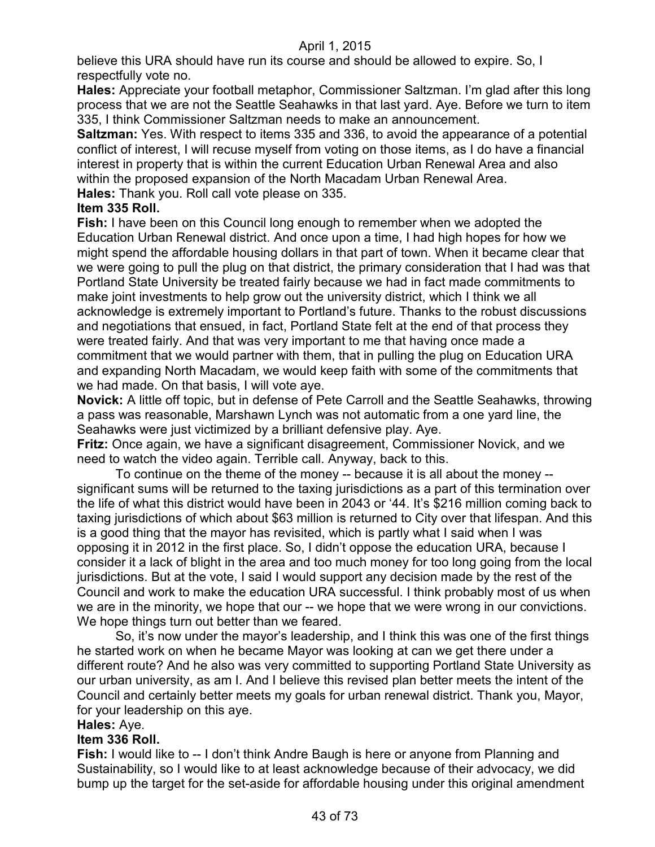believe this URA should have run its course and should be allowed to expire. So, I respectfully vote no.

**Hales:** Appreciate your football metaphor, Commissioner Saltzman. I'm glad after this long process that we are not the Seattle Seahawks in that last yard. Aye. Before we turn to item 335, I think Commissioner Saltzman needs to make an announcement.

**Saltzman:** Yes. With respect to items 335 and 336, to avoid the appearance of a potential conflict of interest, I will recuse myself from voting on those items, as I do have a financial interest in property that is within the current Education Urban Renewal Area and also within the proposed expansion of the North Macadam Urban Renewal Area.

**Hales:** Thank you. Roll call vote please on 335.

## **Item 335 Roll.**

**Fish:** I have been on this Council long enough to remember when we adopted the Education Urban Renewal district. And once upon a time, I had high hopes for how we might spend the affordable housing dollars in that part of town. When it became clear that we were going to pull the plug on that district, the primary consideration that I had was that Portland State University be treated fairly because we had in fact made commitments to make joint investments to help grow out the university district, which I think we all acknowledge is extremely important to Portland's future. Thanks to the robust discussions and negotiations that ensued, in fact, Portland State felt at the end of that process they were treated fairly. And that was very important to me that having once made a commitment that we would partner with them, that in pulling the plug on Education URA and expanding North Macadam, we would keep faith with some of the commitments that we had made. On that basis, I will vote aye.

**Novick:** A little off topic, but in defense of Pete Carroll and the Seattle Seahawks, throwing a pass was reasonable, Marshawn Lynch was not automatic from a one yard line, the Seahawks were just victimized by a brilliant defensive play. Aye.

**Fritz:** Once again, we have a significant disagreement, Commissioner Novick, and we need to watch the video again. Terrible call. Anyway, back to this.

To continue on the theme of the money -- because it is all about the money - significant sums will be returned to the taxing jurisdictions as a part of this termination over the life of what this district would have been in 2043 or '44. It's \$216 million coming back to taxing jurisdictions of which about \$63 million is returned to City over that lifespan. And this is a good thing that the mayor has revisited, which is partly what I said when I was opposing it in 2012 in the first place. So, I didn't oppose the education URA, because I consider it a lack of blight in the area and too much money for too long going from the local jurisdictions. But at the vote, I said I would support any decision made by the rest of the Council and work to make the education URA successful. I think probably most of us when we are in the minority, we hope that our -- we hope that we were wrong in our convictions. We hope things turn out better than we feared.

So, it's now under the mayor's leadership, and I think this was one of the first things he started work on when he became Mayor was looking at can we get there under a different route? And he also was very committed to supporting Portland State University as our urban university, as am I. And I believe this revised plan better meets the intent of the Council and certainly better meets my goals for urban renewal district. Thank you, Mayor, for your leadership on this aye.

#### **Hales:** Aye.

## **Item 336 Roll.**

**Fish:** I would like to -- I don't think Andre Baugh is here or anyone from Planning and Sustainability, so I would like to at least acknowledge because of their advocacy, we did bump up the target for the set-aside for affordable housing under this original amendment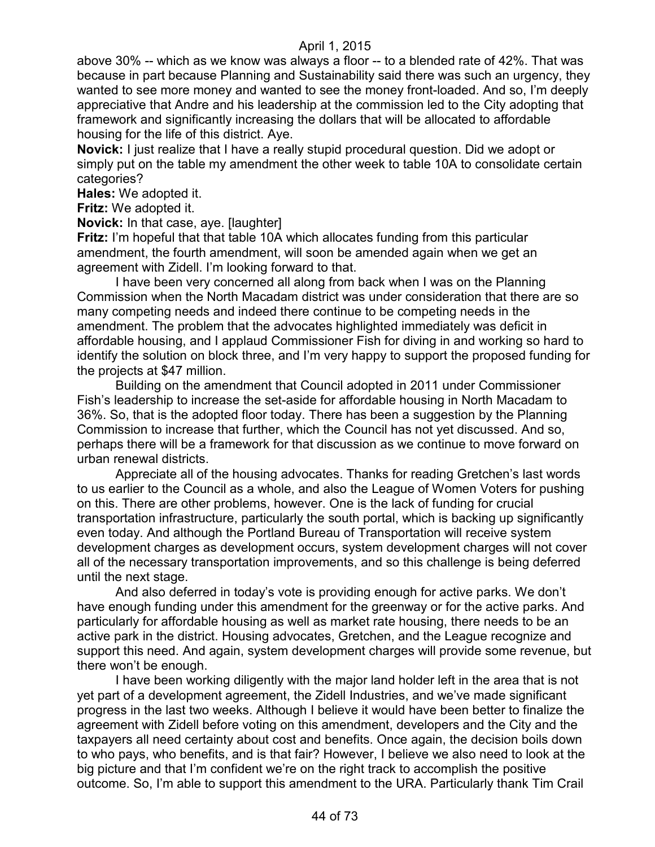above 30% -- which as we know was always a floor -- to a blended rate of 42%. That was because in part because Planning and Sustainability said there was such an urgency, they wanted to see more money and wanted to see the money front-loaded. And so, I'm deeply appreciative that Andre and his leadership at the commission led to the City adopting that framework and significantly increasing the dollars that will be allocated to affordable housing for the life of this district. Aye.

**Novick:** I just realize that I have a really stupid procedural question. Did we adopt or simply put on the table my amendment the other week to table 10A to consolidate certain categories?

**Hales:** We adopted it.

**Fritz:** We adopted it.

**Novick:** In that case, aye. [laughter]

**Fritz:** I'm hopeful that that table 10A which allocates funding from this particular amendment, the fourth amendment, will soon be amended again when we get an agreement with Zidell. I'm looking forward to that.

I have been very concerned all along from back when I was on the Planning Commission when the North Macadam district was under consideration that there are so many competing needs and indeed there continue to be competing needs in the amendment. The problem that the advocates highlighted immediately was deficit in affordable housing, and I applaud Commissioner Fish for diving in and working so hard to identify the solution on block three, and I'm very happy to support the proposed funding for the projects at \$47 million.

Building on the amendment that Council adopted in 2011 under Commissioner Fish's leadership to increase the set-aside for affordable housing in North Macadam to 36%. So, that is the adopted floor today. There has been a suggestion by the Planning Commission to increase that further, which the Council has not yet discussed. And so, perhaps there will be a framework for that discussion as we continue to move forward on urban renewal districts.

Appreciate all of the housing advocates. Thanks for reading Gretchen's last words to us earlier to the Council as a whole, and also the League of Women Voters for pushing on this. There are other problems, however. One is the lack of funding for crucial transportation infrastructure, particularly the south portal, which is backing up significantly even today. And although the Portland Bureau of Transportation will receive system development charges as development occurs, system development charges will not cover all of the necessary transportation improvements, and so this challenge is being deferred until the next stage.

And also deferred in today's vote is providing enough for active parks. We don't have enough funding under this amendment for the greenway or for the active parks. And particularly for affordable housing as well as market rate housing, there needs to be an active park in the district. Housing advocates, Gretchen, and the League recognize and support this need. And again, system development charges will provide some revenue, but there won't be enough.

I have been working diligently with the major land holder left in the area that is not yet part of a development agreement, the Zidell Industries, and we've made significant progress in the last two weeks. Although I believe it would have been better to finalize the agreement with Zidell before voting on this amendment, developers and the City and the taxpayers all need certainty about cost and benefits. Once again, the decision boils down to who pays, who benefits, and is that fair? However, I believe we also need to look at the big picture and that I'm confident we're on the right track to accomplish the positive outcome. So, I'm able to support this amendment to the URA. Particularly thank Tim Crail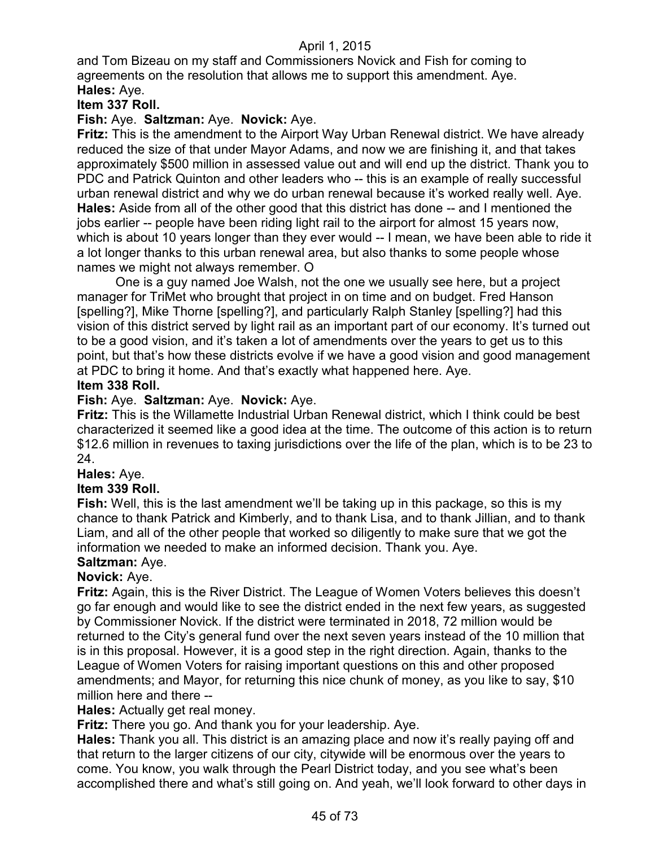and Tom Bizeau on my staff and Commissioners Novick and Fish for coming to agreements on the resolution that allows me to support this amendment. Aye. **Hales:** Aye.

# **Item 337 Roll.**

## **Fish:** Aye. **Saltzman:** Aye. **Novick:** Aye.

**Fritz:** This is the amendment to the Airport Way Urban Renewal district. We have already reduced the size of that under Mayor Adams, and now we are finishing it, and that takes approximately \$500 million in assessed value out and will end up the district. Thank you to PDC and Patrick Quinton and other leaders who -- this is an example of really successful urban renewal district and why we do urban renewal because it's worked really well. Aye. **Hales:** Aside from all of the other good that this district has done -- and I mentioned the jobs earlier -- people have been riding light rail to the airport for almost 15 years now, which is about 10 years longer than they ever would -- I mean, we have been able to ride it a lot longer thanks to this urban renewal area, but also thanks to some people whose names we might not always remember. O

One is a guy named Joe Walsh, not the one we usually see here, but a project manager for TriMet who brought that project in on time and on budget. Fred Hanson [spelling?], Mike Thorne [spelling?], and particularly Ralph Stanley [spelling?] had this vision of this district served by light rail as an important part of our economy. It's turned out to be a good vision, and it's taken a lot of amendments over the years to get us to this point, but that's how these districts evolve if we have a good vision and good management at PDC to bring it home. And that's exactly what happened here. Aye.

#### **Item 338 Roll.**

## **Fish:** Aye. **Saltzman:** Aye. **Novick:** Aye.

**Fritz:** This is the Willamette Industrial Urban Renewal district, which I think could be best characterized it seemed like a good idea at the time. The outcome of this action is to return \$12.6 million in revenues to taxing jurisdictions over the life of the plan, which is to be 23 to 24.

## **Hales:** Aye.

## **Item 339 Roll.**

**Fish:** Well, this is the last amendment we'll be taking up in this package, so this is my chance to thank Patrick and Kimberly, and to thank Lisa, and to thank Jillian, and to thank Liam, and all of the other people that worked so diligently to make sure that we got the information we needed to make an informed decision. Thank you. Aye.

#### **Saltzman:** Aye.

## **Novick:** Aye.

**Fritz:** Again, this is the River District. The League of Women Voters believes this doesn't go far enough and would like to see the district ended in the next few years, as suggested by Commissioner Novick. If the district were terminated in 2018, 72 million would be returned to the City's general fund over the next seven years instead of the 10 million that is in this proposal. However, it is a good step in the right direction. Again, thanks to the League of Women Voters for raising important questions on this and other proposed amendments; and Mayor, for returning this nice chunk of money, as you like to say, \$10 million here and there --

## **Hales:** Actually get real money.

**Fritz:** There you go. And thank you for your leadership. Aye.

**Hales:** Thank you all. This district is an amazing place and now it's really paying off and that return to the larger citizens of our city, citywide will be enormous over the years to come. You know, you walk through the Pearl District today, and you see what's been accomplished there and what's still going on. And yeah, we'll look forward to other days in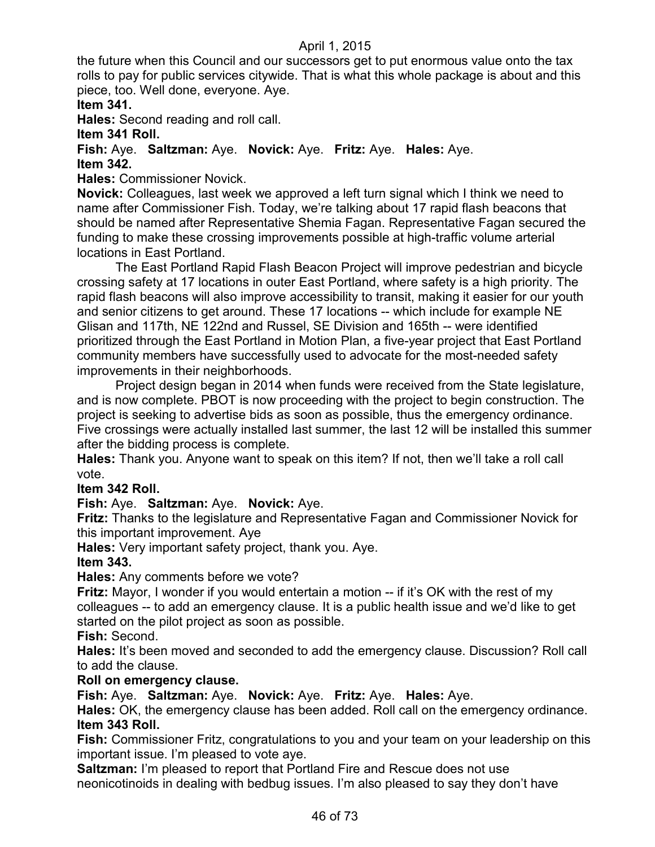the future when this Council and our successors get to put enormous value onto the tax rolls to pay for public services citywide. That is what this whole package is about and this piece, too. Well done, everyone. Aye.

# **Item 341.**

**Hales:** Second reading and roll call.

# **Item 341 Roll.**

**Fish:** Aye. **Saltzman:** Aye. **Novick:** Aye. **Fritz:** Aye. **Hales:** Aye. **Item 342.**

**Hales:** Commissioner Novick.

**Novick:** Colleagues, last week we approved a left turn signal which I think we need to name after Commissioner Fish. Today, we're talking about 17 rapid flash beacons that should be named after Representative Shemia Fagan. Representative Fagan secured the funding to make these crossing improvements possible at high-traffic volume arterial locations in East Portland.

The East Portland Rapid Flash Beacon Project will improve pedestrian and bicycle crossing safety at 17 locations in outer East Portland, where safety is a high priority. The rapid flash beacons will also improve accessibility to transit, making it easier for our youth and senior citizens to get around. These 17 locations -- which include for example NE Glisan and 117th, NE 122nd and Russel, SE Division and 165th -- were identified prioritized through the East Portland in Motion Plan, a five-year project that East Portland community members have successfully used to advocate for the most-needed safety improvements in their neighborhoods.

Project design began in 2014 when funds were received from the State legislature, and is now complete. PBOT is now proceeding with the project to begin construction. The project is seeking to advertise bids as soon as possible, thus the emergency ordinance. Five crossings were actually installed last summer, the last 12 will be installed this summer after the bidding process is complete.

**Hales:** Thank you. Anyone want to speak on this item? If not, then we'll take a roll call vote.

# **Item 342 Roll.**

**Fish:** Aye. **Saltzman:** Aye. **Novick:** Aye.

**Fritz:** Thanks to the legislature and Representative Fagan and Commissioner Novick for this important improvement. Aye

**Hales:** Very important safety project, thank you. Aye.

## **Item 343.**

**Hales:** Any comments before we vote?

Fritz: Mayor, I wonder if you would entertain a motion -- if it's OK with the rest of my colleagues -- to add an emergency clause. It is a public health issue and we'd like to get started on the pilot project as soon as possible.

**Fish:** Second.

**Hales:** It's been moved and seconded to add the emergency clause. Discussion? Roll call to add the clause.

## **Roll on emergency clause.**

**Fish:** Aye. **Saltzman:** Aye. **Novick:** Aye. **Fritz:** Aye. **Hales:** Aye.

**Hales:** OK, the emergency clause has been added. Roll call on the emergency ordinance. **Item 343 Roll.**

**Fish:** Commissioner Fritz, congratulations to you and your team on your leadership on this important issue. I'm pleased to vote aye.

**Saltzman:** I'm pleased to report that Portland Fire and Rescue does not use neonicotinoids in dealing with bedbug issues. I'm also pleased to say they don't have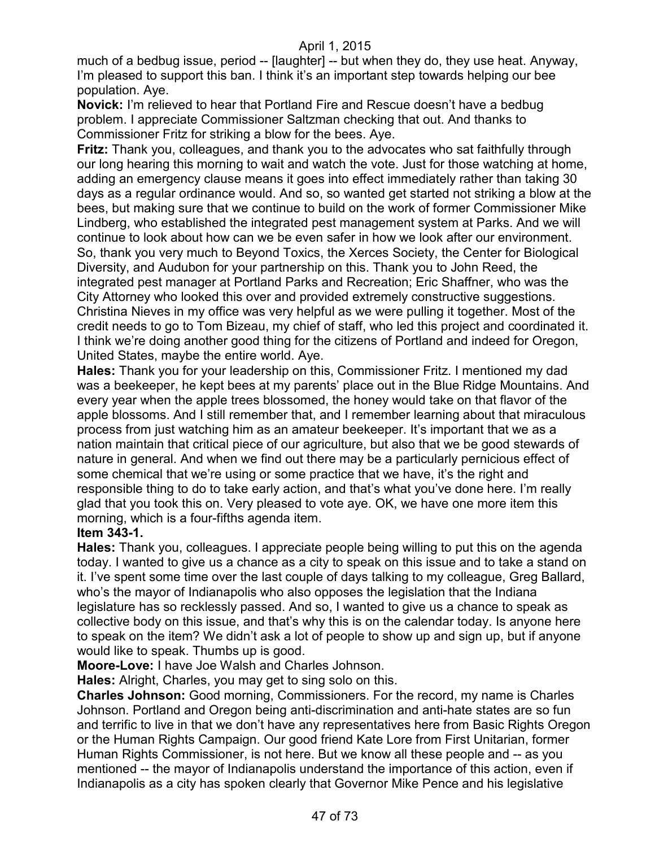much of a bedbug issue, period -- [laughter] -- but when they do, they use heat. Anyway, I'm pleased to support this ban. I think it's an important step towards helping our bee population. Aye.

**Novick:** I'm relieved to hear that Portland Fire and Rescue doesn't have a bedbug problem. I appreciate Commissioner Saltzman checking that out. And thanks to Commissioner Fritz for striking a blow for the bees. Aye.

**Fritz:** Thank you, colleagues, and thank you to the advocates who sat faithfully through our long hearing this morning to wait and watch the vote. Just for those watching at home, adding an emergency clause means it goes into effect immediately rather than taking 30 days as a regular ordinance would. And so, so wanted get started not striking a blow at the bees, but making sure that we continue to build on the work of former Commissioner Mike Lindberg, who established the integrated pest management system at Parks. And we will continue to look about how can we be even safer in how we look after our environment. So, thank you very much to Beyond Toxics, the Xerces Society, the Center for Biological Diversity, and Audubon for your partnership on this. Thank you to John Reed, the integrated pest manager at Portland Parks and Recreation; Eric Shaffner, who was the City Attorney who looked this over and provided extremely constructive suggestions. Christina Nieves in my office was very helpful as we were pulling it together. Most of the credit needs to go to Tom Bizeau, my chief of staff, who led this project and coordinated it. I think we're doing another good thing for the citizens of Portland and indeed for Oregon, United States, maybe the entire world. Aye.

**Hales:** Thank you for your leadership on this, Commissioner Fritz. I mentioned my dad was a beekeeper, he kept bees at my parents' place out in the Blue Ridge Mountains. And every year when the apple trees blossomed, the honey would take on that flavor of the apple blossoms. And I still remember that, and I remember learning about that miraculous process from just watching him as an amateur beekeeper. It's important that we as a nation maintain that critical piece of our agriculture, but also that we be good stewards of nature in general. And when we find out there may be a particularly pernicious effect of some chemical that we're using or some practice that we have, it's the right and responsible thing to do to take early action, and that's what you've done here. I'm really glad that you took this on. Very pleased to vote aye. OK, we have one more item this morning, which is a four-fifths agenda item.

## **Item 343-1.**

**Hales:** Thank you, colleagues. I appreciate people being willing to put this on the agenda today. I wanted to give us a chance as a city to speak on this issue and to take a stand on it. I've spent some time over the last couple of days talking to my colleague, Greg Ballard, who's the mayor of Indianapolis who also opposes the legislation that the Indiana legislature has so recklessly passed. And so, I wanted to give us a chance to speak as collective body on this issue, and that's why this is on the calendar today. Is anyone here to speak on the item? We didn't ask a lot of people to show up and sign up, but if anyone would like to speak. Thumbs up is good.

**Moore-Love:** I have Joe Walsh and Charles Johnson.

**Hales:** Alright, Charles, you may get to sing solo on this.

**Charles Johnson:** Good morning, Commissioners. For the record, my name is Charles Johnson. Portland and Oregon being anti-discrimination and anti-hate states are so fun and terrific to live in that we don't have any representatives here from Basic Rights Oregon or the Human Rights Campaign. Our good friend Kate Lore from First Unitarian, former Human Rights Commissioner, is not here. But we know all these people and -- as you mentioned -- the mayor of Indianapolis understand the importance of this action, even if Indianapolis as a city has spoken clearly that Governor Mike Pence and his legislative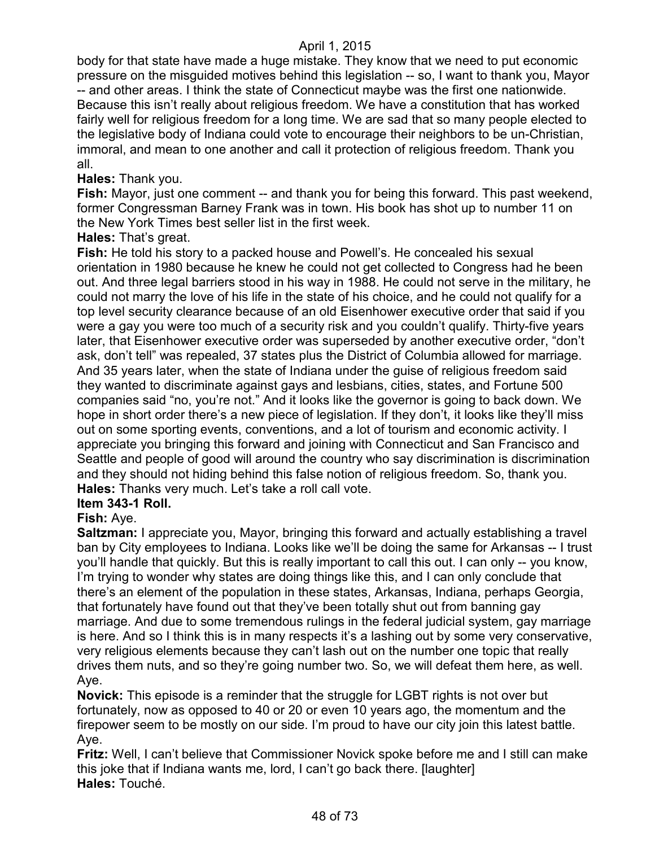body for that state have made a huge mistake. They know that we need to put economic pressure on the misguided motives behind this legislation -- so, I want to thank you, Mayor -- and other areas. I think the state of Connecticut maybe was the first one nationwide. Because this isn't really about religious freedom. We have a constitution that has worked fairly well for religious freedom for a long time. We are sad that so many people elected to the legislative body of Indiana could vote to encourage their neighbors to be un-Christian, immoral, and mean to one another and call it protection of religious freedom. Thank you all.

## **Hales:** Thank you.

Fish: Mayor, just one comment -- and thank you for being this forward. This past weekend, former Congressman Barney Frank was in town. His book has shot up to number 11 on the New York Times best seller list in the first week.

## **Hales:** That's great.

**Fish:** He told his story to a packed house and Powell's. He concealed his sexual orientation in 1980 because he knew he could not get collected to Congress had he been out. And three legal barriers stood in his way in 1988. He could not serve in the military, he could not marry the love of his life in the state of his choice, and he could not qualify for a top level security clearance because of an old Eisenhower executive order that said if you were a gay you were too much of a security risk and you couldn't qualify. Thirty-five years later, that Eisenhower executive order was superseded by another executive order, "don't ask, don't tell" was repealed, 37 states plus the District of Columbia allowed for marriage. And 35 years later, when the state of Indiana under the guise of religious freedom said they wanted to discriminate against gays and lesbians, cities, states, and Fortune 500 companies said "no, you're not." And it looks like the governor is going to back down. We hope in short order there's a new piece of legislation. If they don't, it looks like they'll miss out on some sporting events, conventions, and a lot of tourism and economic activity. I appreciate you bringing this forward and joining with Connecticut and San Francisco and Seattle and people of good will around the country who say discrimination is discrimination and they should not hiding behind this false notion of religious freedom. So, thank you. **Hales:** Thanks very much. Let's take a roll call vote.

## **Item 343-1 Roll.**

## **Fish:** Aye.

**Saltzman:** I appreciate you, Mayor, bringing this forward and actually establishing a travel ban by City employees to Indiana. Looks like we'll be doing the same for Arkansas -- I trust you'll handle that quickly. But this is really important to call this out. I can only -- you know, I'm trying to wonder why states are doing things like this, and I can only conclude that there's an element of the population in these states, Arkansas, Indiana, perhaps Georgia, that fortunately have found out that they've been totally shut out from banning gay marriage. And due to some tremendous rulings in the federal judicial system, gay marriage is here. And so I think this is in many respects it's a lashing out by some very conservative, very religious elements because they can't lash out on the number one topic that really drives them nuts, and so they're going number two. So, we will defeat them here, as well. Aye.

**Novick:** This episode is a reminder that the struggle for LGBT rights is not over but fortunately, now as opposed to 40 or 20 or even 10 years ago, the momentum and the firepower seem to be mostly on our side. I'm proud to have our city join this latest battle. Aye.

**Fritz:** Well, I can't believe that Commissioner Novick spoke before me and I still can make this joke that if Indiana wants me, lord, I can't go back there. [laughter] **Hales:** Touché.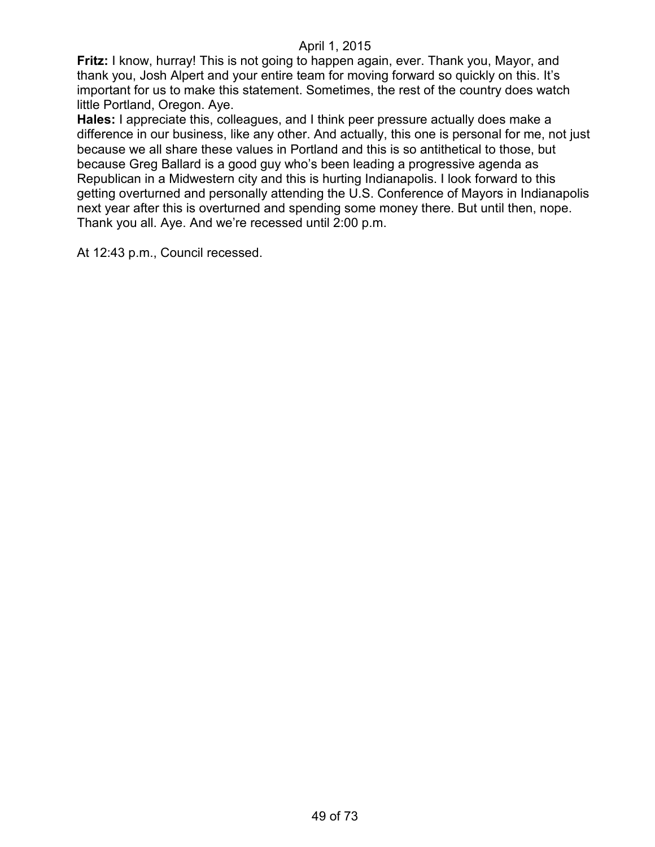**Fritz:** I know, hurray! This is not going to happen again, ever. Thank you, Mayor, and thank you, Josh Alpert and your entire team for moving forward so quickly on this. It's important for us to make this statement. Sometimes, the rest of the country does watch little Portland, Oregon. Aye.

**Hales:** I appreciate this, colleagues, and I think peer pressure actually does make a difference in our business, like any other. And actually, this one is personal for me, not just because we all share these values in Portland and this is so antithetical to those, but because Greg Ballard is a good guy who's been leading a progressive agenda as Republican in a Midwestern city and this is hurting Indianapolis. I look forward to this getting overturned and personally attending the U.S. Conference of Mayors in Indianapolis next year after this is overturned and spending some money there. But until then, nope. Thank you all. Aye. And we're recessed until 2:00 p.m.

At 12:43 p.m., Council recessed.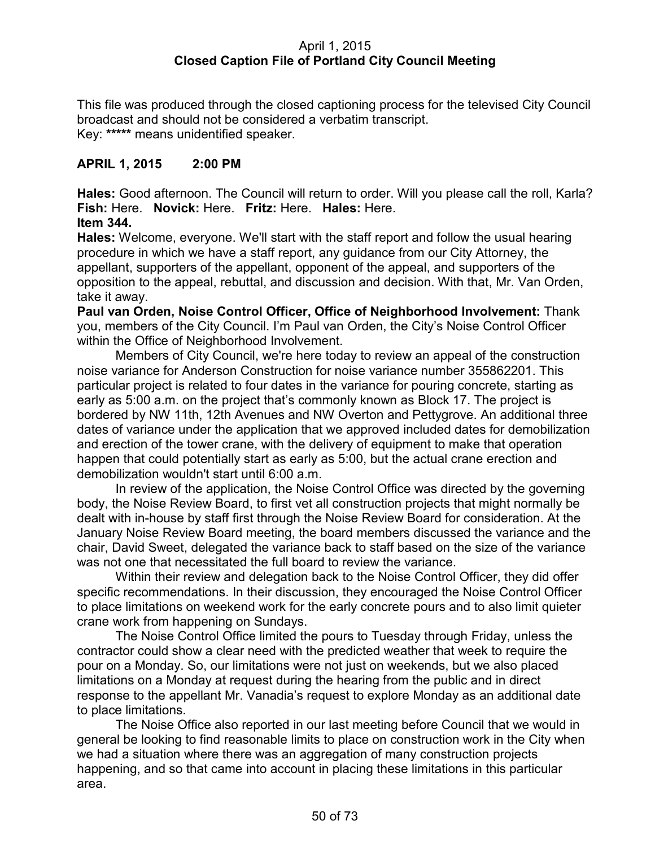## April 1, 2015 **Closed Caption File of Portland City Council Meeting**

This file was produced through the closed captioning process for the televised City Council broadcast and should not be considered a verbatim transcript. Key: **\*\*\*\*\*** means unidentified speaker.

# **APRIL 1, 2015 2:00 PM**

**Hales:** Good afternoon. The Council will return to order. Will you please call the roll, Karla? **Fish:** Here. **Novick:** Here. **Fritz:** Here. **Hales:** Here.

**Item 344.**

**Hales:** Welcome, everyone. We'll start with the staff report and follow the usual hearing procedure in which we have a staff report, any guidance from our City Attorney, the appellant, supporters of the appellant, opponent of the appeal, and supporters of the opposition to the appeal, rebuttal, and discussion and decision. With that, Mr. Van Orden, take it away.

**Paul van Orden, Noise Control Officer, Office of Neighborhood Involvement:** Thank you, members of the City Council. I'm Paul van Orden, the City's Noise Control Officer within the Office of Neighborhood Involvement.

Members of City Council, we're here today to review an appeal of the construction noise variance for Anderson Construction for noise variance number 355862201. This particular project is related to four dates in the variance for pouring concrete, starting as early as 5:00 a.m. on the project that's commonly known as Block 17. The project is bordered by NW 11th, 12th Avenues and NW Overton and Pettygrove. An additional three dates of variance under the application that we approved included dates for demobilization and erection of the tower crane, with the delivery of equipment to make that operation happen that could potentially start as early as 5:00, but the actual crane erection and demobilization wouldn't start until 6:00 a.m.

In review of the application, the Noise Control Office was directed by the governing body, the Noise Review Board, to first vet all construction projects that might normally be dealt with in-house by staff first through the Noise Review Board for consideration. At the January Noise Review Board meeting, the board members discussed the variance and the chair, David Sweet, delegated the variance back to staff based on the size of the variance was not one that necessitated the full board to review the variance.

Within their review and delegation back to the Noise Control Officer, they did offer specific recommendations. In their discussion, they encouraged the Noise Control Officer to place limitations on weekend work for the early concrete pours and to also limit quieter crane work from happening on Sundays.

The Noise Control Office limited the pours to Tuesday through Friday, unless the contractor could show a clear need with the predicted weather that week to require the pour on a Monday. So, our limitations were not just on weekends, but we also placed limitations on a Monday at request during the hearing from the public and in direct response to the appellant Mr. Vanadia's request to explore Monday as an additional date to place limitations.

The Noise Office also reported in our last meeting before Council that we would in general be looking to find reasonable limits to place on construction work in the City when we had a situation where there was an aggregation of many construction projects happening, and so that came into account in placing these limitations in this particular area.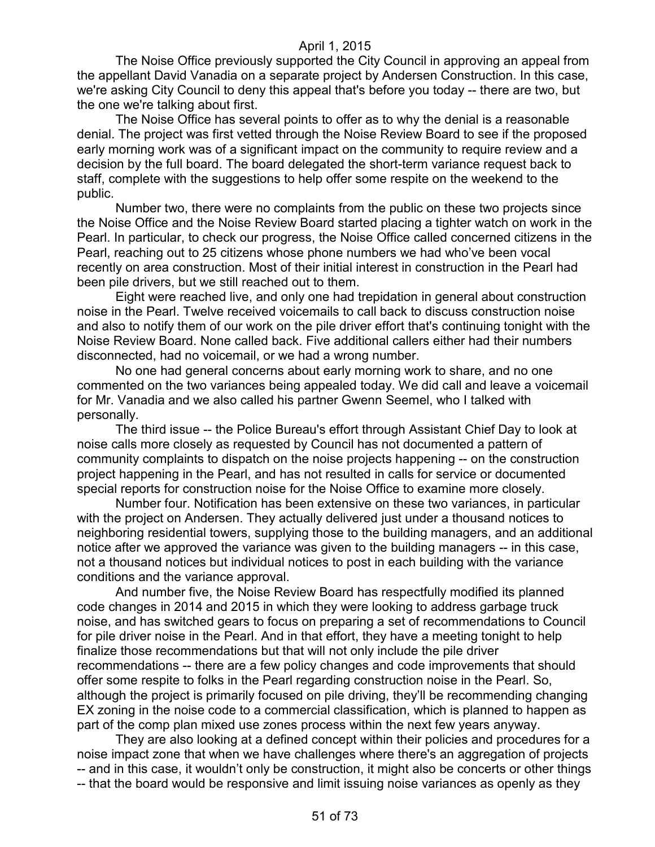The Noise Office previously supported the City Council in approving an appeal from the appellant David Vanadia on a separate project by Andersen Construction. In this case, we're asking City Council to deny this appeal that's before you today -- there are two, but the one we're talking about first.

The Noise Office has several points to offer as to why the denial is a reasonable denial. The project was first vetted through the Noise Review Board to see if the proposed early morning work was of a significant impact on the community to require review and a decision by the full board. The board delegated the short-term variance request back to staff, complete with the suggestions to help offer some respite on the weekend to the public.

Number two, there were no complaints from the public on these two projects since the Noise Office and the Noise Review Board started placing a tighter watch on work in the Pearl. In particular, to check our progress, the Noise Office called concerned citizens in the Pearl, reaching out to 25 citizens whose phone numbers we had who've been vocal recently on area construction. Most of their initial interest in construction in the Pearl had been pile drivers, but we still reached out to them.

Eight were reached live, and only one had trepidation in general about construction noise in the Pearl. Twelve received voicemails to call back to discuss construction noise and also to notify them of our work on the pile driver effort that's continuing tonight with the Noise Review Board. None called back. Five additional callers either had their numbers disconnected, had no voicemail, or we had a wrong number.

No one had general concerns about early morning work to share, and no one commented on the two variances being appealed today. We did call and leave a voicemail for Mr. Vanadia and we also called his partner Gwenn Seemel, who I talked with personally.

The third issue -- the Police Bureau's effort through Assistant Chief Day to look at noise calls more closely as requested by Council has not documented a pattern of community complaints to dispatch on the noise projects happening -- on the construction project happening in the Pearl, and has not resulted in calls for service or documented special reports for construction noise for the Noise Office to examine more closely.

Number four. Notification has been extensive on these two variances, in particular with the project on Andersen. They actually delivered just under a thousand notices to neighboring residential towers, supplying those to the building managers, and an additional notice after we approved the variance was given to the building managers -- in this case, not a thousand notices but individual notices to post in each building with the variance conditions and the variance approval.

And number five, the Noise Review Board has respectfully modified its planned code changes in 2014 and 2015 in which they were looking to address garbage truck noise, and has switched gears to focus on preparing a set of recommendations to Council for pile driver noise in the Pearl. And in that effort, they have a meeting tonight to help finalize those recommendations but that will not only include the pile driver recommendations -- there are a few policy changes and code improvements that should offer some respite to folks in the Pearl regarding construction noise in the Pearl. So, although the project is primarily focused on pile driving, they'll be recommending changing EX zoning in the noise code to a commercial classification, which is planned to happen as part of the comp plan mixed use zones process within the next few years anyway.

They are also looking at a defined concept within their policies and procedures for a noise impact zone that when we have challenges where there's an aggregation of projects -- and in this case, it wouldn't only be construction, it might also be concerts or other things -- that the board would be responsive and limit issuing noise variances as openly as they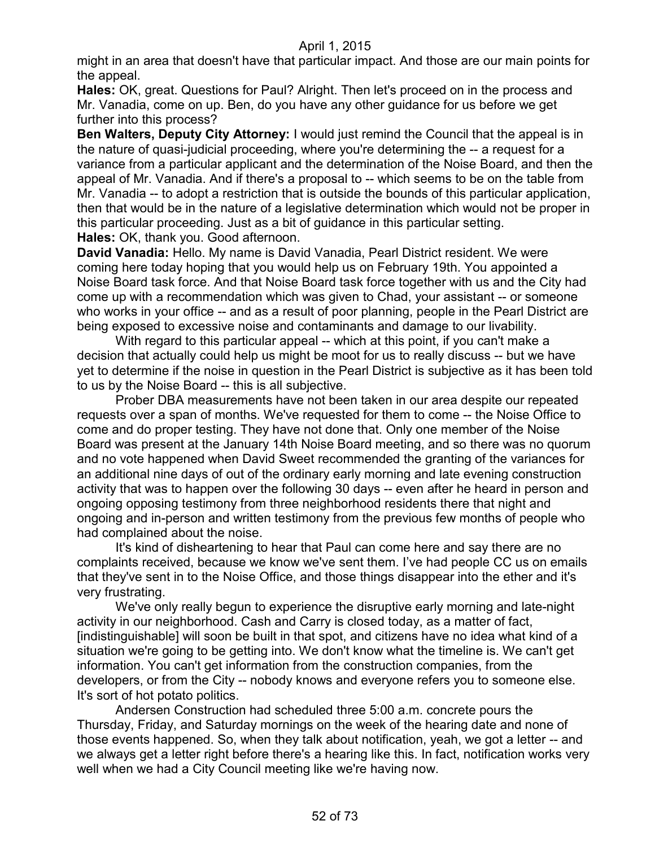might in an area that doesn't have that particular impact. And those are our main points for the appeal.

**Hales:** OK, great. Questions for Paul? Alright. Then let's proceed on in the process and Mr. Vanadia, come on up. Ben, do you have any other guidance for us before we get further into this process?

**Ben Walters, Deputy City Attorney:** I would just remind the Council that the appeal is in the nature of quasi-judicial proceeding, where you're determining the -- a request for a variance from a particular applicant and the determination of the Noise Board, and then the appeal of Mr. Vanadia. And if there's a proposal to -- which seems to be on the table from Mr. Vanadia -- to adopt a restriction that is outside the bounds of this particular application, then that would be in the nature of a legislative determination which would not be proper in this particular proceeding. Just as a bit of guidance in this particular setting. **Hales:** OK, thank you. Good afternoon.

**David Vanadia:** Hello. My name is David Vanadia, Pearl District resident. We were coming here today hoping that you would help us on February 19th. You appointed a Noise Board task force. And that Noise Board task force together with us and the City had come up with a recommendation which was given to Chad, your assistant -- or someone who works in your office -- and as a result of poor planning, people in the Pearl District are being exposed to excessive noise and contaminants and damage to our livability.

With regard to this particular appeal -- which at this point, if you can't make a decision that actually could help us might be moot for us to really discuss -- but we have yet to determine if the noise in question in the Pearl District is subjective as it has been told to us by the Noise Board -- this is all subjective.

Prober DBA measurements have not been taken in our area despite our repeated requests over a span of months. We've requested for them to come -- the Noise Office to come and do proper testing. They have not done that. Only one member of the Noise Board was present at the January 14th Noise Board meeting, and so there was no quorum and no vote happened when David Sweet recommended the granting of the variances for an additional nine days of out of the ordinary early morning and late evening construction activity that was to happen over the following 30 days -- even after he heard in person and ongoing opposing testimony from three neighborhood residents there that night and ongoing and in-person and written testimony from the previous few months of people who had complained about the noise.

It's kind of disheartening to hear that Paul can come here and say there are no complaints received, because we know we've sent them. I've had people CC us on emails that they've sent in to the Noise Office, and those things disappear into the ether and it's very frustrating.

We've only really begun to experience the disruptive early morning and late-night activity in our neighborhood. Cash and Carry is closed today, as a matter of fact, [indistinguishable] will soon be built in that spot, and citizens have no idea what kind of a situation we're going to be getting into. We don't know what the timeline is. We can't get information. You can't get information from the construction companies, from the developers, or from the City -- nobody knows and everyone refers you to someone else. It's sort of hot potato politics.

Andersen Construction had scheduled three 5:00 a.m. concrete pours the Thursday, Friday, and Saturday mornings on the week of the hearing date and none of those events happened. So, when they talk about notification, yeah, we got a letter -- and we always get a letter right before there's a hearing like this. In fact, notification works very well when we had a City Council meeting like we're having now.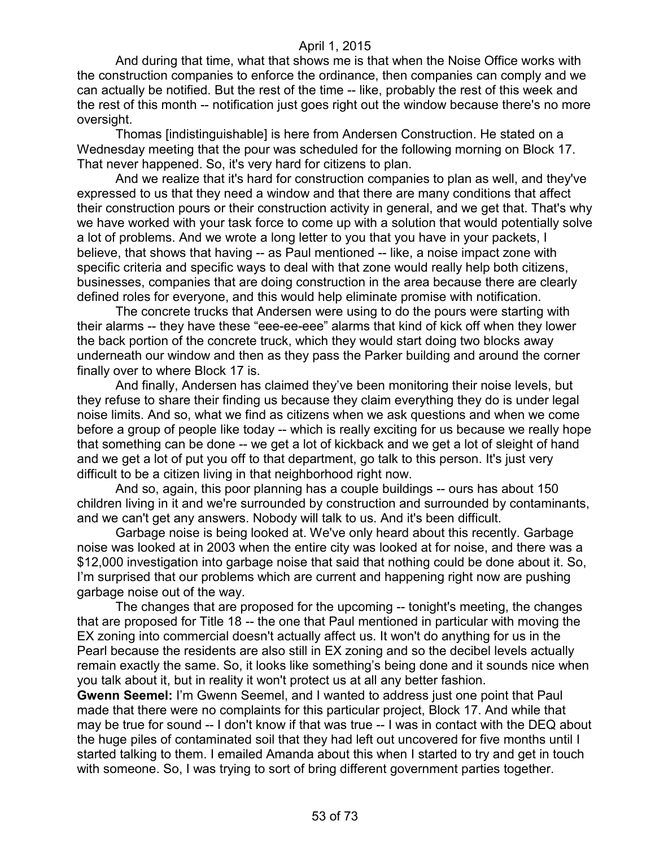And during that time, what that shows me is that when the Noise Office works with the construction companies to enforce the ordinance, then companies can comply and we can actually be notified. But the rest of the time -- like, probably the rest of this week and the rest of this month -- notification just goes right out the window because there's no more oversight.

Thomas [indistinguishable] is here from Andersen Construction. He stated on a Wednesday meeting that the pour was scheduled for the following morning on Block 17. That never happened. So, it's very hard for citizens to plan.

And we realize that it's hard for construction companies to plan as well, and they've expressed to us that they need a window and that there are many conditions that affect their construction pours or their construction activity in general, and we get that. That's why we have worked with your task force to come up with a solution that would potentially solve a lot of problems. And we wrote a long letter to you that you have in your packets, I believe, that shows that having -- as Paul mentioned -- like, a noise impact zone with specific criteria and specific ways to deal with that zone would really help both citizens, businesses, companies that are doing construction in the area because there are clearly defined roles for everyone, and this would help eliminate promise with notification.

The concrete trucks that Andersen were using to do the pours were starting with their alarms -- they have these "eee-ee-eee" alarms that kind of kick off when they lower the back portion of the concrete truck, which they would start doing two blocks away underneath our window and then as they pass the Parker building and around the corner finally over to where Block 17 is.

And finally, Andersen has claimed they've been monitoring their noise levels, but they refuse to share their finding us because they claim everything they do is under legal noise limits. And so, what we find as citizens when we ask questions and when we come before a group of people like today -- which is really exciting for us because we really hope that something can be done -- we get a lot of kickback and we get a lot of sleight of hand and we get a lot of put you off to that department, go talk to this person. It's just very difficult to be a citizen living in that neighborhood right now.

And so, again, this poor planning has a couple buildings -- ours has about 150 children living in it and we're surrounded by construction and surrounded by contaminants, and we can't get any answers. Nobody will talk to us. And it's been difficult.

Garbage noise is being looked at. We've only heard about this recently. Garbage noise was looked at in 2003 when the entire city was looked at for noise, and there was a \$12,000 investigation into garbage noise that said that nothing could be done about it. So, I'm surprised that our problems which are current and happening right now are pushing garbage noise out of the way.

The changes that are proposed for the upcoming -- tonight's meeting, the changes that are proposed for Title 18 -- the one that Paul mentioned in particular with moving the EX zoning into commercial doesn't actually affect us. It won't do anything for us in the Pearl because the residents are also still in EX zoning and so the decibel levels actually remain exactly the same. So, it looks like something's being done and it sounds nice when you talk about it, but in reality it won't protect us at all any better fashion.

**Gwenn Seemel:** I'm Gwenn Seemel, and I wanted to address just one point that Paul made that there were no complaints for this particular project, Block 17. And while that may be true for sound -- I don't know if that was true -- I was in contact with the DEQ about the huge piles of contaminated soil that they had left out uncovered for five months until I started talking to them. I emailed Amanda about this when I started to try and get in touch with someone. So, I was trying to sort of bring different government parties together.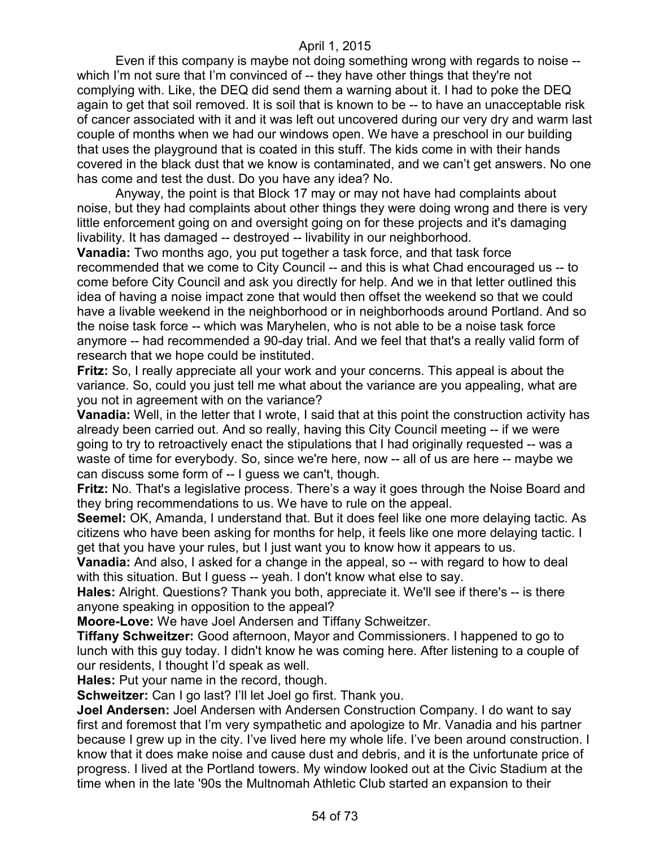Even if this company is maybe not doing something wrong with regards to noise - which I'm not sure that I'm convinced of -- they have other things that they're not complying with. Like, the DEQ did send them a warning about it. I had to poke the DEQ again to get that soil removed. It is soil that is known to be -- to have an unacceptable risk of cancer associated with it and it was left out uncovered during our very dry and warm last couple of months when we had our windows open. We have a preschool in our building that uses the playground that is coated in this stuff. The kids come in with their hands covered in the black dust that we know is contaminated, and we can't get answers. No one has come and test the dust. Do you have any idea? No.

Anyway, the point is that Block 17 may or may not have had complaints about noise, but they had complaints about other things they were doing wrong and there is very little enforcement going on and oversight going on for these projects and it's damaging livability. It has damaged -- destroyed -- livability in our neighborhood.

**Vanadia:** Two months ago, you put together a task force, and that task force recommended that we come to City Council -- and this is what Chad encouraged us -- to come before City Council and ask you directly for help. And we in that letter outlined this idea of having a noise impact zone that would then offset the weekend so that we could have a livable weekend in the neighborhood or in neighborhoods around Portland. And so the noise task force -- which was Maryhelen, who is not able to be a noise task force anymore -- had recommended a 90-day trial. And we feel that that's a really valid form of research that we hope could be instituted.

**Fritz:** So, I really appreciate all your work and your concerns. This appeal is about the variance. So, could you just tell me what about the variance are you appealing, what are you not in agreement with on the variance?

**Vanadia:** Well, in the letter that I wrote, I said that at this point the construction activity has already been carried out. And so really, having this City Council meeting -- if we were going to try to retroactively enact the stipulations that I had originally requested -- was a waste of time for everybody. So, since we're here, now -- all of us are here -- maybe we can discuss some form of -- I guess we can't, though.

**Fritz:** No. That's a legislative process. There's a way it goes through the Noise Board and they bring recommendations to us. We have to rule on the appeal.

**Seemel:** OK, Amanda, I understand that. But it does feel like one more delaying tactic. As citizens who have been asking for months for help, it feels like one more delaying tactic. I get that you have your rules, but I just want you to know how it appears to us.

**Vanadia:** And also, I asked for a change in the appeal, so -- with regard to how to deal with this situation. But I guess -- yeah. I don't know what else to say.

**Hales:** Alright. Questions? Thank you both, appreciate it. We'll see if there's -- is there anyone speaking in opposition to the appeal?

**Moore-Love:** We have Joel Andersen and Tiffany Schweitzer.

**Tiffany Schweitzer:** Good afternoon, Mayor and Commissioners. I happened to go to lunch with this guy today. I didn't know he was coming here. After listening to a couple of our residents, I thought I'd speak as well.

**Hales:** Put your name in the record, though.

**Schweitzer:** Can I go last? I'll let Joel go first. Thank you.

**Joel Andersen:** Joel Andersen with Andersen Construction Company. I do want to say first and foremost that I'm very sympathetic and apologize to Mr. Vanadia and his partner because I grew up in the city. I've lived here my whole life. I've been around construction. I know that it does make noise and cause dust and debris, and it is the unfortunate price of progress. I lived at the Portland towers. My window looked out at the Civic Stadium at the time when in the late '90s the Multnomah Athletic Club started an expansion to their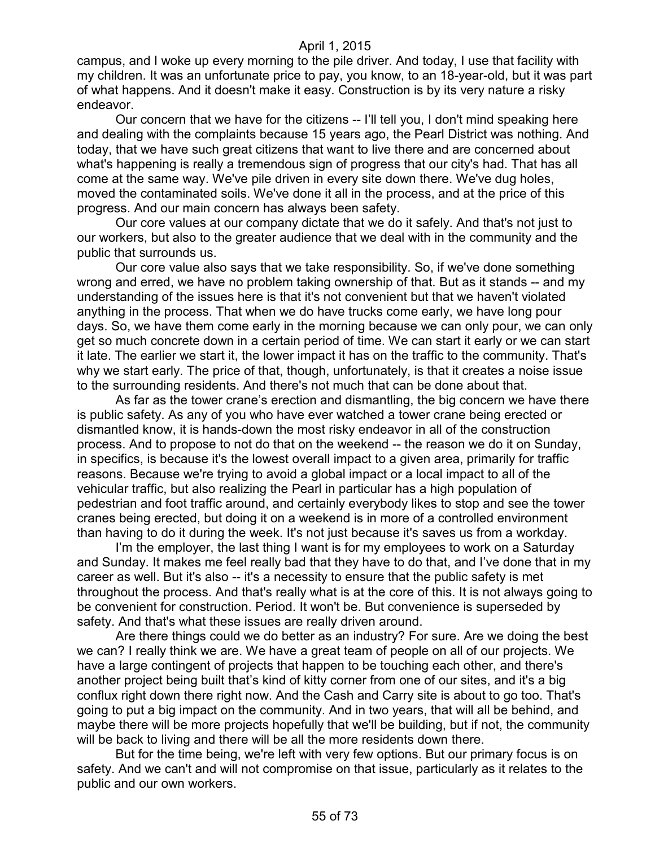campus, and I woke up every morning to the pile driver. And today, I use that facility with my children. It was an unfortunate price to pay, you know, to an 18-year-old, but it was part of what happens. And it doesn't make it easy. Construction is by its very nature a risky endeavor.

Our concern that we have for the citizens -- I'll tell you, I don't mind speaking here and dealing with the complaints because 15 years ago, the Pearl District was nothing. And today, that we have such great citizens that want to live there and are concerned about what's happening is really a tremendous sign of progress that our city's had. That has all come at the same way. We've pile driven in every site down there. We've dug holes, moved the contaminated soils. We've done it all in the process, and at the price of this progress. And our main concern has always been safety.

Our core values at our company dictate that we do it safely. And that's not just to our workers, but also to the greater audience that we deal with in the community and the public that surrounds us.

Our core value also says that we take responsibility. So, if we've done something wrong and erred, we have no problem taking ownership of that. But as it stands -- and my understanding of the issues here is that it's not convenient but that we haven't violated anything in the process. That when we do have trucks come early, we have long pour days. So, we have them come early in the morning because we can only pour, we can only get so much concrete down in a certain period of time. We can start it early or we can start it late. The earlier we start it, the lower impact it has on the traffic to the community. That's why we start early. The price of that, though, unfortunately, is that it creates a noise issue to the surrounding residents. And there's not much that can be done about that.

As far as the tower crane's erection and dismantling, the big concern we have there is public safety. As any of you who have ever watched a tower crane being erected or dismantled know, it is hands-down the most risky endeavor in all of the construction process. And to propose to not do that on the weekend -- the reason we do it on Sunday, in specifics, is because it's the lowest overall impact to a given area, primarily for traffic reasons. Because we're trying to avoid a global impact or a local impact to all of the vehicular traffic, but also realizing the Pearl in particular has a high population of pedestrian and foot traffic around, and certainly everybody likes to stop and see the tower cranes being erected, but doing it on a weekend is in more of a controlled environment than having to do it during the week. It's not just because it's saves us from a workday.

I'm the employer, the last thing I want is for my employees to work on a Saturday and Sunday. It makes me feel really bad that they have to do that, and I've done that in my career as well. But it's also -- it's a necessity to ensure that the public safety is met throughout the process. And that's really what is at the core of this. It is not always going to be convenient for construction. Period. It won't be. But convenience is superseded by safety. And that's what these issues are really driven around.

Are there things could we do better as an industry? For sure. Are we doing the best we can? I really think we are. We have a great team of people on all of our projects. We have a large contingent of projects that happen to be touching each other, and there's another project being built that's kind of kitty corner from one of our sites, and it's a big conflux right down there right now. And the Cash and Carry site is about to go too. That's going to put a big impact on the community. And in two years, that will all be behind, and maybe there will be more projects hopefully that we'll be building, but if not, the community will be back to living and there will be all the more residents down there.

But for the time being, we're left with very few options. But our primary focus is on safety. And we can't and will not compromise on that issue, particularly as it relates to the public and our own workers.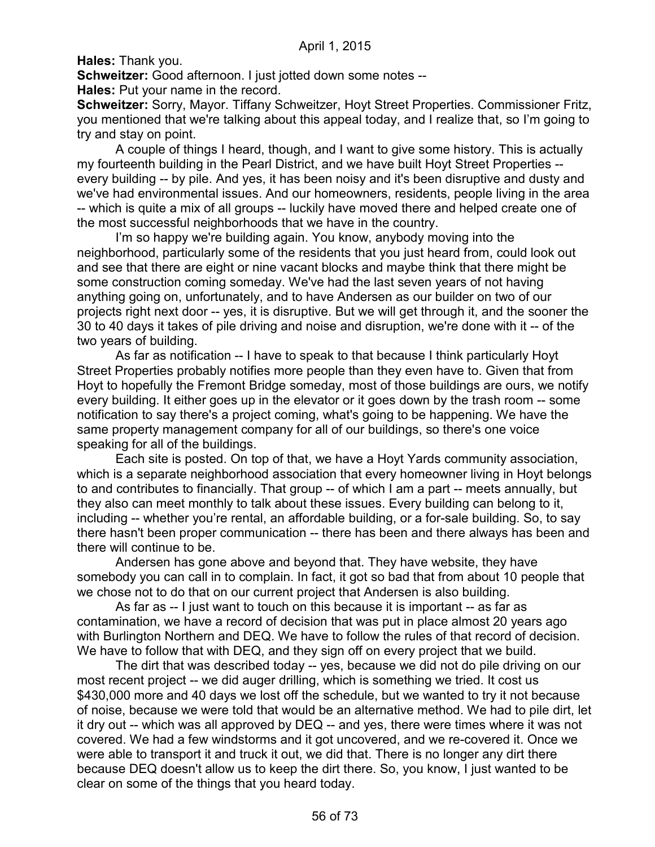**Hales:** Thank you.

**Schweitzer:** Good afternoon. I just jotted down some notes --

**Hales:** Put your name in the record.

**Schweitzer:** Sorry, Mayor. Tiffany Schweitzer, Hoyt Street Properties. Commissioner Fritz, you mentioned that we're talking about this appeal today, and I realize that, so I'm going to try and stay on point.

A couple of things I heard, though, and I want to give some history. This is actually my fourteenth building in the Pearl District, and we have built Hoyt Street Properties - every building -- by pile. And yes, it has been noisy and it's been disruptive and dusty and we've had environmental issues. And our homeowners, residents, people living in the area -- which is quite a mix of all groups -- luckily have moved there and helped create one of the most successful neighborhoods that we have in the country.

I'm so happy we're building again. You know, anybody moving into the neighborhood, particularly some of the residents that you just heard from, could look out and see that there are eight or nine vacant blocks and maybe think that there might be some construction coming someday. We've had the last seven years of not having anything going on, unfortunately, and to have Andersen as our builder on two of our projects right next door -- yes, it is disruptive. But we will get through it, and the sooner the 30 to 40 days it takes of pile driving and noise and disruption, we're done with it -- of the two years of building.

As far as notification -- I have to speak to that because I think particularly Hoyt Street Properties probably notifies more people than they even have to. Given that from Hoyt to hopefully the Fremont Bridge someday, most of those buildings are ours, we notify every building. It either goes up in the elevator or it goes down by the trash room -- some notification to say there's a project coming, what's going to be happening. We have the same property management company for all of our buildings, so there's one voice speaking for all of the buildings.

Each site is posted. On top of that, we have a Hoyt Yards community association, which is a separate neighborhood association that every homeowner living in Hoyt belongs to and contributes to financially. That group -- of which I am a part -- meets annually, but they also can meet monthly to talk about these issues. Every building can belong to it, including -- whether you're rental, an affordable building, or a for-sale building. So, to say there hasn't been proper communication -- there has been and there always has been and there will continue to be.

Andersen has gone above and beyond that. They have website, they have somebody you can call in to complain. In fact, it got so bad that from about 10 people that we chose not to do that on our current project that Andersen is also building.

As far as -- I just want to touch on this because it is important -- as far as contamination, we have a record of decision that was put in place almost 20 years ago with Burlington Northern and DEQ. We have to follow the rules of that record of decision. We have to follow that with DEQ, and they sign off on every project that we build.

The dirt that was described today -- yes, because we did not do pile driving on our most recent project -- we did auger drilling, which is something we tried. It cost us \$430,000 more and 40 days we lost off the schedule, but we wanted to try it not because of noise, because we were told that would be an alternative method. We had to pile dirt, let it dry out -- which was all approved by DEQ -- and yes, there were times where it was not covered. We had a few windstorms and it got uncovered, and we re-covered it. Once we were able to transport it and truck it out, we did that. There is no longer any dirt there because DEQ doesn't allow us to keep the dirt there. So, you know, I just wanted to be clear on some of the things that you heard today.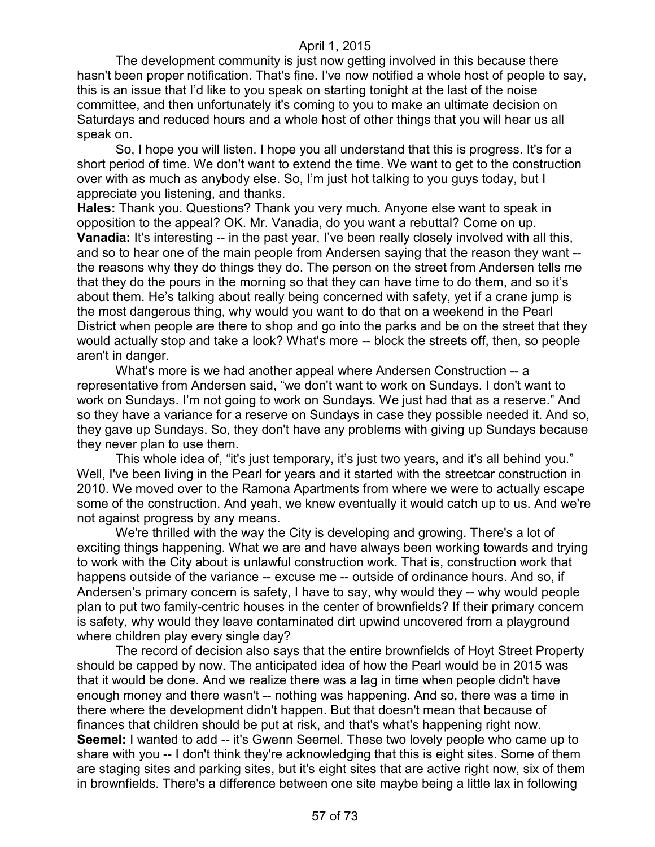The development community is just now getting involved in this because there hasn't been proper notification. That's fine. I've now notified a whole host of people to say, this is an issue that I'd like to you speak on starting tonight at the last of the noise committee, and then unfortunately it's coming to you to make an ultimate decision on Saturdays and reduced hours and a whole host of other things that you will hear us all speak on.

So, I hope you will listen. I hope you all understand that this is progress. It's for a short period of time. We don't want to extend the time. We want to get to the construction over with as much as anybody else. So, I'm just hot talking to you guys today, but I appreciate you listening, and thanks.

**Hales:** Thank you. Questions? Thank you very much. Anyone else want to speak in opposition to the appeal? OK. Mr. Vanadia, do you want a rebuttal? Come on up. **Vanadia:** It's interesting -- in the past year, I've been really closely involved with all this, and so to hear one of the main people from Andersen saying that the reason they want - the reasons why they do things they do. The person on the street from Andersen tells me that they do the pours in the morning so that they can have time to do them, and so it's about them. He's talking about really being concerned with safety, yet if a crane jump is the most dangerous thing, why would you want to do that on a weekend in the Pearl District when people are there to shop and go into the parks and be on the street that they would actually stop and take a look? What's more -- block the streets off, then, so people aren't in danger.

What's more is we had another appeal where Andersen Construction -- a representative from Andersen said, "we don't want to work on Sundays. I don't want to work on Sundays. I'm not going to work on Sundays. We just had that as a reserve." And so they have a variance for a reserve on Sundays in case they possible needed it. And so, they gave up Sundays. So, they don't have any problems with giving up Sundays because they never plan to use them.

This whole idea of, "it's just temporary, it's just two years, and it's all behind you." Well, I've been living in the Pearl for years and it started with the streetcar construction in 2010. We moved over to the Ramona Apartments from where we were to actually escape some of the construction. And yeah, we knew eventually it would catch up to us. And we're not against progress by any means.

We're thrilled with the way the City is developing and growing. There's a lot of exciting things happening. What we are and have always been working towards and trying to work with the City about is unlawful construction work. That is, construction work that happens outside of the variance -- excuse me -- outside of ordinance hours. And so, if Andersen's primary concern is safety, I have to say, why would they -- why would people plan to put two family-centric houses in the center of brownfields? If their primary concern is safety, why would they leave contaminated dirt upwind uncovered from a playground where children play every single day?

The record of decision also says that the entire brownfields of Hoyt Street Property should be capped by now. The anticipated idea of how the Pearl would be in 2015 was that it would be done. And we realize there was a lag in time when people didn't have enough money and there wasn't -- nothing was happening. And so, there was a time in there where the development didn't happen. But that doesn't mean that because of finances that children should be put at risk, and that's what's happening right now. **Seemel:** I wanted to add -- it's Gwenn Seemel. These two lovely people who came up to share with you -- I don't think they're acknowledging that this is eight sites. Some of them are staging sites and parking sites, but it's eight sites that are active right now, six of them in brownfields. There's a difference between one site maybe being a little lax in following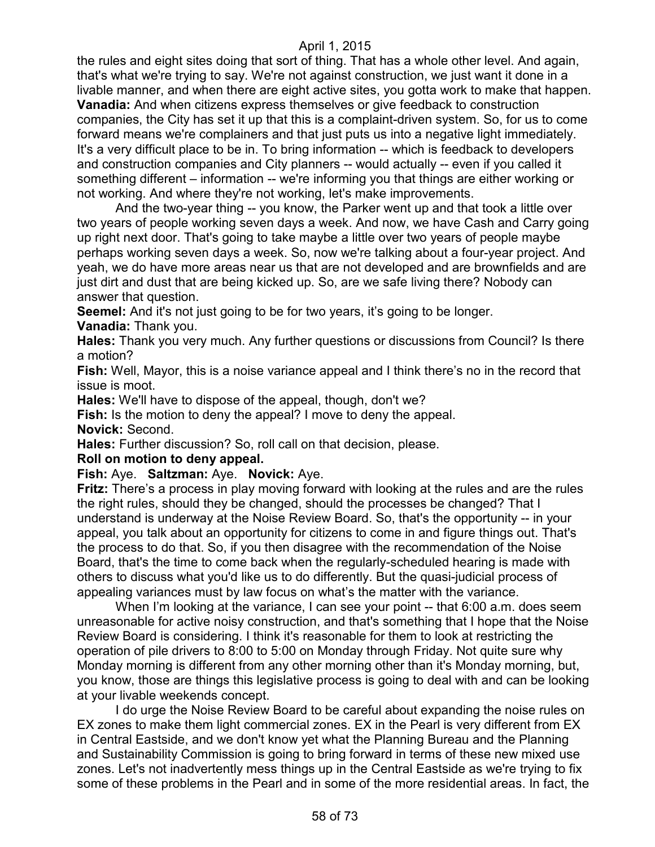the rules and eight sites doing that sort of thing. That has a whole other level. And again, that's what we're trying to say. We're not against construction, we just want it done in a livable manner, and when there are eight active sites, you gotta work to make that happen. **Vanadia:** And when citizens express themselves or give feedback to construction companies, the City has set it up that this is a complaint-driven system. So, for us to come forward means we're complainers and that just puts us into a negative light immediately. It's a very difficult place to be in. To bring information -- which is feedback to developers and construction companies and City planners -- would actually -- even if you called it something different – information -- we're informing you that things are either working or not working. And where they're not working, let's make improvements.

And the two-year thing -- you know, the Parker went up and that took a little over two years of people working seven days a week. And now, we have Cash and Carry going up right next door. That's going to take maybe a little over two years of people maybe perhaps working seven days a week. So, now we're talking about a four-year project. And yeah, we do have more areas near us that are not developed and are brownfields and are just dirt and dust that are being kicked up. So, are we safe living there? Nobody can answer that question.

**Seemel:** And it's not just going to be for two years, it's going to be longer.

**Vanadia:** Thank you.

**Hales:** Thank you very much. Any further questions or discussions from Council? Is there a motion?

**Fish:** Well, Mayor, this is a noise variance appeal and I think there's no in the record that issue is moot.

**Hales:** We'll have to dispose of the appeal, though, don't we?

**Fish:** Is the motion to deny the appeal? I move to deny the appeal.

**Novick:** Second.

**Hales:** Further discussion? So, roll call on that decision, please.

**Roll on motion to deny appeal.**

## **Fish:** Aye. **Saltzman:** Aye. **Novick:** Aye.

**Fritz:** There's a process in play moving forward with looking at the rules and are the rules the right rules, should they be changed, should the processes be changed? That I understand is underway at the Noise Review Board. So, that's the opportunity -- in your appeal, you talk about an opportunity for citizens to come in and figure things out. That's the process to do that. So, if you then disagree with the recommendation of the Noise Board, that's the time to come back when the regularly-scheduled hearing is made with others to discuss what you'd like us to do differently. But the quasi-judicial process of appealing variances must by law focus on what's the matter with the variance.

When I'm looking at the variance, I can see your point -- that 6:00 a.m. does seem unreasonable for active noisy construction, and that's something that I hope that the Noise Review Board is considering. I think it's reasonable for them to look at restricting the operation of pile drivers to 8:00 to 5:00 on Monday through Friday. Not quite sure why Monday morning is different from any other morning other than it's Monday morning, but, you know, those are things this legislative process is going to deal with and can be looking at your livable weekends concept.

I do urge the Noise Review Board to be careful about expanding the noise rules on EX zones to make them light commercial zones. EX in the Pearl is very different from EX in Central Eastside, and we don't know yet what the Planning Bureau and the Planning and Sustainability Commission is going to bring forward in terms of these new mixed use zones. Let's not inadvertently mess things up in the Central Eastside as we're trying to fix some of these problems in the Pearl and in some of the more residential areas. In fact, the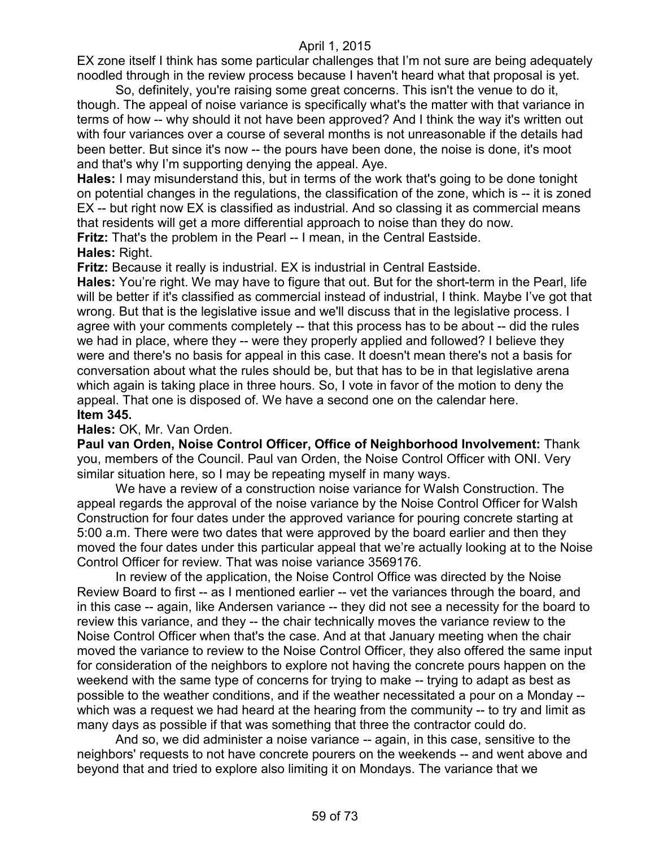EX zone itself I think has some particular challenges that I'm not sure are being adequately noodled through in the review process because I haven't heard what that proposal is yet.

So, definitely, you're raising some great concerns. This isn't the venue to do it, though. The appeal of noise variance is specifically what's the matter with that variance in terms of how -- why should it not have been approved? And I think the way it's written out with four variances over a course of several months is not unreasonable if the details had been better. But since it's now -- the pours have been done, the noise is done, it's moot and that's why I'm supporting denying the appeal. Aye.

**Hales:** I may misunderstand this, but in terms of the work that's going to be done tonight on potential changes in the regulations, the classification of the zone, which is -- it is zoned EX -- but right now EX is classified as industrial. And so classing it as commercial means that residents will get a more differential approach to noise than they do now.

**Fritz:** That's the problem in the Pearl -- I mean, in the Central Eastside.

**Hales:** Right.

**Fritz:** Because it really is industrial. EX is industrial in Central Eastside.

**Hales:** You're right. We may have to figure that out. But for the short-term in the Pearl, life will be better if it's classified as commercial instead of industrial, I think. Maybe I've got that wrong. But that is the legislative issue and we'll discuss that in the legislative process. I agree with your comments completely -- that this process has to be about -- did the rules we had in place, where they -- were they properly applied and followed? I believe they were and there's no basis for appeal in this case. It doesn't mean there's not a basis for conversation about what the rules should be, but that has to be in that legislative arena which again is taking place in three hours. So, I vote in favor of the motion to deny the appeal. That one is disposed of. We have a second one on the calendar here. **Item 345.**

#### **Hales:** OK, Mr. Van Orden.

**Paul van Orden, Noise Control Officer, Office of Neighborhood Involvement:** Thank you, members of the Council. Paul van Orden, the Noise Control Officer with ONI. Very similar situation here, so I may be repeating myself in many ways.

We have a review of a construction noise variance for Walsh Construction. The appeal regards the approval of the noise variance by the Noise Control Officer for Walsh Construction for four dates under the approved variance for pouring concrete starting at 5:00 a.m. There were two dates that were approved by the board earlier and then they moved the four dates under this particular appeal that we're actually looking at to the Noise Control Officer for review. That was noise variance 3569176.

In review of the application, the Noise Control Office was directed by the Noise Review Board to first -- as I mentioned earlier -- vet the variances through the board, and in this case -- again, like Andersen variance -- they did not see a necessity for the board to review this variance, and they -- the chair technically moves the variance review to the Noise Control Officer when that's the case. And at that January meeting when the chair moved the variance to review to the Noise Control Officer, they also offered the same input for consideration of the neighbors to explore not having the concrete pours happen on the weekend with the same type of concerns for trying to make -- trying to adapt as best as possible to the weather conditions, and if the weather necessitated a pour on a Monday - which was a request we had heard at the hearing from the community -- to try and limit as many days as possible if that was something that three the contractor could do.

And so, we did administer a noise variance -- again, in this case, sensitive to the neighbors' requests to not have concrete pourers on the weekends -- and went above and beyond that and tried to explore also limiting it on Mondays. The variance that we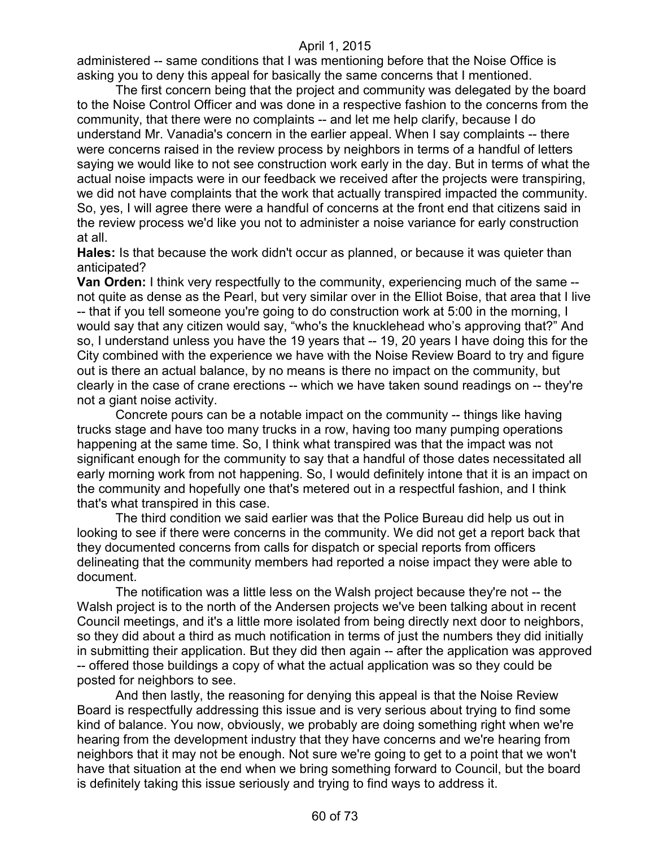administered -- same conditions that I was mentioning before that the Noise Office is asking you to deny this appeal for basically the same concerns that I mentioned.

The first concern being that the project and community was delegated by the board to the Noise Control Officer and was done in a respective fashion to the concerns from the community, that there were no complaints -- and let me help clarify, because I do understand Mr. Vanadia's concern in the earlier appeal. When I say complaints -- there were concerns raised in the review process by neighbors in terms of a handful of letters saying we would like to not see construction work early in the day. But in terms of what the actual noise impacts were in our feedback we received after the projects were transpiring, we did not have complaints that the work that actually transpired impacted the community. So, yes, I will agree there were a handful of concerns at the front end that citizens said in the review process we'd like you not to administer a noise variance for early construction at all.

**Hales:** Is that because the work didn't occur as planned, or because it was quieter than anticipated?

**Van Orden:** I think very respectfully to the community, experiencing much of the same - not quite as dense as the Pearl, but very similar over in the Elliot Boise, that area that I live -- that if you tell someone you're going to do construction work at 5:00 in the morning, I would say that any citizen would say, "who's the knucklehead who's approving that?" And so, I understand unless you have the 19 years that -- 19, 20 years I have doing this for the City combined with the experience we have with the Noise Review Board to try and figure out is there an actual balance, by no means is there no impact on the community, but clearly in the case of crane erections -- which we have taken sound readings on -- they're not a giant noise activity.

Concrete pours can be a notable impact on the community -- things like having trucks stage and have too many trucks in a row, having too many pumping operations happening at the same time. So, I think what transpired was that the impact was not significant enough for the community to say that a handful of those dates necessitated all early morning work from not happening. So, I would definitely intone that it is an impact on the community and hopefully one that's metered out in a respectful fashion, and I think that's what transpired in this case.

The third condition we said earlier was that the Police Bureau did help us out in looking to see if there were concerns in the community. We did not get a report back that they documented concerns from calls for dispatch or special reports from officers delineating that the community members had reported a noise impact they were able to document.

The notification was a little less on the Walsh project because they're not -- the Walsh project is to the north of the Andersen projects we've been talking about in recent Council meetings, and it's a little more isolated from being directly next door to neighbors, so they did about a third as much notification in terms of just the numbers they did initially in submitting their application. But they did then again -- after the application was approved -- offered those buildings a copy of what the actual application was so they could be posted for neighbors to see.

And then lastly, the reasoning for denying this appeal is that the Noise Review Board is respectfully addressing this issue and is very serious about trying to find some kind of balance. You now, obviously, we probably are doing something right when we're hearing from the development industry that they have concerns and we're hearing from neighbors that it may not be enough. Not sure we're going to get to a point that we won't have that situation at the end when we bring something forward to Council, but the board is definitely taking this issue seriously and trying to find ways to address it.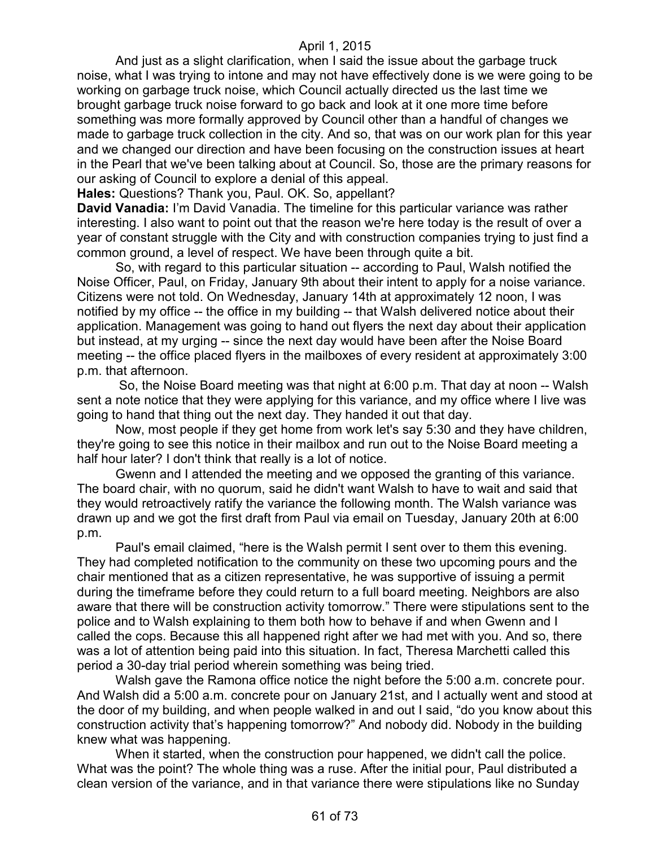And just as a slight clarification, when I said the issue about the garbage truck noise, what I was trying to intone and may not have effectively done is we were going to be working on garbage truck noise, which Council actually directed us the last time we brought garbage truck noise forward to go back and look at it one more time before something was more formally approved by Council other than a handful of changes we made to garbage truck collection in the city. And so, that was on our work plan for this year and we changed our direction and have been focusing on the construction issues at heart in the Pearl that we've been talking about at Council. So, those are the primary reasons for our asking of Council to explore a denial of this appeal.

**Hales:** Questions? Thank you, Paul. OK. So, appellant?

**David Vanadia:** I'm David Vanadia. The timeline for this particular variance was rather interesting. I also want to point out that the reason we're here today is the result of over a year of constant struggle with the City and with construction companies trying to just find a common ground, a level of respect. We have been through quite a bit.

So, with regard to this particular situation -- according to Paul, Walsh notified the Noise Officer, Paul, on Friday, January 9th about their intent to apply for a noise variance. Citizens were not told. On Wednesday, January 14th at approximately 12 noon, I was notified by my office -- the office in my building -- that Walsh delivered notice about their application. Management was going to hand out flyers the next day about their application but instead, at my urging -- since the next day would have been after the Noise Board meeting -- the office placed flyers in the mailboxes of every resident at approximately 3:00 p.m. that afternoon.

So, the Noise Board meeting was that night at 6:00 p.m. That day at noon -- Walsh sent a note notice that they were applying for this variance, and my office where I live was going to hand that thing out the next day. They handed it out that day.

Now, most people if they get home from work let's say 5:30 and they have children, they're going to see this notice in their mailbox and run out to the Noise Board meeting a half hour later? I don't think that really is a lot of notice.

Gwenn and I attended the meeting and we opposed the granting of this variance. The board chair, with no quorum, said he didn't want Walsh to have to wait and said that they would retroactively ratify the variance the following month. The Walsh variance was drawn up and we got the first draft from Paul via email on Tuesday, January 20th at 6:00 p.m.

Paul's email claimed, "here is the Walsh permit I sent over to them this evening. They had completed notification to the community on these two upcoming pours and the chair mentioned that as a citizen representative, he was supportive of issuing a permit during the timeframe before they could return to a full board meeting. Neighbors are also aware that there will be construction activity tomorrow." There were stipulations sent to the police and to Walsh explaining to them both how to behave if and when Gwenn and I called the cops. Because this all happened right after we had met with you. And so, there was a lot of attention being paid into this situation. In fact, Theresa Marchetti called this period a 30-day trial period wherein something was being tried.

Walsh gave the Ramona office notice the night before the 5:00 a.m. concrete pour. And Walsh did a 5:00 a.m. concrete pour on January 21st, and I actually went and stood at the door of my building, and when people walked in and out I said, "do you know about this construction activity that's happening tomorrow?" And nobody did. Nobody in the building knew what was happening.

When it started, when the construction pour happened, we didn't call the police. What was the point? The whole thing was a ruse. After the initial pour, Paul distributed a clean version of the variance, and in that variance there were stipulations like no Sunday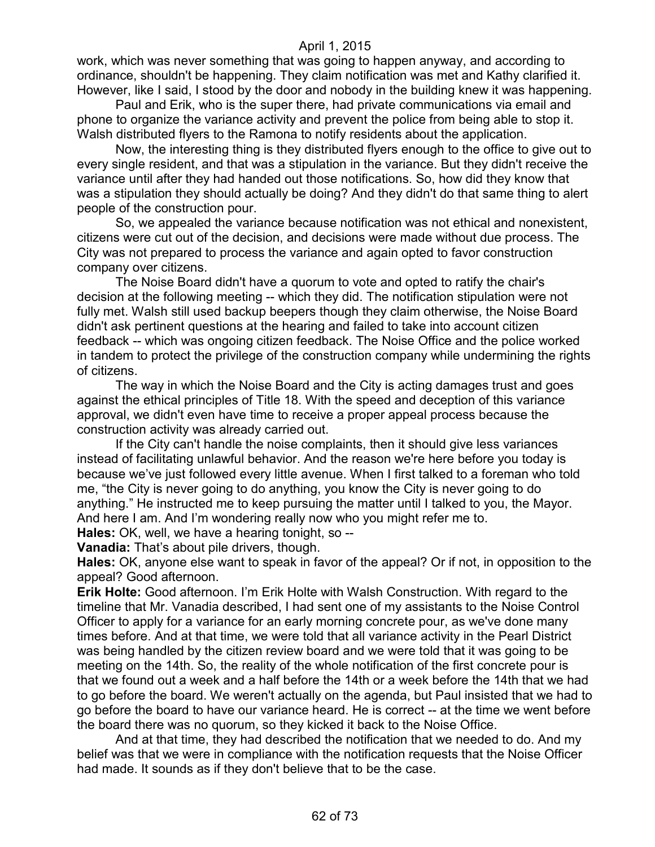work, which was never something that was going to happen anyway, and according to ordinance, shouldn't be happening. They claim notification was met and Kathy clarified it. However, like I said, I stood by the door and nobody in the building knew it was happening.

Paul and Erik, who is the super there, had private communications via email and phone to organize the variance activity and prevent the police from being able to stop it. Walsh distributed flyers to the Ramona to notify residents about the application.

Now, the interesting thing is they distributed flyers enough to the office to give out to every single resident, and that was a stipulation in the variance. But they didn't receive the variance until after they had handed out those notifications. So, how did they know that was a stipulation they should actually be doing? And they didn't do that same thing to alert people of the construction pour.

So, we appealed the variance because notification was not ethical and nonexistent, citizens were cut out of the decision, and decisions were made without due process. The City was not prepared to process the variance and again opted to favor construction company over citizens.

The Noise Board didn't have a quorum to vote and opted to ratify the chair's decision at the following meeting -- which they did. The notification stipulation were not fully met. Walsh still used backup beepers though they claim otherwise, the Noise Board didn't ask pertinent questions at the hearing and failed to take into account citizen feedback -- which was ongoing citizen feedback. The Noise Office and the police worked in tandem to protect the privilege of the construction company while undermining the rights of citizens.

The way in which the Noise Board and the City is acting damages trust and goes against the ethical principles of Title 18. With the speed and deception of this variance approval, we didn't even have time to receive a proper appeal process because the construction activity was already carried out.

If the City can't handle the noise complaints, then it should give less variances instead of facilitating unlawful behavior. And the reason we're here before you today is because we've just followed every little avenue. When I first talked to a foreman who told me, "the City is never going to do anything, you know the City is never going to do anything." He instructed me to keep pursuing the matter until I talked to you, the Mayor. And here I am. And I'm wondering really now who you might refer me to.

**Hales:** OK, well, we have a hearing tonight, so --

**Vanadia:** That's about pile drivers, though.

**Hales:** OK, anyone else want to speak in favor of the appeal? Or if not, in opposition to the appeal? Good afternoon.

**Erik Holte:** Good afternoon. I'm Erik Holte with Walsh Construction. With regard to the timeline that Mr. Vanadia described, I had sent one of my assistants to the Noise Control Officer to apply for a variance for an early morning concrete pour, as we've done many times before. And at that time, we were told that all variance activity in the Pearl District was being handled by the citizen review board and we were told that it was going to be meeting on the 14th. So, the reality of the whole notification of the first concrete pour is that we found out a week and a half before the 14th or a week before the 14th that we had to go before the board. We weren't actually on the agenda, but Paul insisted that we had to go before the board to have our variance heard. He is correct -- at the time we went before the board there was no quorum, so they kicked it back to the Noise Office.

And at that time, they had described the notification that we needed to do. And my belief was that we were in compliance with the notification requests that the Noise Officer had made. It sounds as if they don't believe that to be the case.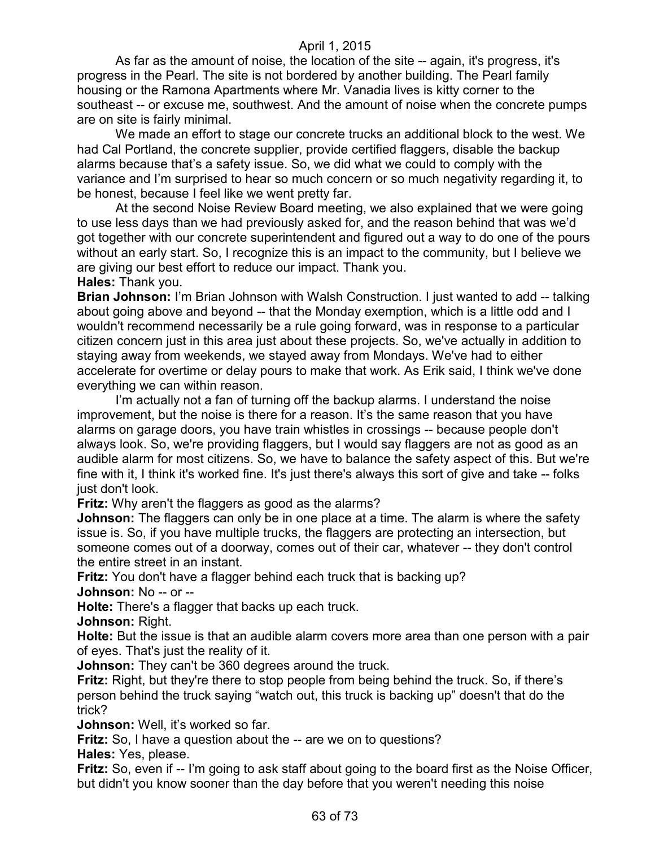As far as the amount of noise, the location of the site -- again, it's progress, it's progress in the Pearl. The site is not bordered by another building. The Pearl family housing or the Ramona Apartments where Mr. Vanadia lives is kitty corner to the southeast -- or excuse me, southwest. And the amount of noise when the concrete pumps are on site is fairly minimal.

We made an effort to stage our concrete trucks an additional block to the west. We had Cal Portland, the concrete supplier, provide certified flaggers, disable the backup alarms because that's a safety issue. So, we did what we could to comply with the variance and I'm surprised to hear so much concern or so much negativity regarding it, to be honest, because I feel like we went pretty far.

At the second Noise Review Board meeting, we also explained that we were going to use less days than we had previously asked for, and the reason behind that was we'd got together with our concrete superintendent and figured out a way to do one of the pours without an early start. So, I recognize this is an impact to the community, but I believe we are giving our best effort to reduce our impact. Thank you. **Hales:** Thank you.

**Brian Johnson:** I'm Brian Johnson with Walsh Construction. I just wanted to add -- talking about going above and beyond -- that the Monday exemption, which is a little odd and I wouldn't recommend necessarily be a rule going forward, was in response to a particular citizen concern just in this area just about these projects. So, we've actually in addition to staying away from weekends, we stayed away from Mondays. We've had to either accelerate for overtime or delay pours to make that work. As Erik said, I think we've done everything we can within reason.

I'm actually not a fan of turning off the backup alarms. I understand the noise improvement, but the noise is there for a reason. It's the same reason that you have alarms on garage doors, you have train whistles in crossings -- because people don't always look. So, we're providing flaggers, but I would say flaggers are not as good as an audible alarm for most citizens. So, we have to balance the safety aspect of this. But we're fine with it, I think it's worked fine. It's just there's always this sort of give and take -- folks just don't look.

**Fritz:** Why aren't the flaggers as good as the alarms?

**Johnson:** The flaggers can only be in one place at a time. The alarm is where the safety issue is. So, if you have multiple trucks, the flaggers are protecting an intersection, but someone comes out of a doorway, comes out of their car, whatever -- they don't control the entire street in an instant.

**Fritz:** You don't have a flagger behind each truck that is backing up? **Johnson:** No -- or --

**Holte:** There's a flagger that backs up each truck.

**Johnson:** Right.

**Holte:** But the issue is that an audible alarm covers more area than one person with a pair of eyes. That's just the reality of it.

**Johnson:** They can't be 360 degrees around the truck.

**Fritz:** Right, but they're there to stop people from being behind the truck. So, if there's person behind the truck saying "watch out, this truck is backing up" doesn't that do the trick?

**Johnson:** Well, it's worked so far.

**Fritz:** So, I have a question about the -- are we on to questions? **Hales:** Yes, please.

**Fritz:** So, even if -- I'm going to ask staff about going to the board first as the Noise Officer, but didn't you know sooner than the day before that you weren't needing this noise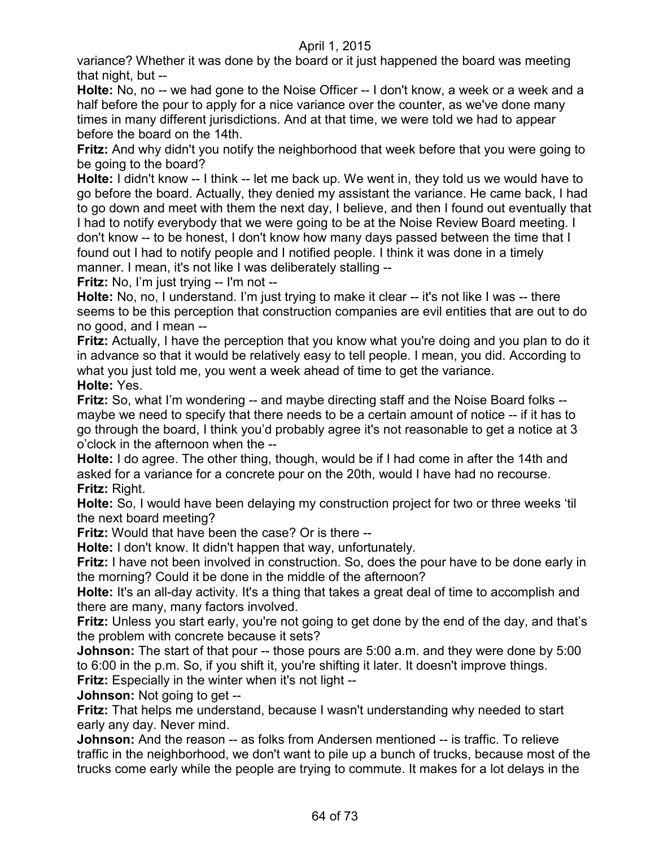variance? Whether it was done by the board or it just happened the board was meeting that night, but --

**Holte:** No, no -- we had gone to the Noise Officer -- I don't know, a week or a week and a half before the pour to apply for a nice variance over the counter, as we've done many times in many different jurisdictions. And at that time, we were told we had to appear before the board on the 14th.

**Fritz:** And why didn't you notify the neighborhood that week before that you were going to be going to the board?

**Holte:** I didn't know -- I think -- let me back up. We went in, they told us we would have to go before the board. Actually, they denied my assistant the variance. He came back, I had to go down and meet with them the next day, I believe, and then I found out eventually that I had to notify everybody that we were going to be at the Noise Review Board meeting. I don't know -- to be honest, I don't know how many days passed between the time that I found out I had to notify people and I notified people. I think it was done in a timely manner. I mean, it's not like I was deliberately stalling --

**Fritz:** No, I'm just trying -- I'm not --

**Holte:** No, no, I understand. I'm just trying to make it clear -- it's not like I was -- there seems to be this perception that construction companies are evil entities that are out to do no good, and I mean --

**Fritz:** Actually, I have the perception that you know what you're doing and you plan to do it in advance so that it would be relatively easy to tell people. I mean, you did. According to what you just told me, you went a week ahead of time to get the variance. **Holte:** Yes.

**Fritz:** So, what I'm wondering -- and maybe directing staff and the Noise Board folks - maybe we need to specify that there needs to be a certain amount of notice -- if it has to go through the board, I think you'd probably agree it's not reasonable to get a notice at 3 o'clock in the afternoon when the --

**Holte:** I do agree. The other thing, though, would be if I had come in after the 14th and asked for a variance for a concrete pour on the 20th, would I have had no recourse. **Fritz:** Right.

**Holte:** So, I would have been delaying my construction project for two or three weeks 'til the next board meeting?

**Fritz:** Would that have been the case? Or is there --

**Holte:** I don't know. It didn't happen that way, unfortunately.

**Fritz:** I have not been involved in construction. So, does the pour have to be done early in the morning? Could it be done in the middle of the afternoon?

**Holte:** It's an all-day activity. It's a thing that takes a great deal of time to accomplish and there are many, many factors involved.

**Fritz:** Unless you start early, you're not going to get done by the end of the day, and that's the problem with concrete because it sets?

**Johnson:** The start of that pour -- those pours are 5:00 a.m. and they were done by 5:00 to 6:00 in the p.m. So, if you shift it, you're shifting it later. It doesn't improve things. **Fritz:** Especially in the winter when it's not light --

**Johnson:** Not going to get --

**Fritz:** That helps me understand, because I wasn't understanding why needed to start early any day. Never mind.

**Johnson:** And the reason -- as folks from Andersen mentioned -- is traffic. To relieve traffic in the neighborhood, we don't want to pile up a bunch of trucks, because most of the trucks come early while the people are trying to commute. It makes for a lot delays in the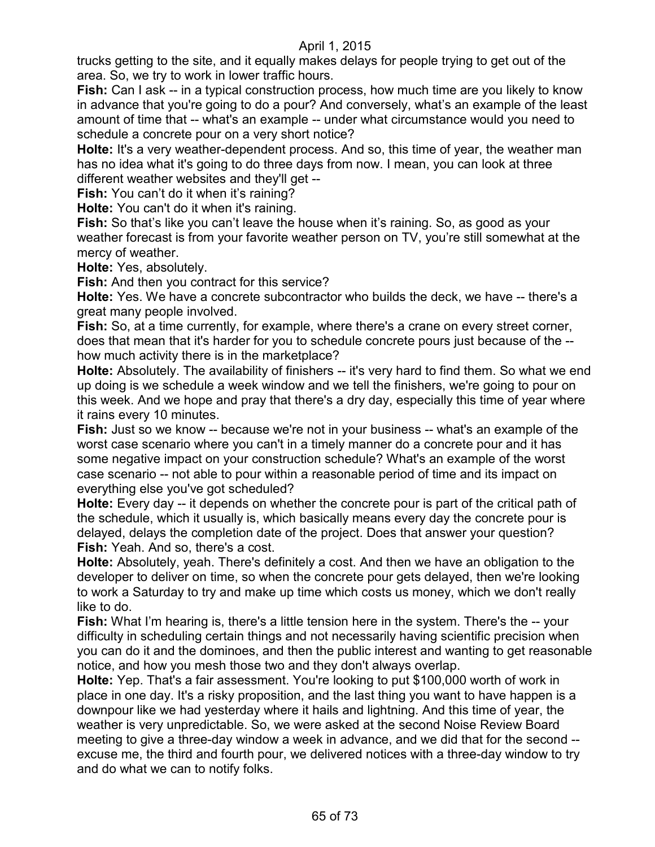trucks getting to the site, and it equally makes delays for people trying to get out of the area. So, we try to work in lower traffic hours.

**Fish:** Can I ask -- in a typical construction process, how much time are you likely to know in advance that you're going to do a pour? And conversely, what's an example of the least amount of time that -- what's an example -- under what circumstance would you need to schedule a concrete pour on a very short notice?

**Holte:** It's a very weather-dependent process. And so, this time of year, the weather man has no idea what it's going to do three days from now. I mean, you can look at three different weather websites and they'll get --

Fish: You can't do it when it's raining?

**Holte:** You can't do it when it's raining.

Fish: So that's like you can't leave the house when it's raining. So, as good as your weather forecast is from your favorite weather person on TV, you're still somewhat at the mercy of weather.

**Holte:** Yes, absolutely.

**Fish:** And then you contract for this service?

**Holte:** Yes. We have a concrete subcontractor who builds the deck, we have -- there's a great many people involved.

**Fish:** So, at a time currently, for example, where there's a crane on every street corner, does that mean that it's harder for you to schedule concrete pours just because of the - how much activity there is in the marketplace?

**Holte:** Absolutely. The availability of finishers -- it's very hard to find them. So what we end up doing is we schedule a week window and we tell the finishers, we're going to pour on this week. And we hope and pray that there's a dry day, especially this time of year where it rains every 10 minutes.

**Fish:** Just so we know -- because we're not in your business -- what's an example of the worst case scenario where you can't in a timely manner do a concrete pour and it has some negative impact on your construction schedule? What's an example of the worst case scenario -- not able to pour within a reasonable period of time and its impact on everything else you've got scheduled?

**Holte:** Every day -- it depends on whether the concrete pour is part of the critical path of the schedule, which it usually is, which basically means every day the concrete pour is delayed, delays the completion date of the project. Does that answer your question? **Fish:** Yeah. And so, there's a cost.

**Holte:** Absolutely, yeah. There's definitely a cost. And then we have an obligation to the developer to deliver on time, so when the concrete pour gets delayed, then we're looking to work a Saturday to try and make up time which costs us money, which we don't really like to do.

**Fish:** What I'm hearing is, there's a little tension here in the system. There's the -- your difficulty in scheduling certain things and not necessarily having scientific precision when you can do it and the dominoes, and then the public interest and wanting to get reasonable notice, and how you mesh those two and they don't always overlap.

**Holte:** Yep. That's a fair assessment. You're looking to put \$100,000 worth of work in place in one day. It's a risky proposition, and the last thing you want to have happen is a downpour like we had yesterday where it hails and lightning. And this time of year, the weather is very unpredictable. So, we were asked at the second Noise Review Board meeting to give a three-day window a week in advance, and we did that for the second - excuse me, the third and fourth pour, we delivered notices with a three-day window to try and do what we can to notify folks.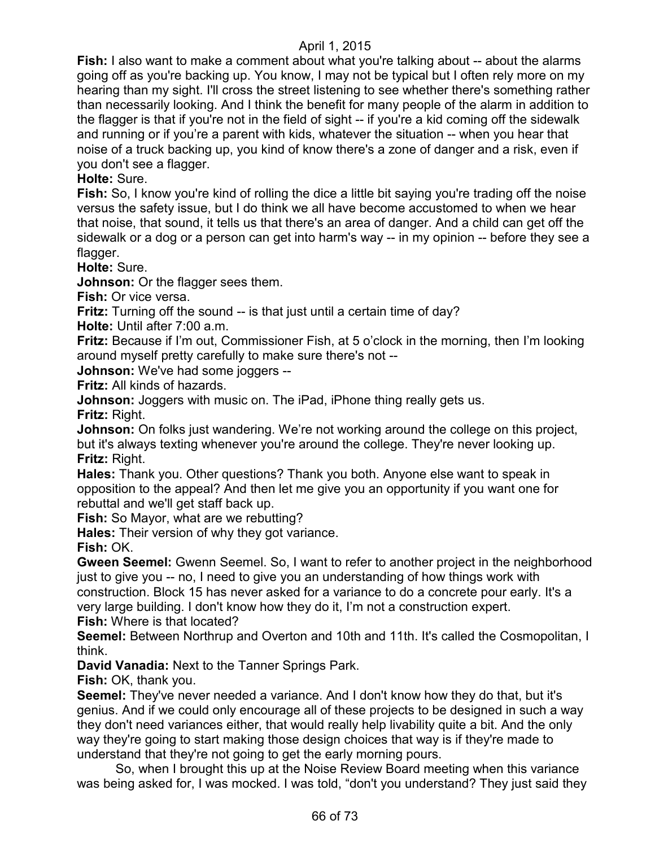**Fish:** I also want to make a comment about what you're talking about -- about the alarms going off as you're backing up. You know, I may not be typical but I often rely more on my hearing than my sight. I'll cross the street listening to see whether there's something rather than necessarily looking. And I think the benefit for many people of the alarm in addition to the flagger is that if you're not in the field of sight -- if you're a kid coming off the sidewalk and running or if you're a parent with kids, whatever the situation -- when you hear that noise of a truck backing up, you kind of know there's a zone of danger and a risk, even if you don't see a flagger.

**Holte:** Sure.

**Fish:** So, I know you're kind of rolling the dice a little bit saying you're trading off the noise versus the safety issue, but I do think we all have become accustomed to when we hear that noise, that sound, it tells us that there's an area of danger. And a child can get off the sidewalk or a dog or a person can get into harm's way -- in my opinion -- before they see a flagger.

**Holte:** Sure.

**Johnson:** Or the flagger sees them.

**Fish:** Or vice versa.

Fritz: Turning off the sound -- is that just until a certain time of day?

**Holte:** Until after 7:00 a.m.

**Fritz:** Because if I'm out, Commissioner Fish, at 5 o'clock in the morning, then I'm looking around myself pretty carefully to make sure there's not --

**Johnson:** We've had some joggers --

**Fritz:** All kinds of hazards.

**Johnson:** Joggers with music on. The iPad, iPhone thing really gets us.

**Fritz:** Right.

**Johnson:** On folks just wandering. We're not working around the college on this project, but it's always texting whenever you're around the college. They're never looking up. **Fritz:** Right.

**Hales:** Thank you. Other questions? Thank you both. Anyone else want to speak in opposition to the appeal? And then let me give you an opportunity if you want one for rebuttal and we'll get staff back up.

**Fish:** So Mayor, what are we rebutting?

**Hales:** Their version of why they got variance.

**Fish:** OK.

**Gween Seemel:** Gwenn Seemel. So, I want to refer to another project in the neighborhood just to give you -- no, I need to give you an understanding of how things work with construction. Block 15 has never asked for a variance to do a concrete pour early. It's a very large building. I don't know how they do it, I'm not a construction expert. **Fish:** Where is that located?

**Seemel:** Between Northrup and Overton and 10th and 11th. It's called the Cosmopolitan, I think.

**David Vanadia:** Next to the Tanner Springs Park.

**Fish:** OK, thank you.

**Seemel:** They've never needed a variance. And I don't know how they do that, but it's genius. And if we could only encourage all of these projects to be designed in such a way they don't need variances either, that would really help livability quite a bit. And the only way they're going to start making those design choices that way is if they're made to understand that they're not going to get the early morning pours.

So, when I brought this up at the Noise Review Board meeting when this variance was being asked for, I was mocked. I was told, "don't you understand? They just said they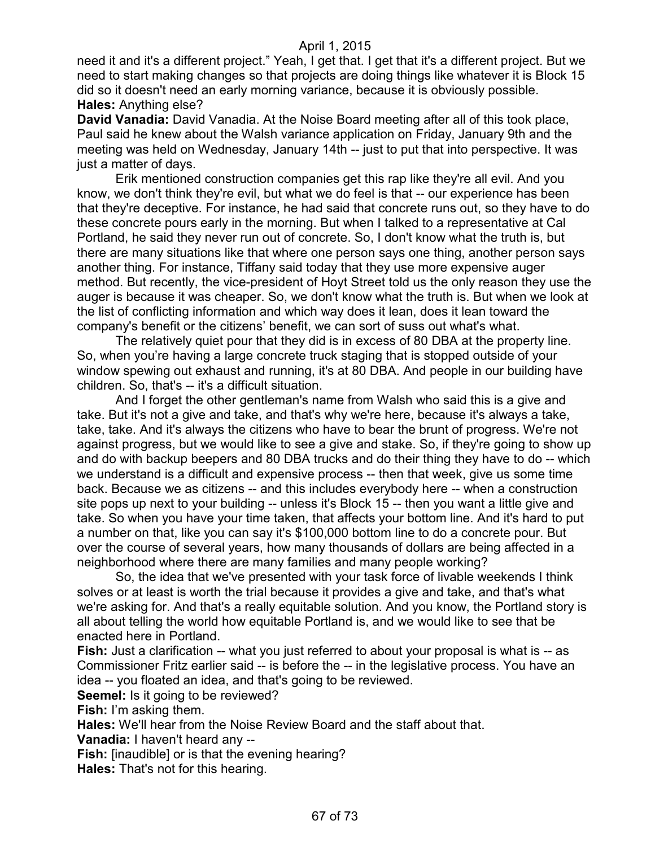need it and it's a different project." Yeah, I get that. I get that it's a different project. But we need to start making changes so that projects are doing things like whatever it is Block 15 did so it doesn't need an early morning variance, because it is obviously possible. **Hales:** Anything else?

**David Vanadia:** David Vanadia. At the Noise Board meeting after all of this took place, Paul said he knew about the Walsh variance application on Friday, January 9th and the meeting was held on Wednesday, January 14th -- just to put that into perspective. It was just a matter of days.

Erik mentioned construction companies get this rap like they're all evil. And you know, we don't think they're evil, but what we do feel is that -- our experience has been that they're deceptive. For instance, he had said that concrete runs out, so they have to do these concrete pours early in the morning. But when I talked to a representative at Cal Portland, he said they never run out of concrete. So, I don't know what the truth is, but there are many situations like that where one person says one thing, another person says another thing. For instance, Tiffany said today that they use more expensive auger method. But recently, the vice-president of Hoyt Street told us the only reason they use the auger is because it was cheaper. So, we don't know what the truth is. But when we look at the list of conflicting information and which way does it lean, does it lean toward the company's benefit or the citizens' benefit, we can sort of suss out what's what.

The relatively quiet pour that they did is in excess of 80 DBA at the property line. So, when you're having a large concrete truck staging that is stopped outside of your window spewing out exhaust and running, it's at 80 DBA. And people in our building have children. So, that's -- it's a difficult situation.

And I forget the other gentleman's name from Walsh who said this is a give and take. But it's not a give and take, and that's why we're here, because it's always a take, take, take. And it's always the citizens who have to bear the brunt of progress. We're not against progress, but we would like to see a give and stake. So, if they're going to show up and do with backup beepers and 80 DBA trucks and do their thing they have to do -- which we understand is a difficult and expensive process -- then that week, give us some time back. Because we as citizens -- and this includes everybody here -- when a construction site pops up next to your building -- unless it's Block 15 -- then you want a little give and take. So when you have your time taken, that affects your bottom line. And it's hard to put a number on that, like you can say it's \$100,000 bottom line to do a concrete pour. But over the course of several years, how many thousands of dollars are being affected in a neighborhood where there are many families and many people working?

So, the idea that we've presented with your task force of livable weekends I think solves or at least is worth the trial because it provides a give and take, and that's what we're asking for. And that's a really equitable solution. And you know, the Portland story is all about telling the world how equitable Portland is, and we would like to see that be enacted here in Portland.

**Fish:** Just a clarification -- what you just referred to about your proposal is what is -- as Commissioner Fritz earlier said -- is before the -- in the legislative process. You have an idea -- you floated an idea, and that's going to be reviewed.

**Seemel:** Is it going to be reviewed?

**Fish:** I'm asking them.

**Hales:** We'll hear from the Noise Review Board and the staff about that.

**Vanadia:** I haven't heard any --

**Fish:** [inaudible] or is that the evening hearing?

**Hales:** That's not for this hearing.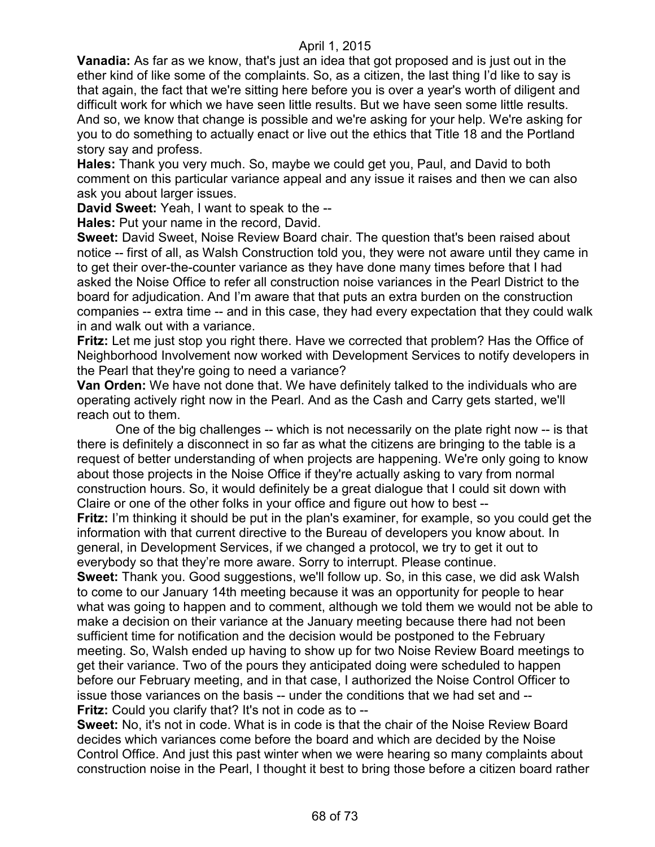**Vanadia:** As far as we know, that's just an idea that got proposed and is just out in the ether kind of like some of the complaints. So, as a citizen, the last thing I'd like to say is that again, the fact that we're sitting here before you is over a year's worth of diligent and difficult work for which we have seen little results. But we have seen some little results. And so, we know that change is possible and we're asking for your help. We're asking for you to do something to actually enact or live out the ethics that Title 18 and the Portland story say and profess.

**Hales:** Thank you very much. So, maybe we could get you, Paul, and David to both comment on this particular variance appeal and any issue it raises and then we can also ask you about larger issues.

**David Sweet:** Yeah, I want to speak to the --

**Hales:** Put your name in the record, David.

**Sweet:** David Sweet, Noise Review Board chair. The question that's been raised about notice -- first of all, as Walsh Construction told you, they were not aware until they came in to get their over-the-counter variance as they have done many times before that I had asked the Noise Office to refer all construction noise variances in the Pearl District to the board for adjudication. And I'm aware that that puts an extra burden on the construction companies -- extra time -- and in this case, they had every expectation that they could walk in and walk out with a variance.

**Fritz:** Let me just stop you right there. Have we corrected that problem? Has the Office of Neighborhood Involvement now worked with Development Services to notify developers in the Pearl that they're going to need a variance?

**Van Orden:** We have not done that. We have definitely talked to the individuals who are operating actively right now in the Pearl. And as the Cash and Carry gets started, we'll reach out to them.

One of the big challenges -- which is not necessarily on the plate right now -- is that there is definitely a disconnect in so far as what the citizens are bringing to the table is a request of better understanding of when projects are happening. We're only going to know about those projects in the Noise Office if they're actually asking to vary from normal construction hours. So, it would definitely be a great dialogue that I could sit down with Claire or one of the other folks in your office and figure out how to best --

**Fritz:** I'm thinking it should be put in the plan's examiner, for example, so you could get the information with that current directive to the Bureau of developers you know about. In general, in Development Services, if we changed a protocol, we try to get it out to everybody so that they're more aware. Sorry to interrupt. Please continue.

**Sweet:** Thank you. Good suggestions, we'll follow up. So, in this case, we did ask Walsh to come to our January 14th meeting because it was an opportunity for people to hear what was going to happen and to comment, although we told them we would not be able to make a decision on their variance at the January meeting because there had not been sufficient time for notification and the decision would be postponed to the February meeting. So, Walsh ended up having to show up for two Noise Review Board meetings to get their variance. Two of the pours they anticipated doing were scheduled to happen before our February meeting, and in that case, I authorized the Noise Control Officer to issue those variances on the basis -- under the conditions that we had set and -- **Fritz:** Could you clarify that? It's not in code as to --

**Sweet:** No, it's not in code. What is in code is that the chair of the Noise Review Board decides which variances come before the board and which are decided by the Noise Control Office. And just this past winter when we were hearing so many complaints about construction noise in the Pearl, I thought it best to bring those before a citizen board rather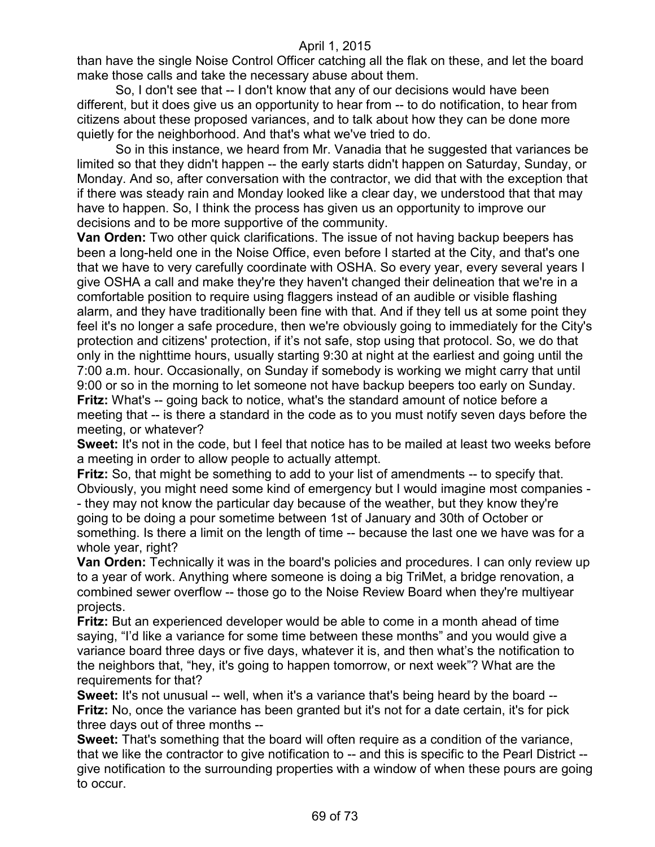than have the single Noise Control Officer catching all the flak on these, and let the board make those calls and take the necessary abuse about them.

So, I don't see that -- I don't know that any of our decisions would have been different, but it does give us an opportunity to hear from -- to do notification, to hear from citizens about these proposed variances, and to talk about how they can be done more quietly for the neighborhood. And that's what we've tried to do.

So in this instance, we heard from Mr. Vanadia that he suggested that variances be limited so that they didn't happen -- the early starts didn't happen on Saturday, Sunday, or Monday. And so, after conversation with the contractor, we did that with the exception that if there was steady rain and Monday looked like a clear day, we understood that that may have to happen. So, I think the process has given us an opportunity to improve our decisions and to be more supportive of the community.

**Van Orden:** Two other quick clarifications. The issue of not having backup beepers has been a long-held one in the Noise Office, even before I started at the City, and that's one that we have to very carefully coordinate with OSHA. So every year, every several years I give OSHA a call and make they're they haven't changed their delineation that we're in a comfortable position to require using flaggers instead of an audible or visible flashing alarm, and they have traditionally been fine with that. And if they tell us at some point they feel it's no longer a safe procedure, then we're obviously going to immediately for the City's protection and citizens' protection, if it's not safe, stop using that protocol. So, we do that only in the nighttime hours, usually starting 9:30 at night at the earliest and going until the 7:00 a.m. hour. Occasionally, on Sunday if somebody is working we might carry that until 9:00 or so in the morning to let someone not have backup beepers too early on Sunday. **Fritz:** What's -- going back to notice, what's the standard amount of notice before a meeting that -- is there a standard in the code as to you must notify seven days before the meeting, or whatever?

**Sweet:** It's not in the code, but I feel that notice has to be mailed at least two weeks before a meeting in order to allow people to actually attempt.

**Fritz:** So, that might be something to add to your list of amendments -- to specify that. Obviously, you might need some kind of emergency but I would imagine most companies - - they may not know the particular day because of the weather, but they know they're going to be doing a pour sometime between 1st of January and 30th of October or something. Is there a limit on the length of time -- because the last one we have was for a whole year, right?

**Van Orden:** Technically it was in the board's policies and procedures. I can only review up to a year of work. Anything where someone is doing a big TriMet, a bridge renovation, a combined sewer overflow -- those go to the Noise Review Board when they're multiyear projects.

**Fritz:** But an experienced developer would be able to come in a month ahead of time saying, "I'd like a variance for some time between these months" and you would give a variance board three days or five days, whatever it is, and then what's the notification to the neighbors that, "hey, it's going to happen tomorrow, or next week"? What are the requirements for that?

**Sweet:** It's not unusual -- well, when it's a variance that's being heard by the board -- **Fritz:** No, once the variance has been granted but it's not for a date certain, it's for pick three days out of three months --

**Sweet:** That's something that the board will often require as a condition of the variance, that we like the contractor to give notification to -- and this is specific to the Pearl District -give notification to the surrounding properties with a window of when these pours are going to occur.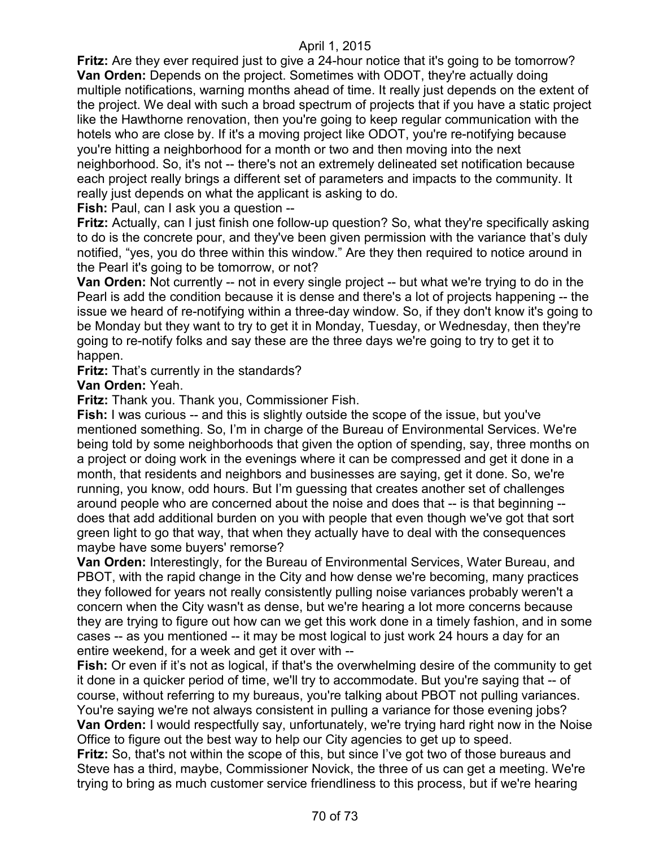**Fritz:** Are they ever required just to give a 24-hour notice that it's going to be tomorrow? **Van Orden:** Depends on the project. Sometimes with ODOT, they're actually doing multiple notifications, warning months ahead of time. It really just depends on the extent of the project. We deal with such a broad spectrum of projects that if you have a static project like the Hawthorne renovation, then you're going to keep regular communication with the hotels who are close by. If it's a moving project like ODOT, you're re-notifying because you're hitting a neighborhood for a month or two and then moving into the next neighborhood. So, it's not -- there's not an extremely delineated set notification because each project really brings a different set of parameters and impacts to the community. It really just depends on what the applicant is asking to do.

**Fish:** Paul, can I ask you a question --

**Fritz:** Actually, can I just finish one follow-up question? So, what they're specifically asking to do is the concrete pour, and they've been given permission with the variance that's duly notified, "yes, you do three within this window." Are they then required to notice around in the Pearl it's going to be tomorrow, or not?

**Van Orden:** Not currently -- not in every single project -- but what we're trying to do in the Pearl is add the condition because it is dense and there's a lot of projects happening -- the issue we heard of re-notifying within a three-day window. So, if they don't know it's going to be Monday but they want to try to get it in Monday, Tuesday, or Wednesday, then they're going to re-notify folks and say these are the three days we're going to try to get it to happen.

**Fritz:** That's currently in the standards?

**Van Orden:** Yeah.

**Fritz:** Thank you. Thank you, Commissioner Fish.

**Fish:** I was curious -- and this is slightly outside the scope of the issue, but you've mentioned something. So, I'm in charge of the Bureau of Environmental Services. We're being told by some neighborhoods that given the option of spending, say, three months on a project or doing work in the evenings where it can be compressed and get it done in a month, that residents and neighbors and businesses are saying, get it done. So, we're running, you know, odd hours. But I'm guessing that creates another set of challenges around people who are concerned about the noise and does that -- is that beginning - does that add additional burden on you with people that even though we've got that sort green light to go that way, that when they actually have to deal with the consequences maybe have some buyers' remorse?

**Van Orden:** Interestingly, for the Bureau of Environmental Services, Water Bureau, and PBOT, with the rapid change in the City and how dense we're becoming, many practices they followed for years not really consistently pulling noise variances probably weren't a concern when the City wasn't as dense, but we're hearing a lot more concerns because they are trying to figure out how can we get this work done in a timely fashion, and in some cases -- as you mentioned -- it may be most logical to just work 24 hours a day for an entire weekend, for a week and get it over with --

**Fish:** Or even if it's not as logical, if that's the overwhelming desire of the community to get it done in a quicker period of time, we'll try to accommodate. But you're saying that -- of course, without referring to my bureaus, you're talking about PBOT not pulling variances. You're saying we're not always consistent in pulling a variance for those evening jobs? **Van Orden:** I would respectfully say, unfortunately, we're trying hard right now in the Noise

Office to figure out the best way to help our City agencies to get up to speed. **Fritz:** So, that's not within the scope of this, but since I've got two of those bureaus and Steve has a third, maybe, Commissioner Novick, the three of us can get a meeting. We're trying to bring as much customer service friendliness to this process, but if we're hearing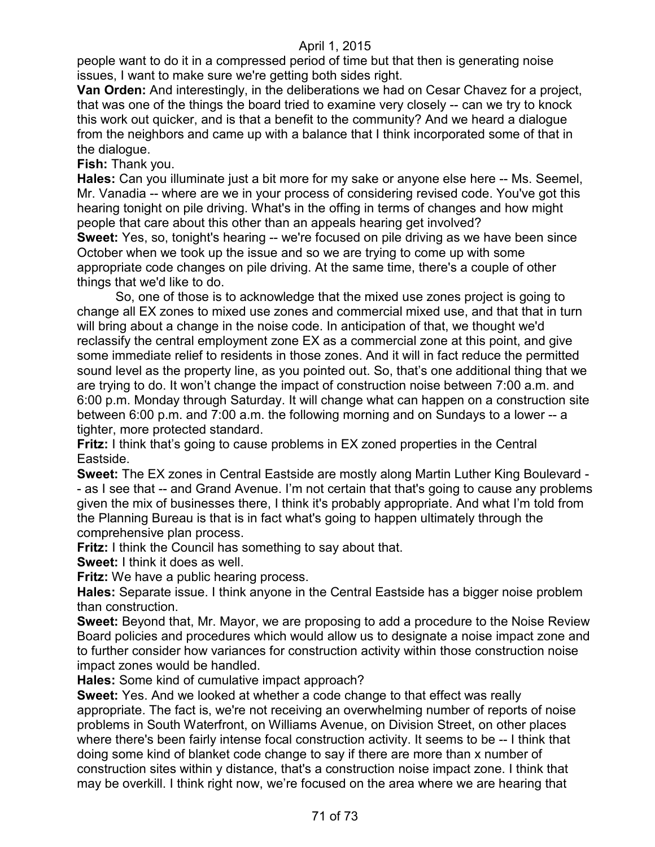people want to do it in a compressed period of time but that then is generating noise issues, I want to make sure we're getting both sides right.

**Van Orden:** And interestingly, in the deliberations we had on Cesar Chavez for a project, that was one of the things the board tried to examine very closely -- can we try to knock this work out quicker, and is that a benefit to the community? And we heard a dialogue from the neighbors and came up with a balance that I think incorporated some of that in the dialogue.

**Fish:** Thank you.

**Hales:** Can you illuminate just a bit more for my sake or anyone else here -- Ms. Seemel, Mr. Vanadia -- where are we in your process of considering revised code. You've got this hearing tonight on pile driving. What's in the offing in terms of changes and how might people that care about this other than an appeals hearing get involved?

**Sweet:** Yes, so, tonight's hearing -- we're focused on pile driving as we have been since October when we took up the issue and so we are trying to come up with some appropriate code changes on pile driving. At the same time, there's a couple of other things that we'd like to do.

So, one of those is to acknowledge that the mixed use zones project is going to change all EX zones to mixed use zones and commercial mixed use, and that that in turn will bring about a change in the noise code. In anticipation of that, we thought we'd reclassify the central employment zone EX as a commercial zone at this point, and give some immediate relief to residents in those zones. And it will in fact reduce the permitted sound level as the property line, as you pointed out. So, that's one additional thing that we are trying to do. It won't change the impact of construction noise between 7:00 a.m. and 6:00 p.m. Monday through Saturday. It will change what can happen on a construction site between 6:00 p.m. and 7:00 a.m. the following morning and on Sundays to a lower -- a tighter, more protected standard.

**Fritz:** I think that's going to cause problems in EX zoned properties in the Central Eastside.

**Sweet:** The EX zones in Central Eastside are mostly along Martin Luther King Boulevard - - as I see that -- and Grand Avenue. I'm not certain that that's going to cause any problems given the mix of businesses there, I think it's probably appropriate. And what I'm told from the Planning Bureau is that is in fact what's going to happen ultimately through the comprehensive plan process.

**Fritz:** I think the Council has something to say about that.

**Sweet:** I think it does as well.

**Fritz:** We have a public hearing process.

**Hales:** Separate issue. I think anyone in the Central Eastside has a bigger noise problem than construction.

**Sweet:** Beyond that, Mr. Mayor, we are proposing to add a procedure to the Noise Review Board policies and procedures which would allow us to designate a noise impact zone and to further consider how variances for construction activity within those construction noise impact zones would be handled.

**Hales:** Some kind of cumulative impact approach?

**Sweet:** Yes. And we looked at whether a code change to that effect was really appropriate. The fact is, we're not receiving an overwhelming number of reports of noise problems in South Waterfront, on Williams Avenue, on Division Street, on other places where there's been fairly intense focal construction activity. It seems to be -- I think that doing some kind of blanket code change to say if there are more than x number of construction sites within y distance, that's a construction noise impact zone. I think that may be overkill. I think right now, we're focused on the area where we are hearing that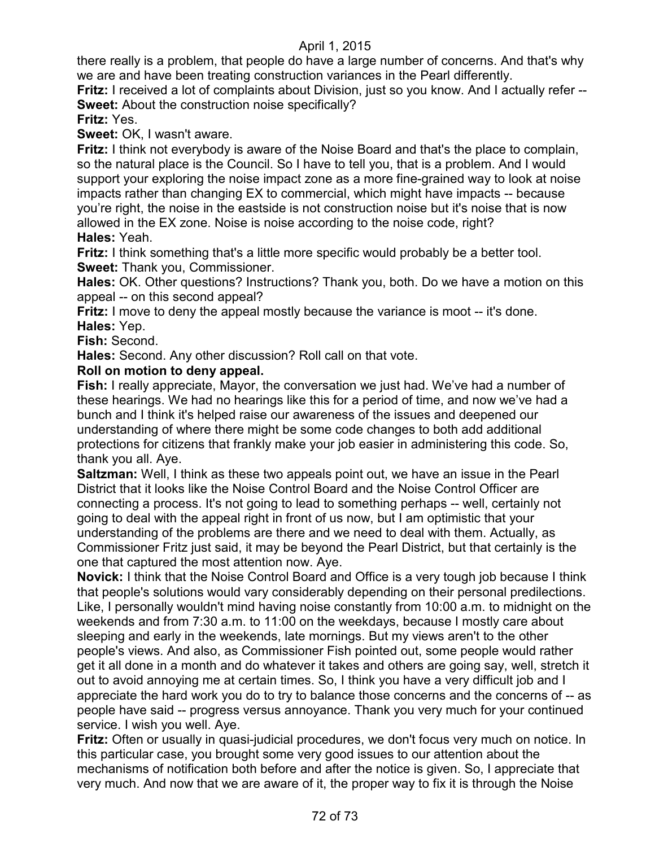there really is a problem, that people do have a large number of concerns. And that's why we are and have been treating construction variances in the Pearl differently.

**Fritz:** I received a lot of complaints about Division, just so you know. And I actually refer -- **Sweet:** About the construction noise specifically?

# **Fritz:** Yes.

**Sweet:** OK, I wasn't aware.

**Fritz:** I think not everybody is aware of the Noise Board and that's the place to complain, so the natural place is the Council. So I have to tell you, that is a problem. And I would support your exploring the noise impact zone as a more fine-grained way to look at noise impacts rather than changing EX to commercial, which might have impacts -- because you're right, the noise in the eastside is not construction noise but it's noise that is now allowed in the EX zone. Noise is noise according to the noise code, right? **Hales:** Yeah.

**Fritz:** I think something that's a little more specific would probably be a better tool. **Sweet:** Thank you, Commissioner.

**Hales:** OK. Other questions? Instructions? Thank you, both. Do we have a motion on this appeal -- on this second appeal?

**Fritz:** I move to deny the appeal mostly because the variance is moot -- it's done. **Hales:** Yep.

**Fish:** Second.

**Hales:** Second. Any other discussion? Roll call on that vote.

# **Roll on motion to deny appeal.**

**Fish:** I really appreciate, Mayor, the conversation we just had. We've had a number of these hearings. We had no hearings like this for a period of time, and now we've had a bunch and I think it's helped raise our awareness of the issues and deepened our understanding of where there might be some code changes to both add additional protections for citizens that frankly make your job easier in administering this code. So, thank you all. Aye.

**Saltzman:** Well, I think as these two appeals point out, we have an issue in the Pearl District that it looks like the Noise Control Board and the Noise Control Officer are connecting a process. It's not going to lead to something perhaps -- well, certainly not going to deal with the appeal right in front of us now, but I am optimistic that your understanding of the problems are there and we need to deal with them. Actually, as Commissioner Fritz just said, it may be beyond the Pearl District, but that certainly is the one that captured the most attention now. Aye.

**Novick:** I think that the Noise Control Board and Office is a very tough job because I think that people's solutions would vary considerably depending on their personal predilections. Like, I personally wouldn't mind having noise constantly from 10:00 a.m. to midnight on the weekends and from 7:30 a.m. to 11:00 on the weekdays, because I mostly care about sleeping and early in the weekends, late mornings. But my views aren't to the other people's views. And also, as Commissioner Fish pointed out, some people would rather get it all done in a month and do whatever it takes and others are going say, well, stretch it out to avoid annoying me at certain times. So, I think you have a very difficult job and I appreciate the hard work you do to try to balance those concerns and the concerns of -- as people have said -- progress versus annoyance. Thank you very much for your continued service. I wish you well. Aye.

**Fritz:** Often or usually in quasi-judicial procedures, we don't focus very much on notice. In this particular case, you brought some very good issues to our attention about the mechanisms of notification both before and after the notice is given. So, I appreciate that very much. And now that we are aware of it, the proper way to fix it is through the Noise